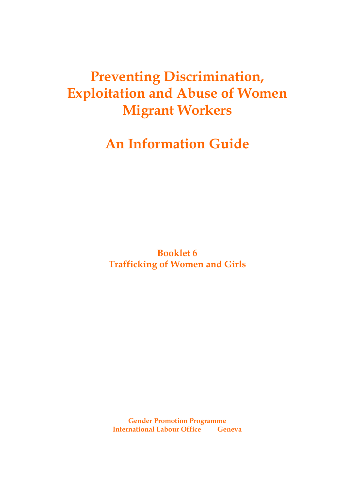# **Preventing Discrimination, Exploitation and Abuse of Women Migrant Workers**

# **An Information Guide**

**Booklet 6 Trafficking of Women and Girls** 

**Gender Promotion Programme International Labour Office Geneva**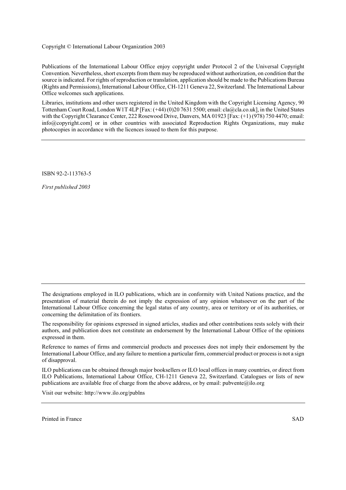#### Copyright © International Labour Organization 2003

Publications of the International Labour Office enjoy copyright under Protocol 2 of the Universal Copyright Convention. Nevertheless, short excerpts from them may be reproduced without authorization, on condition that the source is indicated. For rights of reproduction or translation, application should be made to the Publications Bureau (Rights and Permissions), International Labour Office, CH-1211 Geneva 22, Switzerland. The International Labour Office welcomes such applications.

Libraries, institutions and other users registered in the United Kingdom with the Copyright Licensing Agency, 90 Tottenham Court Road, London W1T 4LP [Fax: (+44) (0)20 7631 5500; email: cla@cla.co.uk], in the United States with the Copyright Clearance Center, 222 Rosewood Drive, Danvers, MA 01923 [Fax: (+1) (978) 750 4470; email: info@copyright.com] or in other countries with associated Reproduction Rights Organizations, may make photocopies in accordance with the licences issued to them for this purpose.

ISBN 92-2-113763-5

First published 2003

Visit our website: http://www.ilo.org/publns

The designations employed in ILO publications, which are in conformity with United Nations practice, and the presentation of material therein do not imply the expression of any opinion whatsoever on the part of the International Labour Office concerning the legal status of any country, area or territory or of its authorities, or concerning the delimitation of its frontiers.

The responsibility for opinions expressed in signed articles, studies and other contributions rests solely with their authors, and publication does not constitute an endorsement by the International Labour Office of the opinions expressed in them.

Reference to names of firms and commercial products and processes does not imply their endorsement by the International Labour Office, and any failure to mention a particular firm, commercial product or process is not a sign of disapproval.

ILO publications can be obtained through major booksellers or ILO local offices in many countries, or direct from ILO Publications, International Labour Office, CH-1211 Geneva 22, Switzerland. Catalogues or lists of new publications are available free of charge from the above address, or by email: pubvente@ilo.org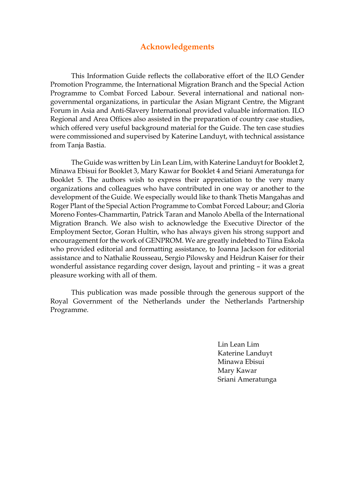## **Acknowledgements**

This Information Guide reflects the collaborative effort of the ILO Gender Promotion Programme, the International Migration Branch and the Special Action Programme to Combat Forced Labour. Several international and national nongovernmental organizations, in particular the Asian Migrant Centre, the Migrant Forum in Asia and Anti-Slavery International provided valuable information. ILO Regional and Area Offices also assisted in the preparation of country case studies, which offered very useful background material for the Guide. The ten case studies were commissioned and supervised by Katerine Landuyt, with technical assistance from Tanja Bastia.

 The Guide was written by Lin Lean Lim, with Katerine Landuyt for Booklet 2, Minawa Ebisui for Booklet 3, Mary Kawar for Booklet 4 and Sriani Ameratunga for Booklet 5. The authors wish to express their appreciation to the very many organizations and colleagues who have contributed in one way or another to the development of the Guide. We especially would like to thank Thetis Mangahas and Roger Plant of the Special Action Programme to Combat Forced Labour; and Gloria Moreno Fontes-Chammartin, Patrick Taran and Manolo Abella of the International Migration Branch. We also wish to acknowledge the Executive Director of the Employment Sector, Goran Hultin, who has always given his strong support and encouragement for the work of GENPROM. We are greatly indebted to Tiina Eskola who provided editorial and formatting assistance, to Joanna Jackson for editorial assistance and to Nathalie Rousseau, Sergio Pilowsky and Heidrun Kaiser for their wonderful assistance regarding cover design, layout and printing – it was a great pleasure working with all of them.

 This publication was made possible through the generous support of the Royal Government of the Netherlands under the Netherlands Partnership Programme.

> Lin Lean Lim Katerine Landuyt Minawa Ebisui Mary Kawar Sriani Ameratunga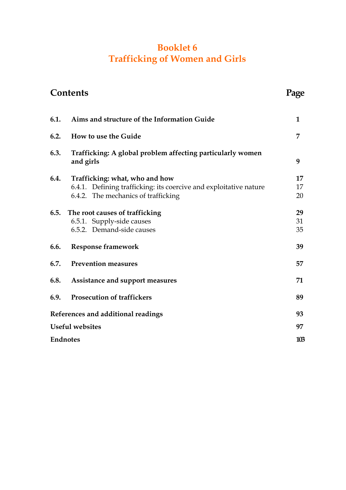# **Booklet 6 Trafficking of Women and Girls**

| <b>Contents</b>        |                                                                                                                                            | Page           |
|------------------------|--------------------------------------------------------------------------------------------------------------------------------------------|----------------|
| 6.1.                   | Aims and structure of the Information Guide                                                                                                | $\mathbf{1}$   |
| 6.2.                   | How to use the Guide                                                                                                                       | 7              |
| 6.3.                   | Trafficking: A global problem affecting particularly women<br>and girls                                                                    |                |
| 6.4.                   | Trafficking: what, who and how<br>6.4.1. Defining trafficking: its coercive and exploitative nature<br>6.4.2. The mechanics of trafficking | 17<br>17<br>20 |
| 6.5.                   | The root causes of trafficking<br>6.5.1. Supply-side causes<br>6.5.2. Demand-side causes                                                   | 29<br>31<br>35 |
| 6.6.                   | <b>Response framework</b>                                                                                                                  | 39             |
| 6.7.                   | <b>Prevention measures</b>                                                                                                                 |                |
| 6.8.                   | Assistance and support measures                                                                                                            | 71             |
| 6.9.                   | <b>Prosecution of traffickers</b>                                                                                                          | 89             |
|                        | References and additional readings                                                                                                         | 93             |
| <b>Useful websites</b> |                                                                                                                                            | 97             |
| <b>Endnotes</b>        |                                                                                                                                            | 103            |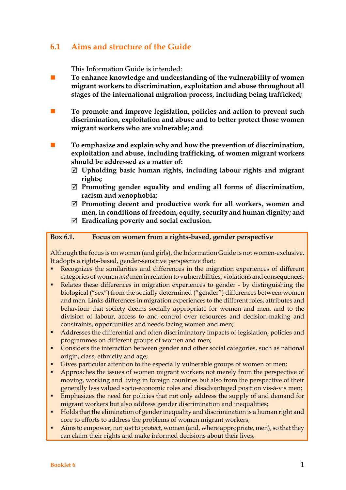## **6.1 Aims and structure of the Guide**

This Information Guide is intended:

- ! **To enhance knowledge and understanding of the vulnerability of women migrant workers to discrimination, exploitation and abuse throughout all stages of the international migration process, including being trafficked;**
- To promote and improve legislation, policies and action to prevent such **discrimination, exploitation and abuse and to better protect those women migrant workers who are vulnerable; and**
- **To emphasize and explain why and how the prevention of discrimination, exploitation and abuse, including trafficking, of women migrant workers should be addressed as a matter of:** 
	- ! **Upholding basic human rights, including labour rights and migrant rights;**
	- ! **Promoting gender equality and ending all forms of discrimination, racism and xenophobia;**
	- ! **Promoting decent and productive work for all workers, women and men, in conditions of freedom, equity, security and human dignity; and**
	- ! **Eradicating poverty and social exclusion.**

## **Box 6.1. Focus on women from a rights-based, gender perspective**

Although the focus is on women (and girls), the Information Guide is not women-exclusive. It adopts a rights-based, gender-sensitive perspective that:

- Recognizes the similarities and differences in the migration experiences of different categories of women *and* men in relation to vulnerabilities, violations and consequences;
- Relates these differences in migration experiences to gender by distinguishing the biological ("sex") from the socially determined ("gender") differences between women and men. Links differences in migration experiences to the different roles, attributes and behaviour that society deems socially appropriate for women and men, and to the division of labour, access to and control over resources and decision-making and constraints, opportunities and needs facing women and men;
- Addresses the differential and often discriminatory impacts of legislation, policies and programmes on different groups of women and men;
- Considers the interaction between gender and other social categories, such as national origin, class, ethnicity and age;
- Gives particular attention to the especially vulnerable groups of women or men;
- Approaches the issues of women migrant workers not merely from the perspective of moving, working and living in foreign countries but also from the perspective of their generally less valued socio-economic roles and disadvantaged position vis-à-vis men;
- **Emphasizes the need for policies that not only address the supply of and demand for** migrant workers but also address gender discrimination and inequalities;
- " Holds that the elimination of gender inequality and discrimination is a human right and core to efforts to address the problems of women migrant workers;
- " Aims to empower, not just to protect, women (and, where appropriate, men), so that they can claim their rights and make informed decisions about their lives.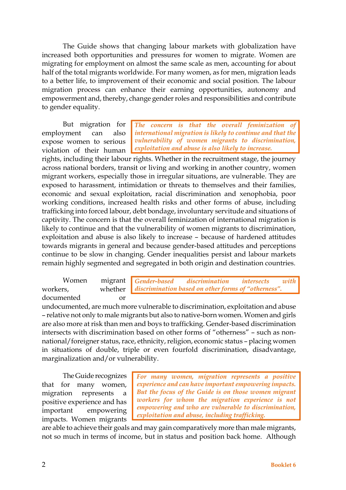The Guide shows that changing labour markets with globalization have increased both opportunities and pressures for women to migrate. Women are migrating for employment on almost the same scale as men, accounting for about half of the total migrants worldwide. For many women, as for men, migration leads to a better life, to improvement of their economic and social position. The labour migration process can enhance their earning opportunities, autonomy and empowerment and, thereby, change gender roles and responsibilities and contribute to gender equality.

But migration for employment can also expose women to serious violation of their human

*The concern is that the overall feminization of international migration is likely to continue and that the vulnerability of women migrants to discrimination, exploitation and abuse is also likely to increase.*

rights, including their labour rights. Whether in the recruitment stage, the journey across national borders, transit or living and working in another country, women migrant workers, especially those in irregular situations, are vulnerable. They are exposed to harassment, intimidation or threats to themselves and their families, economic and sexual exploitation, racial discrimination and xenophobia, poor working conditions, increased health risks and other forms of abuse, including trafficking into forced labour, debt bondage, involuntary servitude and situations of captivity. The concern is that the overall feminization of international migration is likely to continue and that the vulnerability of women migrants to discrimination, exploitation and abuse is also likely to increase - because of hardened attitudes towards migrants in general and because gender-based attitudes and perceptions continue to be slow in changing. Gender inequalities persist and labour markets remain highly segmented and segregated in both origin and destination countries.

Women migrant workers, whether documented or *Gender-based discrimination intersects with discrimination based on other forms of "otherness".* 

undocumented, are much more vulnerable to discrimination, exploitation and abuse - relative not only to male migrants but also to native-born women. Women and girls are also more at risk than men and boys to trafficking. Gender-based discrimination intersects with discrimination based on other forms of "otherness" - such as nonnational/foreigner status, race, ethnicity, religion, economic status - placing women in situations of double, triple or even fourfold discrimination, disadvantage, marginalization and/or vulnerability.

The Guide recognizes that for many women, migration represents a positive experience and has important empowering impacts. Women migrants

*For many women, migration represents a positive experience and can have important empowering impacts. But the focus of the Guide is on those women migrant workers for whom the migration experience is not empowering and who are vulnerable to discrimination, exploitation and abuse, including trafficking.*

are able to achieve their goals and may gain comparatively more than male migrants, not so much in terms of income, but in status and position back home. Although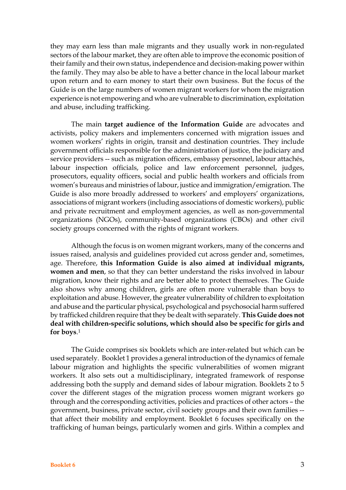they may earn less than male migrants and they usually work in non-regulated sectors of the labour market, they are often able to improve the economic position of their family and their own status, independence and decision-making power within the family. They may also be able to have a better chance in the local labour market upon return and to earn money to start their own business. But the focus of the Guide is on the large numbers of women migrant workers for whom the migration experience is not empowering and who are vulnerable to discrimination, exploitation and abuse, including trafficking.

The main **target audience of the Information Guide** are advocates and activists, policy makers and implementers concerned with migration issues and women workers' rights in origin, transit and destination countries. They include government officials responsible for the administration of justice, the judiciary and service providers -- such as migration officers, embassy personnel, labour attachés, labour inspection officials, police and law enforcement personnel, judges, prosecutors, equality officers, social and public health workers and officials from women's bureaus and ministries of labour, justice and immigration/emigration. The Guide is also more broadly addressed to workers' and employers' organizations, associations of migrant workers (including associations of domestic workers), public and private recruitment and employment agencies, as well as non-governmental organizations (NGOs), community-based organizations (CBOs) and other civil society groups concerned with the rights of migrant workers.

Although the focus is on women migrant workers, many of the concerns and issues raised, analysis and guidelines provided cut across gender and, sometimes, age. Therefore, **this Information Guide is also aimed at individual migrants, women and men**, so that they can better understand the risks involved in labour migration, know their rights and are better able to protect themselves. The Guide also shows why among children, girls are often more vulnerable than boys to exploitation and abuse. However, the greater vulnerability of children to exploitation and abuse and the particular physical, psychological and psychosocial harm suffered by trafficked children require that they be dealt with separately. **This Guide does not deal with children-specific solutions, which should also be specific for girls and for boys**. 1

The Guide comprises six booklets which are inter-related but which can be used separately. Booklet 1 provides a general introduction of the dynamics of female labour migration and highlights the specific vulnerabilities of women migrant workers. It also sets out a multidisciplinary, integrated framework of response addressing both the supply and demand sides of labour migration. Booklets 2 to 5 cover the different stages of the migration process women migrant workers go through and the corresponding activities, policies and practices of other actors - the government, business, private sector, civil society groups and their own families - that affect their mobility and employment. Booklet 6 focuses specifically on the trafficking of human beings, particularly women and girls. Within a complex and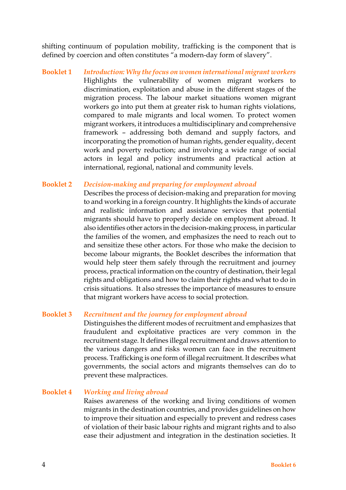shifting continuum of population mobility, trafficking is the component that is defined by coercion and often constitutes "a modern-day form of slavery".

**Booklet 1** *Introduction: Why the focus on women international migrant workers* Highlights the vulnerability of women migrant workers to discrimination, exploitation and abuse in the different stages of the migration process. The labour market situations women migrant workers go into put them at greater risk to human rights violations, compared to male migrants and local women. To protect women migrant workers, it introduces a multidisciplinary and comprehensive framework - addressing both demand and supply factors, and incorporating the promotion of human rights, gender equality, decent work and poverty reduction; and involving a wide range of social actors in legal and policy instruments and practical action at international, regional, national and community levels.

#### **Booklet 2** *Decision-making and preparing for employment abroad*

Describes the process of decision-making and preparation for moving to and working in a foreign country. It highlights the kinds of accurate and realistic information and assistance services that potential migrants should have to properly decide on employment abroad. It also identifies other actors in the decision-making process, in particular the families of the women, and emphasizes the need to reach out to and sensitize these other actors. For those who make the decision to become labour migrants, the Booklet describes the information that would help steer them safely through the recruitment and journey process, practical information on the country of destination, their legal rights and obligations and how to claim their rights and what to do in crisis situations. It also stresses the importance of measures to ensure that migrant workers have access to social protection.

## **Booklet 3** *Recruitment and the journey for employment abroad*

Distinguishes the different modes of recruitment and emphasizes that fraudulent and exploitative practices are very common in the recruitment stage. It defines illegal recruitment and draws attention to the various dangers and risks women can face in the recruitment process. Trafficking is one form of illegal recruitment. It describes what governments, the social actors and migrants themselves can do to prevent these malpractices.

## **Booklet 4** *Working and living abroad*

Raises awareness of the working and living conditions of women migrants in the destination countries, and provides guidelines on how to improve their situation and especially to prevent and redress cases of violation of their basic labour rights and migrant rights and to also ease their adjustment and integration in the destination societies. It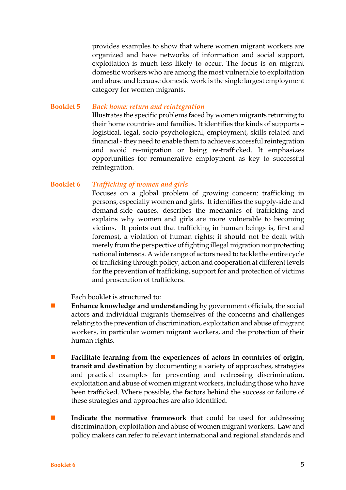provides examples to show that where women migrant workers are organized and have networks of information and social support, exploitation is much less likely to occur. The focus is on migrant domestic workers who are among the most vulnerable to exploitation and abuse and because domestic work is the single largest employment category for women migrants.

#### **Booklet 5** *Back home: return and reintegration*

Illustrates the specific problems faced by women migrants returning to their home countries and families. It identifies the kinds of supports logistical, legal, socio-psychological, employment, skills related and financial - they need to enable them to achieve successful reintegration and avoid re-migration or being re-trafficked. It emphasizes opportunities for remunerative employment as key to successful reintegration.

#### **Booklet 6** *Trafficking of women and girls*

Focuses on a global problem of growing concern: trafficking in persons, especially women and girls. It identifies the supply-side and demand-side causes, describes the mechanics of trafficking and explains why women and girls are more vulnerable to becoming victims. It points out that trafficking in human beings is, first and foremost, a violation of human rights; it should not be dealt with merely from the perspective of fighting illegal migration nor protecting national interests. A wide range of actors need to tackle the entire cycle of trafficking through policy, action and cooperation at different levels for the prevention of trafficking, support for and protection of victims and prosecution of traffickers.

Each booklet is structured to:

- ! **Enhance knowledge and understanding** by government officials, the social actors and individual migrants themselves of the concerns and challenges relating to the prevention of discrimination, exploitation and abuse of migrant workers, in particular women migrant workers, and the protection of their human rights.
- ! **Facilitate learning from the experiences of actors in countries of origin, transit and destination** by documenting a variety of approaches, strategies and practical examples for preventing and redressing discrimination, exploitation and abuse of women migrant workers, including those who have been trafficked. Where possible, the factors behind the success or failure of these strategies and approaches are also identified.
- **If all indicate the normative framework** that could be used for addressing discrimination, exploitation and abuse of women migrant workers**.** Law and policy makers can refer to relevant international and regional standards and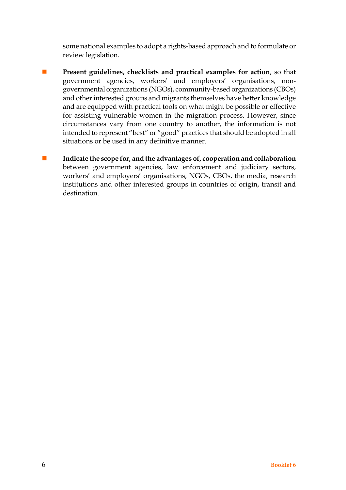some national examples to adopt a rights-based approach and to formulate or review legislation.

- **Present guidelines, checklists and practical examples for action, so that** government agencies, workers' and employers' organisations, nongovernmental organizations (NGOs), community-based organizations (CBOs) and other interested groups and migrants themselves have better knowledge and are equipped with practical tools on what might be possible or effective for assisting vulnerable women in the migration process. However, since circumstances vary from one country to another, the information is not intended to represent "best" or "good" practices that should be adopted in all situations or be used in any definitive manner.
- ! **Indicate the scope for, and the advantages of, cooperation and collaboration** between government agencies, law enforcement and judiciary sectors, workers' and employers' organisations, NGOs, CBOs, the media, research institutions and other interested groups in countries of origin, transit and destination.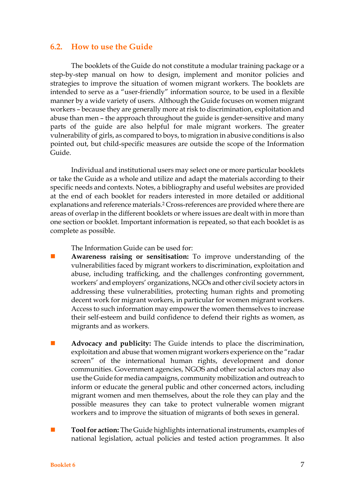## **6.2. How to use the Guide**

The booklets of the Guide do not constitute a modular training package or a step-by-step manual on how to design, implement and monitor policies and strategies to improve the situation of women migrant workers. The booklets are intended to serve as a "user-friendly" information source, to be used in a flexible manner by a wide variety of users. Although the Guide focuses on women migrant workers – because they are generally more at risk to discrimination, exploitation and abuse than men – the approach throughout the guide is gender-sensitive and many parts of the guide are also helpful for male migrant workers. The greater vulnerability of girls, as compared to boys, to migration in abusive conditions is also pointed out, but child-specific measures are outside the scope of the Information Guide.

Individual and institutional users may select one or more particular booklets or take the Guide as a whole and utilize and adapt the materials according to their specific needs and contexts. Notes, a bibliography and useful websites are provided at the end of each booklet for readers interested in more detailed or additional explanations and reference materials.2 Cross-references are provided where there are areas of overlap in the different booklets or where issues are dealt with in more than one section or booklet. Important information is repeated, so that each booklet is as complete as possible.

The Information Guide can be used for:

- ! **Awareness raising or sensitisation:** To improve understanding of the vulnerabilities faced by migrant workers to discrimination, exploitation and abuse, including trafficking, and the challenges confronting government, workers' and employers' organizations, NGOs and other civil society actors in addressing these vulnerabilities, protecting human rights and promoting decent work for migrant workers, in particular for women migrant workers. Access to such information may empower the women themselves to increase their self-esteem and build confidence to defend their rights as women, as migrants and as workers.
- ! **Advocacy and publicity:** The Guide intends to place the discrimination, exploitation and abuse that women migrant workers experience on the "radar screen" of the international human rights, development and donor communities. Government agencies, NGOS and other social actors may also use the Guide for media campaigns, community mobilization and outreach to inform or educate the general public and other concerned actors, including migrant women and men themselves, about the role they can play and the possible measures they can take to protect vulnerable women migrant workers and to improve the situation of migrants of both sexes in general.
- ! **Tool for action:** The Guide highlights international instruments, examples of national legislation, actual policies and tested action programmes. It also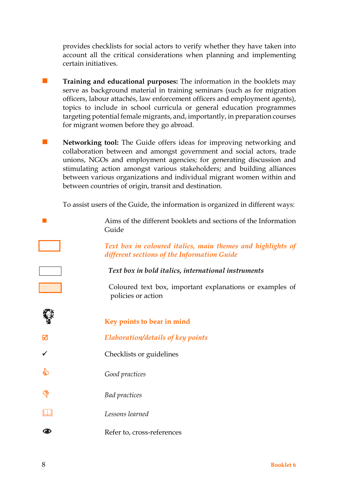provides checklists for social actors to verify whether they have taken into account all the critical considerations when planning and implementing certain initiatives.

- ! **Training and educational purposes:** The information in the booklets may serve as background material in training seminars (such as for migration officers, labour attachés, law enforcement officers and employment agents), topics to include in school curricula or general education programmes targeting potential female migrants, and, importantly, in preparation courses for migrant women before they go abroad.
- **Networking tool:** The Guide offers ideas for improving networking and collaboration between and amongst government and social actors, trade unions, NGOs and employment agencies; for generating discussion and stimulating action amongst various stakeholders; and building alliances between various organizations and individual migrant women within and between countries of origin, transit and destination.

To assist users of the Guide, the information is organized in different ways:

! Aims of the different booklets and sections of the Information Guide  **Text** *Text box in coloured italics, main themes and highlights of different sections of the Information Guide Text box in bold italics, international instruments*  ۰ Coloured text box, important explanations or examples of policies or action  **Key points to bear in mind**  \$ *Elaboration/details of key points* %Checklists or guidelines &*Good practices* ' *Bad practices* ( *Lessons learned*  !Refer to, cross-references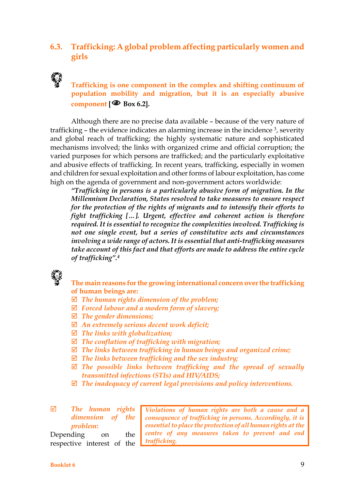## **6.3. Trafficking: A global problem affecting particularly women and girls**

# 纂

## **Trafficking is one component in the complex and shifting continuum of population mobility and migration, but it is an especially abusive component**  $[$  **<sup>** $\bullet$ **</sup>** Box 6.2].

Although there are no precise data available - because of the very nature of trafficking  $-$  the evidence indicates an alarming increase in the incidence  $3$ , severity and global reach of trafficking; the highly systematic nature and sophisticated mechanisms involved; the links with organized crime and official corruption; the varied purposes for which persons are trafficked; and the particularly exploitative and abusive effects of trafficking. In recent years, trafficking, especially in women and children for sexual exploitation and other forms of labour exploitation, has come high on the agenda of government and non-government actors worldwide:

*ìTrafficking in persons is a particularly abusive form of migration. In the Millennium Declaration, States resolved to take measures to ensure respect for the protection of the rights of migrants and to intensify their efforts to fight trafficking [...]. Urgent, effective and coherent action is therefore required. It is essential to recognize the complexities involved. Trafficking is not one single event, but a series of constitutive acts and circumstances involving a wide range of actors. It is essential that anti-trafficking measures take account of this fact and that efforts are made to address the entire cycle*  of trafficking".<sup>4</sup>



**The main reasons for the growing international concern over the trafficking of human beings are:** 

- \$ *The human rights dimension of the problem;*
- \$ *Forced labour and a modern form of slavery;*
- \$ *The gender dimensions;*
- \$ *An extremely serious decent work deficit;*
- \$ *The links with globalization;*
- \$ *The conflation of trafficking with migration;*
- \$ *The links between trafficking in human beings and organized crime;*
- \$ *The links between trafficking and the sex industry;*
- \$ *The possible links between trafficking and the spread of sexually transmitted infections (STIs) and HIV/AIDS;*
- \$ *The inadequacy of current legal provisions and policy interventions.*

! *The human rights dimension of the problem***:**

Depending on the respective interest of the

*Violations of human rights are both a cause and a consequence of trafficking in persons. Accordingly, it is essential to place the protection of all human rights at the centre of any measures taken to prevent and end trafficking.*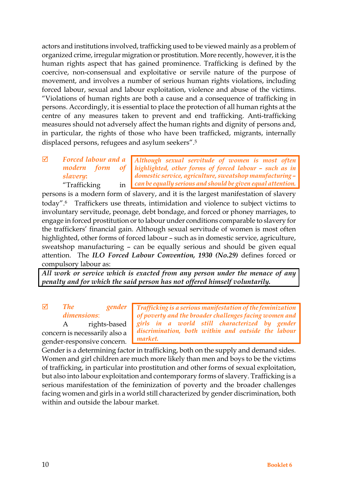actors and institutions involved, trafficking used to be viewed mainly as a problem of organized crime, irregular migration or prostitution. More recently, however, it is the human rights aspect that has gained prominence. Trafficking is defined by the coercive, non-consensual and exploitative or servile nature of the purpose of movement, and involves a number of serious human rights violations, including forced labour, sexual and labour exploitation, violence and abuse of the victims. ìViolations of human rights are both a cause and a consequence of trafficking in persons. Accordingly, it is essential to place the protection of all human rights at the centre of any measures taken to prevent and end trafficking. Anti-trafficking measures should not adversely affect the human rights and dignity of persons and, in particular, the rights of those who have been trafficked, migrants, internally displaced persons, refugees and asylum seekers".<sup>5</sup>

! *Forced labour and a modern form of slavery***:**   $T$ Trafficking in *Although sexual servitude of women is most often highlighted, other forms of forced labour - such as in domestic service, agriculture, sweatshop manufacturing can be equally serious and should be given equal attention.*

persons is a modern form of slavery, and it is the largest manifestation of slavery today".<sup>6</sup> Traffickers use threats, intimidation and violence to subject victims to involuntary servitude, peonage, debt bondage, and forced or phoney marriages, to engage in forced prostitution or to labour under conditions comparable to slavery for the traffickers' financial gain. Although sexual servitude of women is most often highlighted, other forms of forced labour - such as in domestic service, agriculture, sweatshop manufacturing – can be equally serious and should be given equal attention. The *ILO Forced Labour Convention, 1930 (No.29)* defines forced or compulsory labour as:

*All work or service which is exacted from any person under the menace of any penalty and for which the said person has not offered himself voluntarily.* 

## $\blacksquare$  **The gender** *dimensions*:

A rights-based concern is necessarily also a gender-responsive concern.

*Trafficking is a serious manifestation of the feminization of poverty and the broader challenges facing women and girls in a world still characterized by gender discrimination, both within and outside the labour market.* 

Gender is a determining factor in trafficking, both on the supply and demand sides. Women and girl children are much more likely than men and boys to be the victims of trafficking, in particular into prostitution and other forms of sexual exploitation, but also into labour exploitation and contemporary forms of slavery. Trafficking is a serious manifestation of the feminization of poverty and the broader challenges facing women and girls in a world still characterized by gender discrimination, both within and outside the labour market.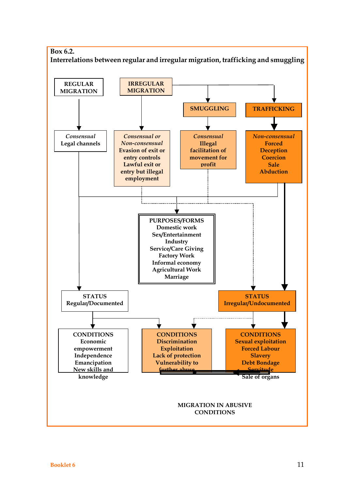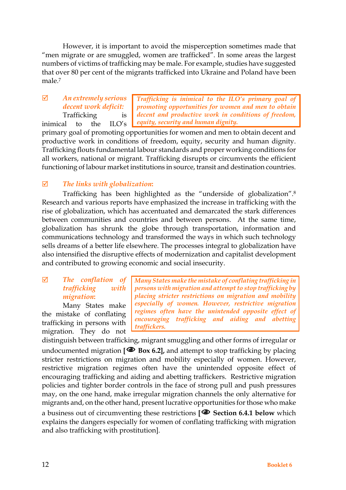However, it is important to avoid the misperception sometimes made that "men migrate or are smuggled, women are trafficked". In some areas the largest numbers of victims of trafficking may be male. For example, studies have suggested that over 80 per cent of the migrants trafficked into Ukraine and Poland have been male<sup>7</sup>

## ! *An extremely serious decent work deficit:*  Trafficking is

inimical to the ILO's

*Trafficking is inimical to the ILOís primary goal of promoting opportunities for women and men to obtain decent and productive work in conditions of freedom, equity, security and human dignity.* 

primary goal of promoting opportunities for women and men to obtain decent and productive work in conditions of freedom, equity, security and human dignity. Trafficking flouts fundamental labour standards and proper working conditions for all workers, national or migrant. Trafficking disrupts or circumvents the efficient functioning of labour market institutions in source, transit and destination countries.

## ! *The links with globalization***:**

Trafficking has been highlighted as the "underside of globalization".8 Research and various reports have emphasized the increase in trafficking with the rise of globalization, which has accentuated and demarcated the stark differences between communities and countries and between persons. At the same time, globalization has shrunk the globe through transportation, information and communications technology and transformed the ways in which such technology sells dreams of a better life elsewhere. The processes integral to globalization have also intensified the disruptive effects of modernization and capitalist development and contributed to growing economic and social insecurity.

## $\nabla$  *The conflation of trafficking with migration***:**

Many States make the mistake of conflating trafficking in persons with migration. They do not *Many States make the mistake of conflating trafficking in persons with migration and attempt to stop trafficking by placing stricter restrictions on migration and mobility especially of women. However, restrictive migration regimes often have the unintended opposite effect of encouraging trafficking and aiding and abetting traffickers.* 

distinguish between trafficking, migrant smuggling and other forms of irregular or undocumented migration  $[\mathbf{\mathcal{D}}$  Box 6.2], and attempt to stop trafficking by placing stricter restrictions on migration and mobility especially of women. However, restrictive migration regimes often have the unintended opposite effect of encouraging trafficking and aiding and abetting traffickers. Restrictive migration policies and tighter border controls in the face of strong pull and push pressures may, on the one hand, make irregular migration channels the only alternative for migrants and, on the other hand, present lucrative opportunities for those who make a business out of circumventing these restrictions **[**! **Section 6.4.1 below** which explains the dangers especially for women of conflating trafficking with migration and also trafficking with prostitution].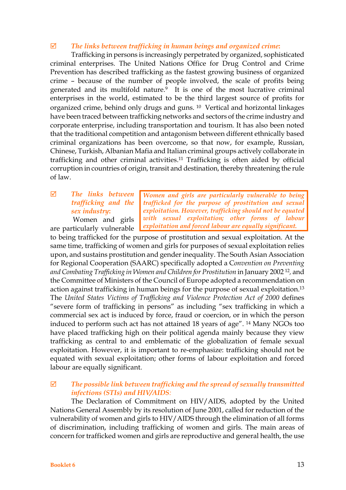## ! *The links between trafficking in human beings and organized crime***:**

Trafficking in persons is increasingly perpetrated by organized, sophisticated criminal enterprises. The United Nations Office for Drug Control and Crime Prevention has described trafficking as the fastest growing business of organized crime - because of the number of people involved, the scale of profits being generated and its multifold nature.9 It is one of the most lucrative criminal enterprises in the world, estimated to be the third largest source of profits for organized crime, behind only drugs and guns. 10 Vertical and horizontal linkages have been traced between trafficking networks and sectors of the crime industry and corporate enterprise, including transportation and tourism. It has also been noted that the traditional competition and antagonism between different ethnically based criminal organizations has been overcome, so that now, for example, Russian, Chinese, Turkish, Albanian Mafia and Italian criminal groups actively collaborate in trafficking and other criminal activities.11 Trafficking is often aided by official corruption in countries of origin, transit and destination, thereby threatening the rule of law.

## ! *The links between trafficking and the sex industry***:** Women and girls

are particularly vulnerable

*Women and girls are particularly vulnerable to being trafficked for the purpose of prostitution and sexual exploitation. However, trafficking should not be equated with sexual exploitation; other forms of labour exploitation and forced labour are equally significant.* 

to being trafficked for the purpose of prostitution and sexual exploitation. At the same time, trafficking of women and girls for purposes of sexual exploitation relies upon, and sustains prostitution and gender inequality. The South Asian Association for Regional Cooperation (SAARC) specifically adopted a C*onvention on Preventing and Combating Trafficking in Women and Children for Prostitution* in January 2002 12*,* and the Committee of Ministers of the Council of Europe adopted a recommendation on action against trafficking in human beings for the purpose of sexual exploitation.13 The *United States Victims of Trafficking and Violence Protection Act of 2000* defines "severe form of trafficking in persons" as including "sex trafficking in which a commercial sex act is induced by force, fraud or coercion, or in which the person induced to perform such act has not attained 18 years of age".  $14$  Many NGOs too have placed trafficking high on their political agenda mainly because they view trafficking as central to and emblematic of the globalization of female sexual exploitation. However, it is important to re-emphasize: trafficking should not be equated with sexual exploitation; other forms of labour exploitation and forced labour are equally significant.

## ! *The possible link between trafficking and the spread of sexually transmitted infections (STIs) and HIV/AIDS:*

The Declaration of Commitment on HIV/AIDS, adopted by the United Nations General Assembly by its resolution of June 2001, called for reduction of the vulnerability of women and girls to HIV/AIDS through the elimination of all forms of discrimination, including trafficking of women and girls. The main areas of concern for trafficked women and girls are reproductive and general health, the use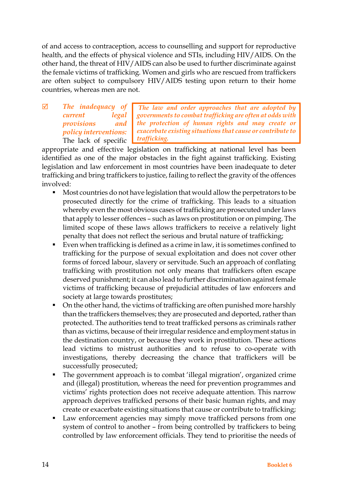of and access to contraception, access to counselling and support for reproductive health, and the effects of physical violence and STIs, including HIV/AIDS. On the other hand, the threat of HIV/AIDS can also be used to further discriminate against the female victims of trafficking. Women and girls who are rescued from traffickers are often subject to compulsory HIV/AIDS testing upon return to their home countries, whereas men are not.

 $\nabla$  *The inadequacy of current legal provisions and policy interventions:* The lack of specific

*The law and order approaches that are adopted by governments to combat trafficking are often at odds with the protection of human rights and may create or exacerbate existing situations that cause or contribute to trafficking.* 

appropriate and effective legislation on trafficking at national level has been identified as one of the major obstacles in the fight against trafficking. Existing legislation and law enforcement in most countries have been inadequate to deter trafficking and bring traffickers to justice, failing to reflect the gravity of the offences involved:

- " Most countries do not have legislation that would allow the perpetrators to be prosecuted directly for the crime of trafficking. This leads to a situation whereby even the most obvious cases of trafficking are prosecuted under laws that apply to lesser offences - such as laws on prostitution or on pimping. The limited scope of these laws allows traffickers to receive a relatively light penalty that does not reflect the serious and brutal nature of trafficking;
- $\blacksquare$  Even when trafficking is defined as a crime in law, it is sometimes confined to trafficking for the purpose of sexual exploitation and does not cover other forms of forced labour, slavery or servitude. Such an approach of conflating trafficking with prostitution not only means that traffickers often escape deserved punishment; it can also lead to further discrimination against female victims of trafficking because of prejudicial attitudes of law enforcers and society at large towards prostitutes;
- $\blacksquare$  On the other hand, the victims of trafficking are often punished more harshly than the traffickers themselves; they are prosecuted and deported, rather than protected. The authorities tend to treat trafficked persons as criminals rather than as victims, because of their irregular residence and employment status in the destination country, or because they work in prostitution. These actions lead victims to mistrust authorities and to refuse to co-operate with investigations, thereby decreasing the chance that traffickers will be successfully prosecuted;
- $\blacksquare$  The government approach is to combat 'illegal migration', organized crime and (illegal) prostitution, whereas the need for prevention programmes and victims' rights protection does not receive adequate attention. This narrow approach deprives trafficked persons of their basic human rights, and may create or exacerbate existing situations that cause or contribute to trafficking;
- Law enforcement agencies may simply move trafficked persons from one system of control to another – from being controlled by traffickers to being controlled by law enforcement officials. They tend to prioritise the needs of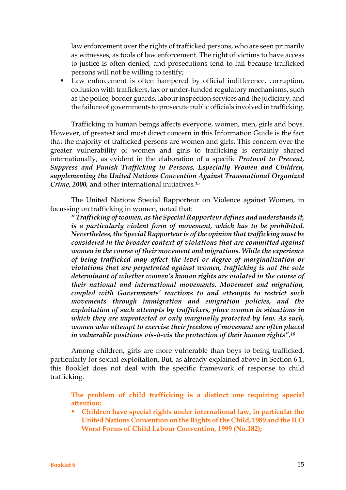law enforcement over the rights of trafficked persons, who are seen primarily as witnesses, as tools of law enforcement. The right of victims to have access to justice is often denied, and prosecutions tend to fail because trafficked persons will not be willing to testify;

" Law enforcement is often hampered by official indifference, corruption, collusion with traffickers, lax or under-funded regulatory mechanisms, such as the police, border guards, labour inspection services and the judiciary, and the failure of governments to prosecute public officials involved in trafficking.

Trafficking in human beings affects everyone, women, men, girls and boys. However, of greatest and most direct concern in this Information Guide is the fact that the majority of trafficked persons are women and girls. This concern over the greater vulnerability of women and girls to trafficking is certainly shared internationally, as evident in the elaboration of a specific *Protocol to Prevent, Suppress and Punish Trafficking in Persons, Especially Women and Children, supplementing the United Nations Convention Against Transnational Organized Crime, 2000,* and other international initiatives*. <sup>15</sup>*

The United Nations Special Rapporteur on Violence against Women, in focussing on trafficking in women, noted that:

*ì Trafficking of women, as the Special Rapporteur defines and understands it, is a particularly violent form of movement, which has to be prohibited. Nevertheless, the Special Rapporteur is of the opinion that trafficking must be considered in the broader context of violations that are committed against women in the course of their movement and migrations. While the experience of being trafficked may affect the level or degree of marginalization or violations that are perpetrated against women, trafficking is not the sole determinant of whether womenís human rights are violated in the course of their national and international movements. Movement and migration, coupled with Governmentsí reactions to and attempts to restrict such movements through immigration and emigration policies, and the exploitation of such attempts by traffickers, place women in situations in which they are unprotected or only marginally protected by law. As such, women who attempt to exercise their freedom of movement are often placed in vulnerable positions vis-à-vis the protection of their human rights".*<sup>16</sup>

Among children, girls are more vulnerable than boys to being trafficked, particularly for sexual exploitation. But, as already explained above in Section 6.1, this Booklet does not deal with the specific framework of response to child trafficking.

 **The problem of child trafficking is a distinct one requiring special attention:** 

" **Children have special rights under international law, in particular the United Nations Convention on the Rights of the Child, 1989 and the ILO Worst Forms of Child Labour Convention, 1999 (No.182);**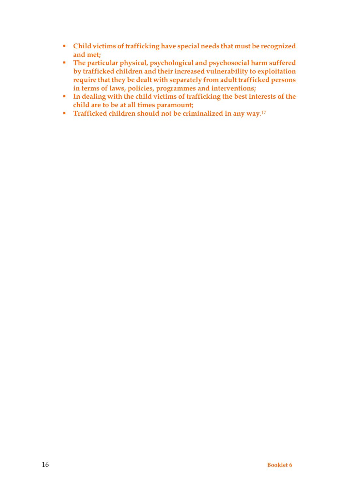- " **Child victims of trafficking have special needs that must be recognized and met;**
- " **The particular physical, psychological and psychosocial harm suffered by trafficked children and their increased vulnerability to exploitation require that they be dealt with separately from adult trafficked persons in terms of laws, policies, programmes and interventions;**
- " **In dealing with the child victims of trafficking the best interests of the child are to be at all times paramount;**
- " **Trafficked children should not be criminalized in any way**.17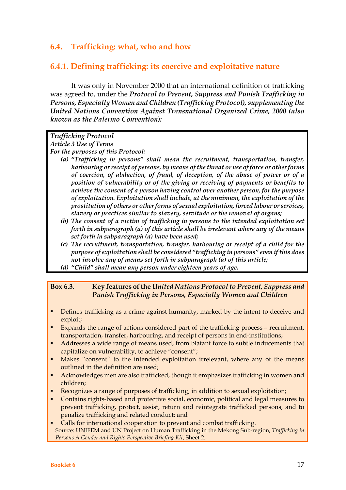# **6.4. Trafficking: what, who and how**

## **6.4.1. Defining trafficking: its coercive and exploitative nature**

It was only in November 2000 that an international definition of trafficking was agreed to, under the *Protocol to Prevent, Suppress and Punish Trafficking in Persons, Especially Women and Children (Trafficking Protocol), supplementing the United Nations Convention Against Transnational Organized Crime, 2000 (also known as the Palermo Convention):* 

#### *Trafficking Protocol*

*Article 3 Use of Terms* 

*For the purposes of this Protocol:* 

- (a) "Trafficking in persons" shall mean the recruitment, transportation, transfer, *harbouring or receipt of persons, by means of the threat or use of force or other forms of coercion, of abduction, of fraud, of deception, of the abuse of power or of a position of vulnerability or of the giving or receiving of payments or benefits to achieve the consent of a person having control over another person, for the purpose of exploitation. Exploitation shall include, at the minimum, the exploitation of the prostitution of others or other forms of sexual exploitation, forced labour or services, slavery or practices similar to slavery, servitude or the removal of organs;*
- *(b) The consent of a victim of trafficking in persons to the intended exploitation set forth in subparagraph (a) of this article shall be irrelevant where any of the means set forth in subparagraph (a) have been used;*
- *(c) The recruitment, transportation, transfer, harbouring or receipt of a child for the*  purpose of exploitation shall be considered "trafficking in persons" even if this does *not involve any of means set forth in subparagraph (a) of this article;*
- *(d)* "Child" shall mean any person under eighteen years of age.

## **Box 6.3. Key features of the** *United Nations Protocol to Prevent, Suppress and Punish Trafficking in Persons, Especially Women and Children*

- " Defines trafficking as a crime against humanity, marked by the intent to deceive and exploit;
- Expands the range of actions considered part of the trafficking process recruitment, transportation, transfer, harbouring, and receipt of persons in end-institutions;
- Addresses a wide range of means used, from blatant force to subtle inducements that capitalize on vulnerability, to achieve "consent";
- " Makes "consent" to the intended exploitation irrelevant, where any of the means outlined in the definition are used;
- " Acknowledges men are also trafficked, though it emphasizes trafficking in women and children;
- Recognizes a range of purposes of trafficking, in addition to sexual exploitation;
- " Contains rights-based and protective social, economic, political and legal measures to prevent trafficking, protect, assist, return and reintegrate trafficked persons, and to penalize trafficking and related conduct; and
- Calls for international cooperation to prevent and combat trafficking. Source: UNIFEM and UN Project on Human Trafficking in the Mekong Sub-region, *Trafficking in Persons A Gender and Rights Perspective Briefing Kit*, Sheet 2.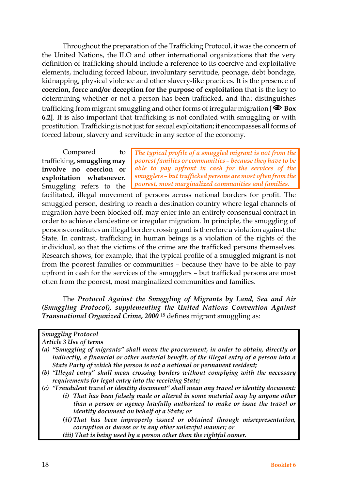Throughout the preparation of the Trafficking Protocol, it was the concern of the United Nations, the ILO and other international organizations that the very definition of trafficking should include a reference to its coercive and exploitative elements, including forced labour, involuntary servitude, peonage, debt bondage, kidnapping, physical violence and other slavery-like practices. It is the presence of **coercion, force and/or deception for the purpose of exploitation** that is the key to determining whether or not a person has been trafficked, and that distinguishes trafficking from migrant smuggling and other forms of irregular migration  $\lceil \bigcirc \Phi \rceil$  Box **6.2]**. It is also important that trafficking is not conflated with smuggling or with prostitution. Trafficking is not just for sexual exploitation; it encompasses all forms of forced labour, slavery and servitude in any sector of the economy.

Compared to trafficking, **smuggling may involve no coercion or exploitation whatsoever.** Smuggling refers to the

*The typical profile of a smuggled migrant is not from the poorest families or communities - because they have to be able to pay upfront in cash for the services of the smugglers – but trafficked persons are most often from the poorest, most marginalized communities and families.*

facilitated, illegal movement of persons across national borders for profit. The smuggled person, desiring to reach a destination country where legal channels of migration have been blocked off, may enter into an entirely consensual contract in order to achieve clandestine or irregular migration. In principle, the smuggling of persons constitutes an illegal border crossing and is therefore a violation against the State. In contrast, trafficking in human beings is a violation of the rights of the individual, so that the victims of the crime are the trafficked persons themselves. Research shows, for example, that the typical profile of a smuggled migrant is not from the poorest families or communities – because they have to be able to pay upfront in cash for the services of the smugglers – but trafficked persons are most often from the poorest, most marginalized communities and families.

The *Protocol Against the Smuggling of Migrants by Land, Sea and Air (Smuggling Protocol), supplementing the United Nations Convention Against Transnational Organized Crime, 2000* <sup>18</sup> defines migrant smuggling as:

# *Smuggling Protocol*

*Article 3 Use of terms* 

- (a) "Smuggling of migrants" shall mean the procurement, in order to obtain, directly or *indirectly, a financial or other material benefit, of the illegal entry of a person into a State Party of which the person is not a national or permanent resident;*
- (b) "Illegal entry" shall mean crossing borders without complying with the necessary *requirements for legal entry into the receiving State;*
- *(c) ìFraudulent travel or identity documentî shall mean any travel or identity document: (i) That has been falsely made or altered in some material way by anyone other than a person or agency lawfully authorized to make or issue the travel or identity document on behalf of a State; or* 
	- *(ii) That has been improperly issued or obtained through misrepresentation, corruption or duress or in any other unlawful manner; or*
	- *(iii) That is being used by a person other than the rightful owner.*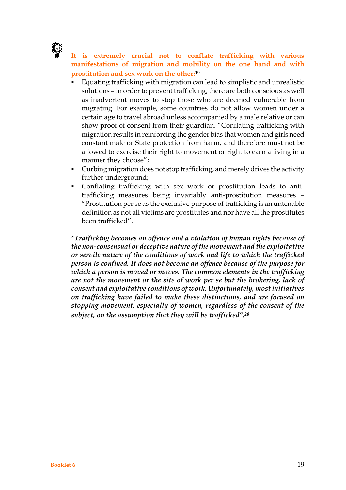

**It is extremely crucial not to conflate trafficking with various manifestations of migration and mobility on the one hand and with prostitution and sex work on the other:**<sup>19</sup>

- " Equating trafficking with migration can lead to simplistic and unrealistic solutions – in order to prevent trafficking, there are both conscious as well as inadvertent moves to stop those who are deemed vulnerable from migrating. For example, some countries do not allow women under a certain age to travel abroad unless accompanied by a male relative or can show proof of consent from their guardian. "Conflating trafficking with migration results in reinforcing the gender bias that women and girls need constant male or State protection from harm, and therefore must not be allowed to exercise their right to movement or right to earn a living in a manner they choose";
- " Curbing migration does not stop trafficking, and merely drives the activity further underground;
- " Conflating trafficking with sex work or prostitution leads to antitrafficking measures being invariably anti-prostitution measures - $\degree$ Prostitution per se as the exclusive purpose of trafficking is an untenable definition as not all victims are prostitutes and nor have all the prostitutes been trafficked".

*ìTrafficking becomes an offence and a violation of human rights because of the non-consensual or deceptive nature of the movement and the exploitative or servile nature of the conditions of work and life to which the trafficked person is confined. It does not become an offence because of the purpose for which a person is moved or moves. The common elements in the trafficking are not the movement or the site of work per se but the brokering, lack of consent and exploitative conditions of work. Unfortunately, most initiatives on trafficking have failed to make these distinctions, and are focused on stopping movement, especially of women, regardless of the consent of the*  subject, on the assumption that they will be trafficked".<sup>20</sup>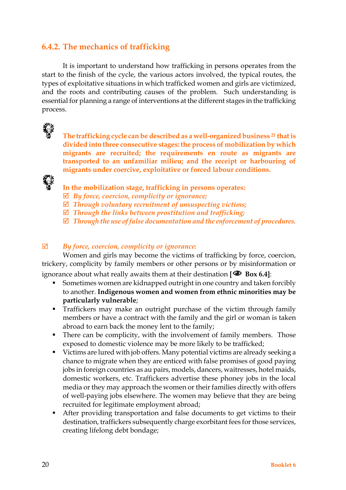# **6.4.2. The mechanics of trafficking**

It is important to understand how trafficking in persons operates from the start to the finish of the cycle, the various actors involved, the typical routes, the types of exploitative situations in which trafficked women and girls are victimized, and the roots and contributing causes of the problem. Such understanding is essential for planning a range of interventions at the different stages in the trafficking process.



**The trafficking cycle can be described as a well-organized business 21 that is divided into three consecutive stages: the process of mobilization by which migrants are recruited; the requirements en route as migrants are transported to an unfamiliar milieu; and the receipt or harbouring of migrants under coercive, exploitative or forced labour conditions.** 



## **In the mobilization stage, trafficking in persons operates:**

- \$ *By force, coercion, complicity or ignorance;*
- \$ *Through voluntary recruitment of unsuspecting victims;*
- \$ *Through the links between prostitution and trafficking;*
- \$ *Through the use of false documentation and the enforcement of procedures.*

## ! *By force, coercion, complicity or ignorance:*

Women and girls may become the victims of trafficking by force, coercion, trickery, complicity by family members or other persons or by misinformation or ignorance about what really awaits them at their destination  $\lceil \mathbf{\Phi} \rceil$  Box 6.4]:

- Sometimes women are kidnapped outright in one country and taken forcibly to another. **Indigenous women and women from ethnic minorities may be particularly vulnerable**;
- " Traffickers may make an outright purchase of the victim through family members or have a contract with the family and the girl or woman is taken abroad to earn back the money lent to the family;
- There can be complicity, with the involvement of family members. Those exposed to domestic violence may be more likely to be trafficked;
- " Victims are lured with job offers. Many potential victims are already seeking a chance to migrate when they are enticed with false promises of good paying jobs in foreign countries as au pairs, models, dancers, waitresses, hotel maids, domestic workers, etc. Traffickers advertise these phoney jobs in the local media or they may approach the women or their families directly with offers of well-paying jobs elsewhere. The women may believe that they are being recruited for legitimate employment abroad;
- " After providing transportation and false documents to get victims to their destination, traffickers subsequently charge exorbitant fees for those services, creating lifelong debt bondage;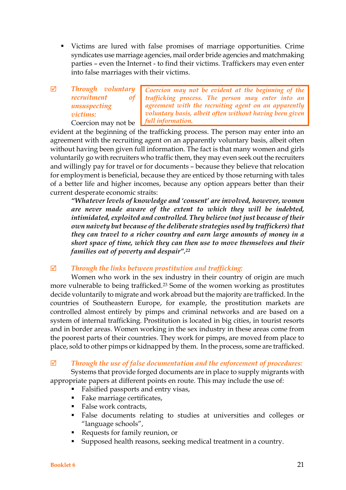- " Victims are lured with false promises of marriage opportunities. Crime syndicates use marriage agencies, mail order bride agencies and matchmaking parties - even the Internet - to find their victims. Traffickers may even enter into false marriages with their victims.
- ! *Through voluntary recruitment of unsuspecting victims:*

Coercion may not be *full information. Coercion may not be evident at the beginning of the trafficking process. The person may enter into an agreement with the recruiting agent on an apparently voluntary basis, albeit often without having been given* 

evident at the beginning of the trafficking process. The person may enter into an agreement with the recruiting agent on an apparently voluntary basis, albeit often without having been given full information. The fact is that many women and girls voluntarily go with recruiters who traffic them, they may even seek out the recruiters and willingly pay for travel or for documents - because they believe that relocation for employment is beneficial, because they are enticed by those returning with tales of a better life and higher incomes, because any option appears better than their current desperate economic straits:

*ìWhatever levels of knowledge and ëconsentí are involved, however, women are never made aware of the extent to which they will be indebted, intimidated, exploited and controlled. They believe (not just because of their own naivety but because of the deliberate strategies used by traffickers) that they can travel to a richer country and earn large amounts of money in a short space of time, which they can then use to move themselves and their families out of poverty and despair".*<sup>22</sup>

## ! *Through the links between prostitution and trafficking:*

Women who work in the sex industry in their country of origin are much more vulnerable to being trafficked.23 Some of the women working as prostitutes decide voluntarily to migrate and work abroad but the majority are trafficked. In the countries of Southeastern Europe, for example, the prostitution markets are controlled almost entirely by pimps and criminal networks and are based on a system of internal trafficking. Prostitution is located in big cities, in tourist resorts and in border areas. Women working in the sex industry in these areas come from the poorest parts of their countries. They work for pimps, are moved from place to place, sold to other pimps or kidnapped by them. In the process, some are trafficked.

## ! *Through the use of false documentation and the enforcement of procedures:* Systems that provide forged documents are in place to supply migrants with

appropriate papers at different points en route. This may include the use of:

- " Falsified passports and entry visas,
- Fake marriage certificates,
- False work contracts,
- " False documents relating to studies at universities and colleges or "language schools",
- " Requests for family reunion, or
- " Supposed health reasons, seeking medical treatment in a country.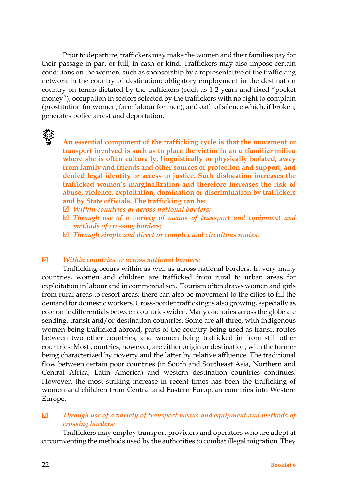Prior to departure, traffickers may make the women and their families pay for their passage in part or full, in cash or kind. Traffickers may also impose certain conditions on the women, such as sponsorship by a representative of the trafficking network in the country of destination; obligatory employment in the destination country on terms dictated by the traffickers (such as 1-2 years and fixed "pocket" money"); occupation in sectors selected by the traffickers with no right to complain (prostitution for women, farm labour for men); and oath of silence which, if broken, generates police arrest and deportation.



- **An essential component of the trafficking cycle is that the movement or transport involved is such as to place the victim in an unfamiliar milieu where she is often culturally, linguistically or physically isolated, away from family and friends and other sources of protection and support, and denied legal identity or access to justice. Such dislocation increases the trafficked womenís marginalization and therefore increases the risk of abuse, violence, exploitation, domination or discrimination by traffickers and by State officials. The trafficking can be:**
- \$ *Within countries or across national borders;*
- \$ *Through use of a variety of means of transport and equipment and methods of crossing borders;*
- \$ *Through simple and direct or complex and circuitous routes.*

#### ! *Within countries or across national borders:*

Trafficking occurs within as well as across national borders. In very many countries, women and children are trafficked from rural to urban areas for exploitation in labour and in commercial sex. Tourism often draws women and girls from rural areas to resort areas; there can also be movement to the cities to fill the demand for domestic workers. Cross-border trafficking is also growing, especially as economic differentials between countries widen. Many countries across the globe are sending, transit and/or destination countries. Some are all three, with indigenous women being trafficked abroad, parts of the country being used as transit routes between two other countries, and women being trafficked in from still other countries. Most countries, however, are either origin or destination, with the former being characterized by poverty and the latter by relative affluence. The traditional flow between certain poor countries (in South and Southeast Asia, Northern and Central Africa, Latin America) and western destination countries continues. However, the most striking increase in recent times has been the trafficking of women and children from Central and Eastern European countries into Western Europe.

## ! *Through use of a variety of transport means and equipment and methods of crossing borders:*

Traffickers may employ transport providers and operators who are adept at circumventing the methods used by the authorities to combat illegal migration. They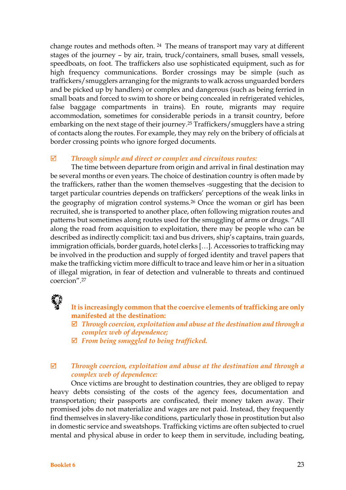change routes and methods often. 24 The means of transport may vary at different stages of the journey - by air, train, truck/containers, small buses, small vessels, speedboats, on foot. The traffickers also use sophisticated equipment, such as for high frequency communications. Border crossings may be simple (such as traffickers/smugglers arranging for the migrants to walk across unguarded borders and be picked up by handlers) or complex and dangerous (such as being ferried in small boats and forced to swim to shore or being concealed in refrigerated vehicles, false baggage compartments in trains). En route, migrants may require accommodation, sometimes for considerable periods in a transit country, before embarking on the next stage of their journey.25 Traffickers/smugglers have a string of contacts along the routes. For example, they may rely on the bribery of officials at border crossing points who ignore forged documents.

## ! *Through simple and direct or complex and circuitous routes:*

The time between departure from origin and arrival in final destination may be several months or even years. The choice of destination country is often made by the traffickers, rather than the women themselves -suggesting that the decision to target particular countries depends on traffickers' perceptions of the weak links in the geography of migration control systems.26 Once the woman or girl has been recruited, she is transported to another place, often following migration routes and patterns but sometimes along routes used for the smuggling of arms or drugs. "All along the road from acquisition to exploitation, there may be people who can be described as indirectly complicit: taxi and bus drivers, ship's captains, train guards, immigration officials, border guards, hotel clerks [...]. Accessories to trafficking may be involved in the production and supply of forged identity and travel papers that make the trafficking victim more difficult to trace and leave him or her in a situation of illegal migration, in fear of detection and vulnerable to threats and continued coercion<sup>"</sup>.<sup>27</sup>



- **It is increasingly common that the coercive elements of trafficking are only manifested at the destination:**
- \$ *Through coercion, exploitation and abuse at the destination and through a complex web of dependence;*
- \$ *From being smuggled to being trafficked.*

## ! *Through coercion, exploitation and abuse at the destination and through a complex web of dependence:*

Once victims are brought to destination countries, they are obliged to repay heavy debts consisting of the costs of the agency fees, documentation and transportation; their passports are confiscated, their money taken away. Their promised jobs do not materialize and wages are not paid. Instead, they frequently find themselves in slavery-like conditions, particularly those in prostitution but also in domestic service and sweatshops. Trafficking victims are often subjected to cruel mental and physical abuse in order to keep them in servitude, including beating,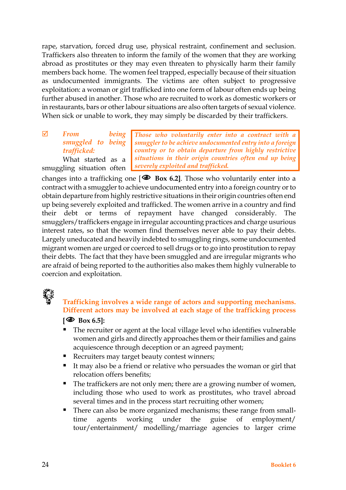rape, starvation, forced drug use, physical restraint, confinement and seclusion. Traffickers also threaten to inform the family of the women that they are working abroad as prostitutes or they may even threaten to physically harm their family members back home. The women feel trapped, especially because of their situation as undocumented immigrants. The victims are often subject to progressive exploitation: a woman or girl trafficked into one form of labour often ends up being further abused in another. Those who are recruited to work as domestic workers or in restaurants, bars or other labour situations are also often targets of sexual violence. When sick or unable to work, they may simply be discarded by their traffickers.

! *From being smuggled to being trafficked:* 

What started as a smuggling situation often

*Those who voluntarily enter into a contract with a smuggler to be achieve undocumented entry into a foreign country or to obtain departure from highly restrictive situations in their origin countries often end up being severely exploited and trafficked.* 

changes into a trafficking one  $[$  **Box 6.2**]. Those who voluntarily enter into a contract with a smuggler to achieve undocumented entry into a foreign country or to obtain departure from highly restrictive situations in their origin countries often end up being severely exploited and trafficked. The women arrive in a country and find their debt or terms of repayment have changed considerably. The smugglers/traffickers engage in irregular accounting practices and charge usurious interest rates, so that the women find themselves never able to pay their debts. Largely uneducated and heavily indebted to smuggling rings, some undocumented migrant women are urged or coerced to sell drugs or to go into prostitution to repay their debts. The fact that they have been smuggled and are irregular migrants who are afraid of being reported to the authorities also makes them highly vulnerable to coercion and exploitation.



## **Trafficking involves a wide range of actors and supporting mechanisms. Different actors may be involved at each stage of the trafficking process**

## **[**! **Box 6.5]:**

- The recruiter or agent at the local village level who identifies vulnerable women and girls and directly approaches them or their families and gains acquiescence through deception or an agreed payment;
- Recruiters may target beauty contest winners;
- " It may also be a friend or relative who persuades the woman or girl that relocation offers benefits;
- The traffickers are not only men; there are a growing number of women, including those who used to work as prostitutes, who travel abroad several times and in the process start recruiting other women;
- " There can also be more organized mechanisms; these range from smalltime agents working under the guise of employment/ tour/entertainment/ modelling/marriage agencies to larger crime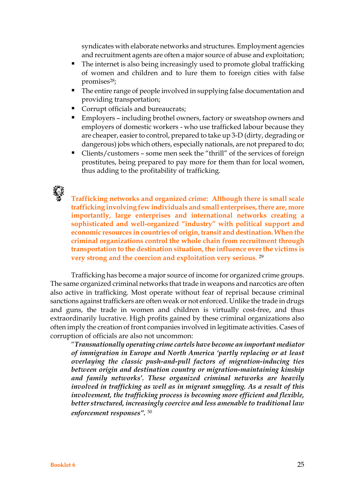syndicates with elaborate networks and structures. Employment agencies and recruitment agents are often a major source of abuse and exploitation;

- The internet is also being increasingly used to promote global trafficking of women and children and to lure them to foreign cities with false promises<sup>28</sup>;
- " The entire range of people involved in supplying false documentation and providing transportation;
- **Corrupt officials and bureaucrats;**
- $\blacksquare$  Employers including brothel owners, factory or sweatshop owners and employers of domestic workers - who use trafficked labour because they are cheaper, easier to control, prepared to take up 3-D (dirty, degrading or dangerous) jobs which others, especially nationals, are not prepared to do;
- $\blacksquare$  Clients/customers some men seek the "thrill" of the services of foreign prostitutes, being prepared to pay more for them than for local women, thus adding to the profitability of trafficking.



 **Trafficking networks and organized crime: Although there is small scale trafficking involving few individuals and small enterprises, there are, more importantly, large enterprises and international networks creating a**  sophisticated and well-organized "industry" with political support and **economic resources in countries of origin, transit and destination. When the criminal organizations control the whole chain from recruitment through transportation to the destination situation, the influence over the victims is very strong and the coercion and exploitation very serious**. 29

 Trafficking has become a major source of income for organized crime groups. The same organized criminal networks that trade in weapons and narcotics are often also active in trafficking. Most operate without fear of reprisal because criminal sanctions against traffickers are often weak or not enforced. Unlike the trade in drugs and guns, the trade in women and children is virtually cost-free, and thus extraordinarily lucrative. High profits gained by these criminal organizations also often imply the creation of front companies involved in legitimate activities. Cases of corruption of officials are also not uncommon:

ì*Transnationally operating crime cartels have become an important mediator of immigration in Europe and North America ëpartly replacing or at least overlaying the classic push-and-pull factors of migration-inducing ties between origin and destination country or migration-maintaining kinship and family networksí. These organized criminal networks are heavily involved in trafficking as well as in migrant smuggling. As a result of this involvement, the trafficking process is becoming more efficient and flexible, better structured, increasingly coercive and less amenable to traditional law enforcement responses*". 30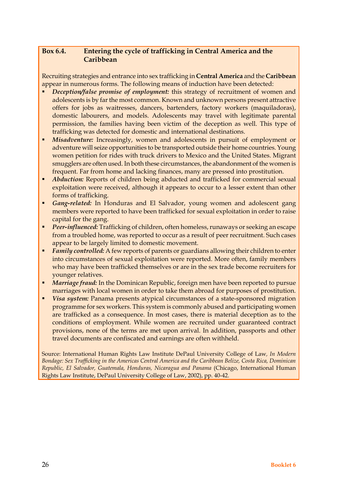## **Box 6.4. Entering the cycle of trafficking in Central America and the Caribbean**

Recruiting strategies and entrance into sex trafficking in **Central America** and the **Caribbean** appear in numerous forms. The following means of induction have been detected:

- *Deception/false promise of employment: this strategy of recruitment of women and* adolescents is by far the most common. Known and unknown persons present attractive offers for jobs as waitresses, dancers, bartenders, factory workers (maquiladoras), domestic labourers, and models. Adolescents may travel with legitimate parental permission, the families having been victim of the deception as well. This type of trafficking was detected for domestic and international destinations.
- *Misadventure:* Increasingly, women and adolescents in pursuit of employment or adventure will seize opportunities to be transported outside their home countries. Young women petition for rides with truck drivers to Mexico and the United States. Migrant smugglers are often used. In both these circumstances, the abandonment of the women is frequent. Far from home and lacking finances, many are pressed into prostitution.
- Abduction: Reports of children being abducted and trafficked for commercial sexual exploitation were received, although it appears to occur to a lesser extent than other forms of trafficking.
- Gang-related: In Honduras and El Salvador, young women and adolescent gang members were reported to have been trafficked for sexual exploitation in order to raise capital for the gang.
- " *Peer-influenced:* Trafficking of children, often homeless, runaways or seeking an escape from a troubled home, was reported to occur as a result of peer recruitment. Such cases appear to be largely limited to domestic movement.
- **Family controlled:** A few reports of parents or guardians allowing their children to enter into circumstances of sexual exploitation were reported. More often, family members who may have been trafficked themselves or are in the sex trade become recruiters for younger relatives.
- Marriage fraud: In the Dominican Republic, foreign men have been reported to pursue marriages with local women in order to take them abroad for purposes of prostitution.
- *Visa system:* Panama presents atypical circumstances of a state-sponsored migration programme for sex workers. This system is commonly abused and participating women are trafficked as a consequence. In most cases, there is material deception as to the conditions of employment. While women are recruited under guaranteed contract provisions, none of the terms are met upon arrival. In addition, passports and other travel documents are confiscated and earnings are often withheld.

Source: International Human Rights Law Institute DePaul University College of Law*, In Modern Bondage: Sex Trafficking in the Americas Central America and the Caribbean Belize, Costa Rica, Dominican Republic, El Salvador, Guatemala, Honduras, Nicaragua and Panama* (Chicago, International Human Rights Law Institute, DePaul University College of Law, 2002), pp. 40-42.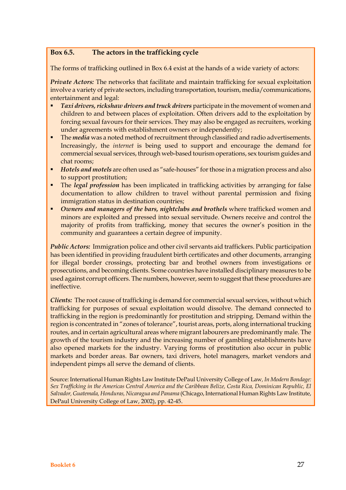## **Box 6.5. The actors in the trafficking cycle**

The forms of trafficking outlined in Box 6.4 exist at the hands of a wide variety of actors:

*Private Actors:* The networks that facilitate and maintain trafficking for sexual exploitation involve a variety of private sectors, including transportation, tourism, media/communications, entertainment and legal:

- " *Taxi drivers, rickshaw drivers and truck drivers* participate in the movement of women and children to and between places of exploitation. Often drivers add to the exploitation by forcing sexual favours for their services. They may also be engaged as recruiters, working under agreements with establishment owners or independently;
- " The *media* was a noted method of recruitment through classified and radio advertisements. Increasingly, the *internet* is being used to support and encourage the demand for commercial sexual services, through web-based tourism operations, sex tourism guides and chat rooms;
- *Hotels and motels* are often used as "safe-houses" for those in a migration process and also to support prostitution;
- The *legal profession* has been implicated in trafficking activities by arranging for false documentation to allow children to travel without parental permission and fixing immigration status in destination countries;
- " *Owners and managers of the bars, nightclubs and brothels* where trafficked women and minors are exploited and pressed into sexual servitude. Owners receive and control the majority of profits from trafficking, money that secures the owner's position in the community and guarantees a certain degree of impunity.

*Public Actors:* Immigration police and other civil servants aid traffickers. Public participation has been identified in providing fraudulent birth certificates and other documents, arranging for illegal border crossings, protecting bar and brothel owners from investigations or prosecutions, and becoming clients. Some countries have installed disciplinary measures to be used against corrupt officers. The numbers, however, seem to suggest that these procedures are ineffective.

*Clients:* The root cause of trafficking is demand for commercial sexual services, without which trafficking for purposes of sexual exploitation would dissolve. The demand connected to trafficking in the region is predominantly for prostitution and stripping. Demand within the region is concentrated in "zones of tolerance", tourist areas, ports, along international trucking routes, and in certain agricultural areas where migrant labourers are predominantly male. The growth of the tourism industry and the increasing number of gambling establishments have also opened markets for the industry. Varying forms of prostitution also occur in public markets and border areas. Bar owners, taxi drivers, hotel managers, market vendors and independent pimps all serve the demand of clients.

Source: International Human Rights Law Institute DePaul University College of Law*, In Modern Bondage: Sex Trafficking in the Americas Central America and the Caribbean Belize, Costa Rica, Dominican Republic, El Salvador, Guatemala, Honduras, Nicaragua and Panama* (Chicago, International Human Rights Law Institute, DePaul University College of Law, 2002), pp. 42-45.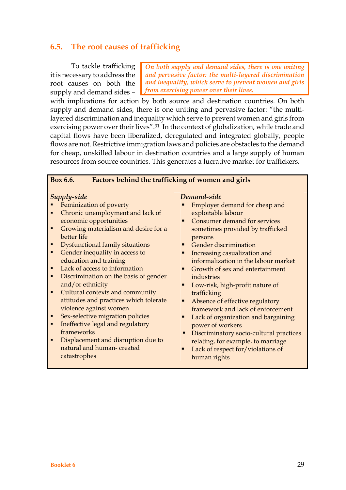## **6.5. The root causes of trafficking**

To tackle trafficking it is necessary to address the root causes on both the supply and demand sides - *On both supply and demand sides, there is one uniting and pervasive factor: the multi-layered discrimination and inequality, which serve to prevent women and girls from exercising power over their lives.* 

with implications for action by both source and destination countries. On both supply and demand sides, there is one uniting and pervasive factor: "the multilayered discrimination and inequality which serve to prevent women and girls from exercising power over their lives".<sup>31</sup> In the context of globalization, while trade and capital flows have been liberalized, deregulated and integrated globally, people flows are not. Restrictive immigration laws and policies are obstacles to the demand for cheap, unskilled labour in destination countries and a large supply of human resources from source countries. This generates a lucrative market for traffickers.

#### **Box 6.6. Factors behind the trafficking of women and girls**

#### *Supply-side*

- Feminization of poverty
- Chronic unemployment and lack of economic opportunities
- Growing materialism and desire for a better life
- Dysfunctional family situations
- Gender inequality in access to education and training
- Lack of access to information
- Discrimination on the basis of gender and/or ethnicity
- Cultural contexts and community attitudes and practices which tolerate violence against women
- Sex-selective migration policies
- Ineffective legal and regulatory frameworks
- Displacement and disruption due to natural and human- created catastrophes

#### *Demand-side*

- Employer demand for cheap and exploitable labour
- **Consumer demand for services** sometimes provided by trafficked persons
- **Gender discrimination**
- Increasing casualization and informalization in the labour market
- Growth of sex and entertainment industries
- Low-risk, high-profit nature of trafficking
- Absence of effective regulatory framework and lack of enforcement
- Lack of organization and bargaining power of workers
- Discriminatory socio-cultural practices relating, for example, to marriage
- Lack of respect for/violations of human rights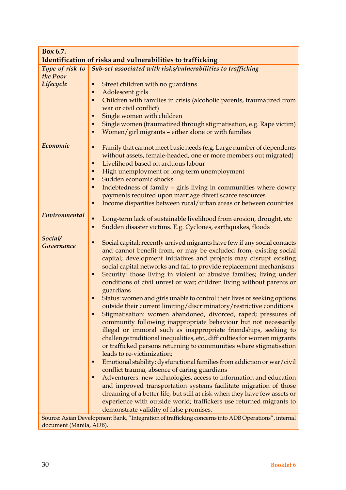| Box 6.7.                                                   |                                                                                                     |  |  |  |
|------------------------------------------------------------|-----------------------------------------------------------------------------------------------------|--|--|--|
| Identification of risks and vulnerabilities to trafficking |                                                                                                     |  |  |  |
| Type of risk to                                            | Sub-set associated with risks/vulnerabilities to trafficking                                        |  |  |  |
| the Poor                                                   |                                                                                                     |  |  |  |
| Lifecycle                                                  | Street children with no guardians<br>Ξ                                                              |  |  |  |
|                                                            | Adolescent girls<br>Ξ                                                                               |  |  |  |
|                                                            | Children with families in crisis (alcoholic parents, traumatized from<br>Ξ                          |  |  |  |
|                                                            | war or civil conflict)                                                                              |  |  |  |
|                                                            | Single women with children<br>Ξ                                                                     |  |  |  |
|                                                            | Single women (traumatized through stigmatisation, e.g. Rape victim)<br>п                            |  |  |  |
|                                                            | Women/girl migrants - either alone or with families<br>п                                            |  |  |  |
| Economic                                                   |                                                                                                     |  |  |  |
|                                                            | Family that cannot meet basic needs (e.g. Large number of dependents<br>Ξ                           |  |  |  |
|                                                            | without assets, female-headed, one or more members out migrated)                                    |  |  |  |
|                                                            | Livelihood based on arduous labour<br>п                                                             |  |  |  |
|                                                            | High unemployment or long-term unemployment                                                         |  |  |  |
|                                                            | Sudden economic shocks<br>Ξ                                                                         |  |  |  |
|                                                            | Indebtedness of family - girls living in communities where dowry<br>Ξ                               |  |  |  |
|                                                            | payments required upon marriage divert scarce resources                                             |  |  |  |
|                                                            | Income disparities between rural/urban areas or between countries<br>Ξ                              |  |  |  |
| Environmental                                              | Ξ<br>Long-term lack of sustainable livelihood from erosion, drought, etc                            |  |  |  |
|                                                            | Sudden disaster victims. E.g. Cyclones, earthquakes, floods<br>Ξ                                    |  |  |  |
|                                                            |                                                                                                     |  |  |  |
| Social/                                                    | Social capital: recently arrived migrants have few if any social contacts<br>٠                      |  |  |  |
| Governance                                                 | and cannot benefit from, or may be excluded from, existing social                                   |  |  |  |
|                                                            | capital; development initiatives and projects may disrupt existing                                  |  |  |  |
|                                                            | social capital networks and fail to provide replacement mechanisms                                  |  |  |  |
|                                                            | Security: those living in violent or abusive families; living under<br>Ξ                            |  |  |  |
|                                                            | conditions of civil unrest or war; children living without parents or                               |  |  |  |
|                                                            | guardians                                                                                           |  |  |  |
|                                                            | Status: women and girls unable to control their lives or seeking options<br>Ξ                       |  |  |  |
|                                                            | outside their current limiting/discriminatory/restrictive conditions                                |  |  |  |
|                                                            | Stigmatisation: women abandoned, divorced, raped; pressures of                                      |  |  |  |
|                                                            | community following inappropriate behaviour but not necessarily                                     |  |  |  |
|                                                            | illegal or immoral such as inappropriate friendships, seeking to                                    |  |  |  |
|                                                            | challenge traditional inequalities, etc., difficulties for women migrants                           |  |  |  |
|                                                            | or trafficked persons returning to communities where stigmatisation                                 |  |  |  |
|                                                            | leads to re-victimization;                                                                          |  |  |  |
|                                                            | Emotional stability: dysfunctional families from addiction or war/civil                             |  |  |  |
|                                                            | conflict trauma, absence of caring guardians                                                        |  |  |  |
|                                                            | Adventurers: new technologies, access to information and education                                  |  |  |  |
|                                                            | and improved transportation systems facilitate migration of those                                   |  |  |  |
|                                                            | dreaming of a better life, but still at risk when they have few assets or                           |  |  |  |
|                                                            | experience with outside world; traffickers use returned migrants to                                 |  |  |  |
|                                                            | demonstrate validity of false promises.                                                             |  |  |  |
|                                                            | Source: Asian Development Bank, "Integration of trafficking concerns into ADB Operations", internal |  |  |  |
| document (Manila, ADB).                                    |                                                                                                     |  |  |  |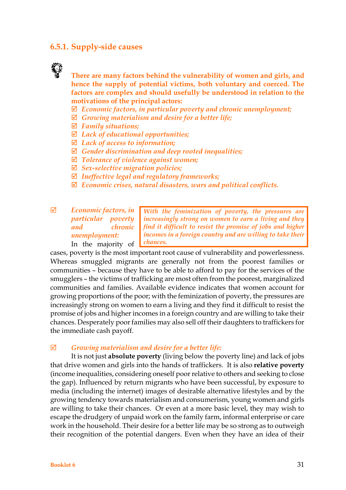# **6.5.1. Supply-side causes**



**There are many factors behind the vulnerability of women and girls, and hence the supply of potential victims, both voluntary and coerced. The factors are complex and should usefully be understood in relation to the motivations of the principal actors:** 

\$ *Economic factors, in particular poverty and chronic unemployment;* 

- \$ *Growing materialism and desire for a better life;*
- \$ *Family situations;*
- \$ *Lack of educational opportunities;*
- \$ *Lack of access to information;*
- \$ *Gender discrimination and deep rooted inequalities;*
- \$ *Tolerance of violence against women;*
- \$ *Sex-selective migration policies;*
- \$ *Ineffective legal and regulatory frameworks;*
- \$ *Economic crises, natural disasters, wars and political conflicts.*
- $\n *Economic factors, in*\n$ *particular poverty and chronic unemployment:* In the majority of

*With the feminization of poverty, the pressures are increasingly strong on women to earn a living and they find it difficult to resist the promise of jobs and higher incomes in a foreign country and are willing to take their chances.* 

cases, poverty is the most important root cause of vulnerability and powerlessness. Whereas smuggled migrants are generally not from the poorest families or communities – because they have to be able to afford to pay for the services of the smugglers – the victims of trafficking are most often from the poorest, marginalized communities and families. Available evidence indicates that women account for growing proportions of the poor; with the feminization of poverty, the pressures are increasingly strong on women to earn a living and they find it difficult to resist the promise of jobs and higher incomes in a foreign country and are willing to take their chances. Desperately poor families may also sell off their daughters to traffickers for the immediate cash payoff.

#### ! *Growing materialism and desire for a better life:*

It is not just **absolute poverty** (living below the poverty line) and lack of jobs that drive women and girls into the hands of traffickers. It is also **relative poverty** (income inequalities, considering oneself poor relative to others and seeking to close the gap). Influenced by return migrants who have been successful, by exposure to media (including the internet) images of desirable alternative lifestyles and by the growing tendency towards materialism and consumerism, young women and girls are willing to take their chances. Or even at a more basic level, they may wish to escape the drudgery of unpaid work on the family farm, informal enterprise or care work in the household. Their desire for a better life may be so strong as to outweigh their recognition of the potential dangers. Even when they have an idea of their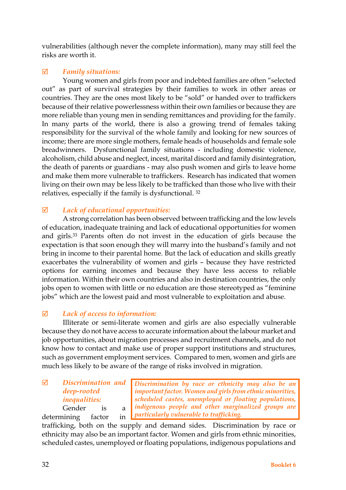vulnerabilities (although never the complete information), many may still feel the risks are worth it.

# ! *Family situations:*

Young women and girls from poor and indebted families are often "selected out" as part of survival strategies by their families to work in other areas or countries. They are the ones most likely to be "sold" or handed over to traffickers because of their relative powerlessness within their own families or because they are more reliable than young men in sending remittances and providing for the family. In many parts of the world, there is also a growing trend of females taking responsibility for the survival of the whole family and looking for new sources of income; there are more single mothers, female heads of households and female sole breadwinners. Dysfunctional family situations - including domestic violence, alcoholism, child abuse and neglect, incest, marital discord and family disintegration, the death of parents or guardians - may also push women and girls to leave home and make them more vulnerable to traffickers. Research has indicated that women living on their own may be less likely to be trafficked than those who live with their relatives, especially if the family is dysfunctional. 32

# ! *Lack of educational opportunities:*

A strong correlation has been observed between trafficking and the low levels of education, inadequate training and lack of educational opportunities for women and girls.33 Parents often do not invest in the education of girls because the expectation is that soon enough they will marry into the husband's family and not bring in income to their parental home. But the lack of education and skills greatly exacerbates the vulnerability of women and girls - because they have restricted options for earning incomes and because they have less access to reliable information. Within their own countries and also in destination countries, the only jobs open to women with little or no education are those stereotyped as "feminine jobs" which are the lowest paid and most vulnerable to exploitation and abuse.

# ! *Lack of access to information:*

Illiterate or semi-literate women and girls are also especially vulnerable because they do not have access to accurate information about the labour market and job opportunities, about migration processes and recruitment channels, and do not know how to contact and make use of proper support institutions and structures, such as government employment services. Compared to men, women and girls are much less likely to be aware of the range of risks involved in migration.

| Discrimination and<br>М |        |    |
|-------------------------|--------|----|
| deep-rooted             |        |    |
| <i>inequalities:</i>    |        |    |
| Gender                  | is     | a  |
| determining             | factor | in |

*Discrimination by race or ethnicity may also be an important factor. Women and girls from ethnic minorities, scheduled castes, unemployed or floating populations, indigenous people and other marginalized groups are particularly vulnerable to trafficking.* 

trafficking, both on the supply and demand sides. Discrimination by race or ethnicity may also be an important factor. Women and girls from ethnic minorities, scheduled castes, unemployed or floating populations, indigenous populations and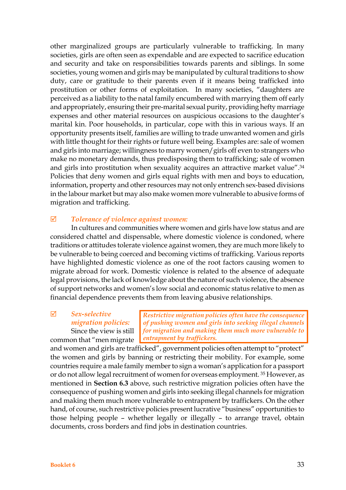other marginalized groups are particularly vulnerable to trafficking. In many societies, girls are often seen as expendable and are expected to sacrifice education and security and take on responsibilities towards parents and siblings. In some societies, young women and girls may be manipulated by cultural traditions to show duty, care or gratitude to their parents even if it means being trafficked into prostitution or other forms of exploitation. In many societies, "daughters are perceived as a liability to the natal family encumbered with marrying them off early and appropriately, ensuring their pre-marital sexual purity, providing hefty marriage expenses and other material resources on auspicious occasions to the daughter's marital kin. Poor households, in particular, cope with this in various ways. If an opportunity presents itself, families are willing to trade unwanted women and girls with little thought for their rights or future well being. Examples are: sale of women and girls into marriage; willingness to marry women/girls off even to strangers who make no monetary demands, thus predisposing them to trafficking; sale of women and girls into prostitution when sexuality acquires an attractive market value". $34$ Policies that deny women and girls equal rights with men and boys to education, information, property and other resources may not only entrench sex-based divisions in the labour market but may also make women more vulnerable to abusive forms of migration and trafficking.

## ! *Tolerance of violence against women:*

In cultures and communities where women and girls have low status and are considered chattel and dispensable, where domestic violence is condoned, where traditions or attitudes tolerate violence against women, they are much more likely to be vulnerable to being coerced and becoming victims of trafficking. Various reports have highlighted domestic violence as one of the root factors causing women to migrate abroad for work. Domestic violence is related to the absence of adequate legal provisions, the lack of knowledge about the nature of such violence, the absence of support networks and womenís low social and economic status relative to men as financial dependence prevents them from leaving abusive relationships.

### ! *Sex-selective migration policies:*  Since the view is still common that "men migrate

*Restrictive migration policies often have the consequence of pushing women and girls into seeking illegal channels for migration and making them much more vulnerable to entrapment by traffickers.* 

and women and girls are trafficked", government policies often attempt to "protect" the women and girls by banning or restricting their mobility. For example, some countries require a male family member to sign a woman's application for a passport or do not allow legal recruitment of women for overseas employment. 35 However, as mentioned in **Section 6.3** above, such restrictive migration policies often have the consequence of pushing women and girls into seeking illegal channels for migration and making them much more vulnerable to entrapment by traffickers. On the other hand, of course, such restrictive policies present lucrative "business" opportunities to those helping people – whether legally or illegally – to arrange travel, obtain documents, cross borders and find jobs in destination countries.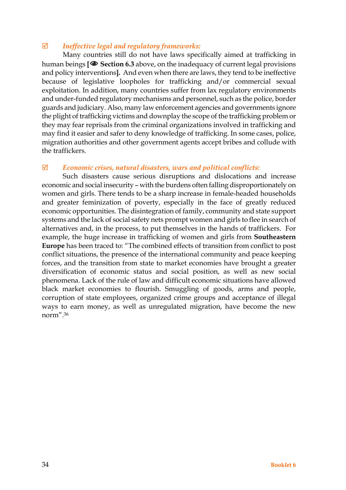# ! *Ineffective legal and regulatory frameworks:*

Many countries still do not have laws specifically aimed at trafficking in human beings **[** $\bullet$  **Section 6.3** above, on the inadequacy of current legal provisions and policy interventions**].** And even when there are laws, they tend to be ineffective because of legislative loopholes for trafficking and/or commercial sexual exploitation. In addition, many countries suffer from lax regulatory environments and under-funded regulatory mechanisms and personnel, such as the police, border guards and judiciary. Also, many law enforcement agencies and governments ignore the plight of trafficking victims and downplay the scope of the trafficking problem or they may fear reprisals from the criminal organizations involved in trafficking and may find it easier and safer to deny knowledge of trafficking. In some cases, police, migration authorities and other government agents accept bribes and collude with the traffickers.

## ! *Economic crises, natural disasters, wars and political conflicts:*

Such disasters cause serious disruptions and dislocations and increase economic and social insecurity – with the burdens often falling disproportionately on women and girls. There tends to be a sharp increase in female-headed households and greater feminization of poverty, especially in the face of greatly reduced economic opportunities. The disintegration of family, community and state support systems and the lack of social safety nets prompt women and girls to flee in search of alternatives and, in the process, to put themselves in the hands of traffickers. For example, the huge increase in trafficking of women and girls from **Southeastern Europe** has been traced to: "The combined effects of transition from conflict to post conflict situations, the presence of the international community and peace keeping forces, and the transition from state to market economies have brought a greater diversification of economic status and social position, as well as new social phenomena. Lack of the rule of law and difficult economic situations have allowed black market economies to flourish. Smuggling of goods, arms and people, corruption of state employees, organized crime groups and acceptance of illegal ways to earn money, as well as unregulated migration, have become the new norm".<sup>36</sup>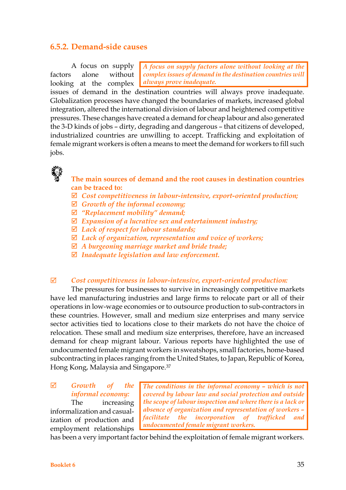# **6.5.2. Demand-side causes**

A focus on supply factors alone without looking at the complex *A focus on supply factors alone without looking at the complex issues of demand in the destination countries will always prove inadequate.* 

issues of demand in the destination countries will always prove inadequate. Globalization processes have changed the boundaries of markets, increased global integration, altered the international division of labour and heightened competitive pressures. These changes have created a demand for cheap labour and also generated the 3-D kinds of jobs – dirty, degrading and dangerous – that citizens of developed, industrialized countries are unwilling to accept. Trafficking and exploitation of female migrant workers is often a means to meet the demand for workers to fill such jobs.



**The main sources of demand and the root causes in destination countries can be traced to:** 

- \$ *Cost competitiveness in labour-intensive, export-oriented production;*
- \$ *Growth of the informal economy;*
- \$ *ìReplacement mobilityî demand;*
- \$ *Expansion of a lucrative sex and entertainment industry;*
- \$ *Lack of respect for labour standards;*
- \$ *Lack of organization, representation and voice of workers;*
- \$ *A burgeoning marriage market and bride trade;*
- \$ *Inadequate legislation and law enforcement.*

### ! *Cost competitiveness in labour-intensive, export-oriented production:*

The pressures for businesses to survive in increasingly competitive markets have led manufacturing industries and large firms to relocate part or all of their operations in low-wage economies or to outsource production to sub-contractors in these countries. However, small and medium size enterprises and many service sector activities tied to locations close to their markets do not have the choice of relocation. These small and medium size enterprises, therefore, have an increased demand for cheap migrant labour. Various reports have highlighted the use of undocumented female migrant workers in sweatshops, small factories, home-based subcontracting in places ranging from the United States, to Japan, Republic of Korea, Hong Kong, Malaysia and Singapore.37

# ! *Growth of the informal economy:*

The increasing informalization and casualization of production and employment relationships

*The conditions in the informal economy – which is not covered by labour law and social protection and outside the scope of labour inspection and where there is a lack or absence of organization and representation of workers – facilitate the incorporation of trafficked and undocumented female migrant workers.* 

has been a very important factor behind the exploitation of female migrant workers.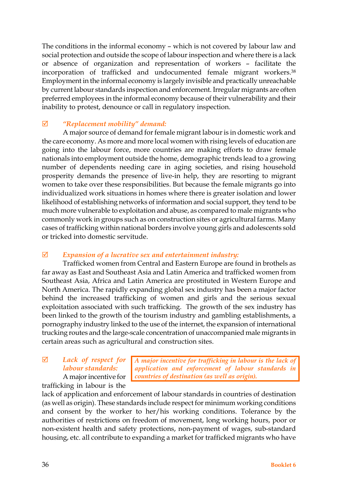The conditions in the informal economy – which is not covered by labour law and social protection and outside the scope of labour inspection and where there is a lack or absence of organization and representation of workers - facilitate the incorporation of trafficked and undocumented female migrant workers.38 Employment in the informal economy is largely invisible and practically unreachable by current labour standards inspection and enforcement. Irregular migrants are often preferred employees in the informal economy because of their vulnerability and their inability to protest, denounce or call in regulatory inspection.

# $\triangledown$  *<i><sup><i>''*Replacement mobility'' demand:</sup>

A major source of demand for female migrant labour is in domestic work and the care economy. As more and more local women with rising levels of education are going into the labour force, more countries are making efforts to draw female nationals into employment outside the home, demographic trends lead to a growing number of dependents needing care in aging societies, and rising household prosperity demands the presence of live-in help, they are resorting to migrant women to take over these responsibilities. But because the female migrants go into individualized work situations in homes where there is greater isolation and lower likelihood of establishing networks of information and social support, they tend to be much more vulnerable to exploitation and abuse, as compared to male migrants who commonly work in groups such as on construction sites or agricultural farms. Many cases of trafficking within national borders involve young girls and adolescents sold or tricked into domestic servitude.

### ! *Expansion of a lucrative sex and entertainment industry:*

Trafficked women from Central and Eastern Europe are found in brothels as far away as East and Southeast Asia and Latin America and trafficked women from Southeast Asia, Africa and Latin America are prostituted in Western Europe and North America. The rapidly expanding global sex industry has been a major factor behind the increased trafficking of women and girls and the serious sexual exploitation associated with such trafficking. The growth of the sex industry has been linked to the growth of the tourism industry and gambling establishments, a pornography industry linked to the use of the internet, the expansion of international trucking routes and the large-scale concentration of unaccompanied male migrants in certain areas such as agricultural and construction sites.

## ! *Lack of respect for labour standards:* A major incentive for

trafficking in labour is the

*A major incentive for trafficking in labour is the lack of application and enforcement of labour standards in countries of destination (as well as origin).* 

lack of application and enforcement of labour standards in countries of destination (as well as origin). These standards include respect for minimum working conditions and consent by the worker to her/his working conditions. Tolerance by the authorities of restrictions on freedom of movement, long working hours, poor or non-existent health and safety protections, non-payment of wages, sub-standard housing, etc. all contribute to expanding a market for trafficked migrants who have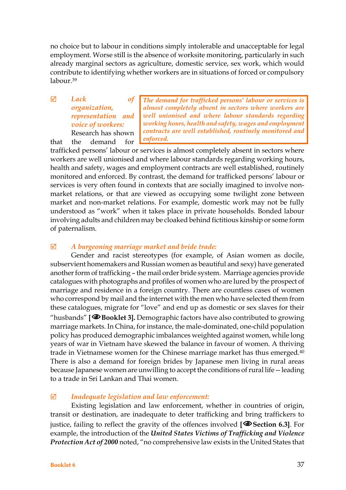no choice but to labour in conditions simply intolerable and unacceptable for legal employment. Worse still is the absence of worksite monitoring, particularly in such already marginal sectors as agriculture, domestic service, sex work, which would contribute to identifying whether workers are in situations of forced or compulsory  $l$ abour. $39$ 

! *Lack of organization, representation and voice of workers:* Research has shown that the demand for

*The demand for trafficked personsí labour or services is almost completely absent in sectors where workers are well unionised and where labour standards regarding working hours, health and safety, wages and employment contracts are well established, routinely monitored and enforced.* 

trafficked persons' labour or services is almost completely absent in sectors where workers are well unionised and where labour standards regarding working hours, health and safety, wages and employment contracts are well established, routinely monitored and enforced. By contrast, the demand for trafficked persons' labour or services is very often found in contexts that are socially imagined to involve nonmarket relations, or that are viewed as occupying some twilight zone between market and non-market relations. For example, domestic work may not be fully understood as "work" when it takes place in private households. Bonded labour involving adults and children may be cloaked behind fictitious kinship or some form of paternalism.

# ! *A burgeoning marriage market and bride trade:*

Gender and racist stereotypes (for example, of Asian women as docile, subservient homemakers and Russian women as beautiful and sexy) have generated another form of trafficking - the mail order bride system. Marriage agencies provide catalogues with photographs and profiles of women who are lured by the prospect of marriage and residence in a foreign country. There are countless cases of women who correspond by mail and the internet with the men who have selected them from these catalogues, migrate for "love" and end up as domestic or sex slaves for their ìhusbandsî **[**!**Booklet 3].** Demographic factors have also contributed to growing marriage markets. In China, for instance, the male-dominated, one-child population policy has produced demographic imbalances weighted against women, while long years of war in Vietnam have skewed the balance in favour of women. A thriving trade in Vietnamese women for the Chinese marriage market has thus emerged.40 There is also a demand for foreign brides by Japanese men living in rural areas because Japanese women are unwilling to accept the conditions of rural life -- leading to a trade in Sri Lankan and Thai women.

# ! *Inadequate legislation and law enforcement:*

Existing legislation and law enforcement, whether in countries of origin, transit or destination, are inadequate to deter trafficking and bring traffickers to justice, failing to reflect the gravity of the offences involved **[** $\bullet$  Section 6.3]. For example, the introduction of the *United States Victims of Trafficking and Violence Protection Act of 2000* noted, "no comprehensive law exists in the United States that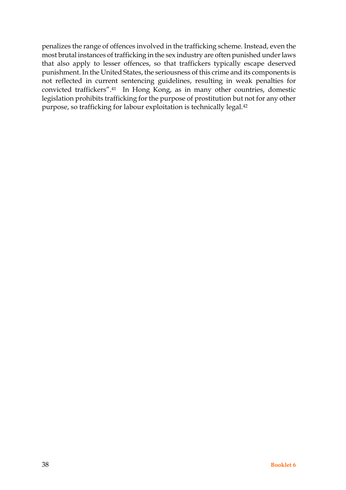penalizes the range of offences involved in the trafficking scheme. Instead, even the most brutal instances of trafficking in the sex industry are often punished under laws that also apply to lesser offences, so that traffickers typically escape deserved punishment. In the United States, the seriousness of this crime and its components is not reflected in current sentencing guidelines, resulting in weak penalties for convicted traffickers".<sup>41</sup> In Hong Kong, as in many other countries, domestic legislation prohibits trafficking for the purpose of prostitution but not for any other purpose, so trafficking for labour exploitation is technically legal.42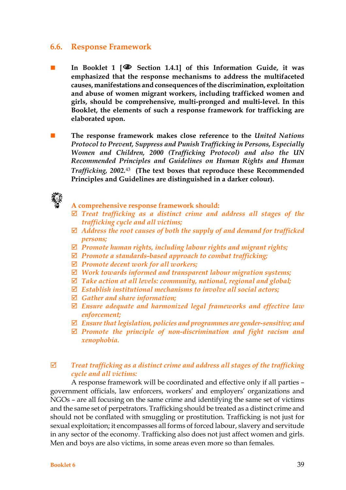# **6.6. Response Framework**

- In Booklet 1 [<sup>336</sup> Section 1.4.1] of this Information Guide, it was **emphasized that the response mechanisms to address the multifaceted causes, manifestations and consequences of the discrimination, exploitation and abuse of women migrant workers, including trafficked women and girls, should be comprehensive, multi-pronged and multi-level. In this Booklet, the elements of such a response framework for trafficking are elaborated upon.**
- ! **The response framework makes close reference to the** *United Nations Protocol to Prevent, Suppress and Punish Trafficking in Persons, Especially Women and Children, 2000 (Trafficking Protocol) and also the UN Recommended Principles and Guidelines on Human Rights and Human Trafficking, 2002.*43 **(The text boxes that reproduce these Recommended Principles and Guidelines are distinguished in a darker colour).**



- **A comprehensive response framework should:**
- \$ *Treat trafficking as a distinct crime and address all stages of the trafficking cycle and all victims;*
- \$ *Address the root causes of both the supply of and demand for trafficked persons;*
- \$ *Promote human rights, including labour rights and migrant rights;*
- \$ *Promote a standards-based approach to combat trafficking;*
- \$ *Promote decent work for all workers;*
- \$ *Work towards informed and transparent labour migration systems;*
- \$ *Take action at all levels: community, national, regional and global;*
- \$ *Establish institutional mechanisms to involve all social actors;*
- \$ *Gather and share information;*
- \$ *Ensure adequate and harmonized legal frameworks and effective law enforcement;*
- \$ *Ensure that legislation, policies and programmes are gender-sensitive; and*
- \$ *Promote the principle of non-discrimination and fight racism and xenophobia.*

# ! *Treat trafficking as a distinct crime and address all stages of the trafficking cycle and all victims:*

A response framework will be coordinated and effective only if all parties government officials, law enforcers, workers' and employers' organizations and NGOs – are all focusing on the same crime and identifying the same set of victims and the same set of perpetrators. Trafficking should be treated as a distinct crime and should not be conflated with smuggling or prostitution. Trafficking is not just for sexual exploitation; it encompasses all forms of forced labour, slavery and servitude in any sector of the economy. Trafficking also does not just affect women and girls. Men and boys are also victims, in some areas even more so than females.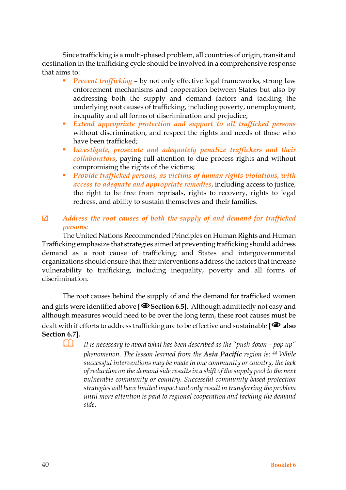Since trafficking is a multi-phased problem, all countries of origin, transit and destination in the trafficking cycle should be involved in a comprehensive response that aims to:

- *Prevent trafficking* by not only effective legal frameworks, strong law enforcement mechanisms and cooperation between States but also by addressing both the supply and demand factors and tackling the underlying root causes of trafficking, including poverty, unemployment, inequality and all forms of discrimination and prejudice;
- " *Extend appropriate protection and support to all trafficked persons* without discrimination, and respect the rights and needs of those who have been trafficked;
- " *Investigate, prosecute and adequately penalize traffickers and their collaborators*, paying full attention to due process rights and without compromising the rights of the victims;
- " *Provide trafficked persons, as victims of human rights violations, with access to adequate and appropriate remedies*, including access to justice, the right to be free from reprisals, rights to recovery, rights to legal redress, and ability to sustain themselves and their families.

# ! *Address the root causes of both the supply of and demand for trafficked persons:*

The United Nations Recommended Principles on Human Rights and Human Trafficking emphasize that strategies aimed at preventing trafficking should address demand as a root cause of trafficking; and States and intergovernmental organizations should ensure that their interventions address the factors that increase vulnerability to trafficking, including inequality, poverty and all forms of discrimination.

The root causes behind the supply of and the demand for trafficked women and girls were identified above **[** $\bullet$  **Section 6.5].** Although admittedly not easy and although measures would need to be over the long term, these root causes must be dealt with if efforts to address trafficking are to be effective and sustainable **[**! **also Section 6.7].** 

*It is necessary to avoid what has been described as the "push down – pop up" phenomenon. The lesson learned from the Asia Pacific region is: 44 While successful interventions may be made in one community or country, the lack of reduction on the demand side results in a shift of the supply pool to the next vulnerable community or country. Successful community based protection strategies will have limited impact and only result in transferring the problem until more attention is paid to regional cooperation and tackling the demand side.*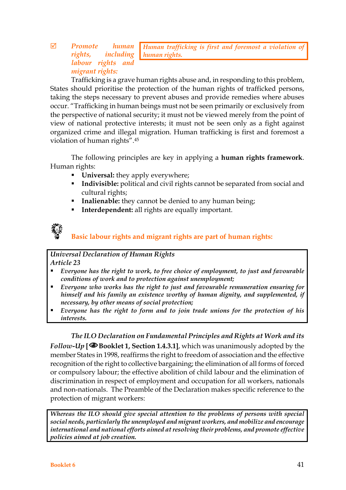! *Promote human rights, including labour rights and migrant rights: Human trafficking is first and foremost a violation of human rights.* 

Trafficking is a grave human rights abuse and, in responding to this problem, States should prioritise the protection of the human rights of trafficked persons, taking the steps necessary to prevent abuses and provide remedies where abuses occur. "Trafficking in human beings must not be seen primarily or exclusively from the perspective of national security; it must not be viewed merely from the point of view of national protective interests; it must not be seen only as a fight against organized crime and illegal migration. Human trafficking is first and foremost a violation of human rights".<sup>45</sup>

The following principles are key in applying a **human rights framework**. Human rights:

- **Universal:** they apply everywhere;
- " **Indivisible:** political and civil rights cannot be separated from social and cultural rights;
- Inalienable: they cannot be denied to any human being;
- **Interdependent:** all rights are equally important.



**Basic labour rights and migrant rights are part of human rights:** 

# *Universal Declaration of Human Rights*

*Article 23* 

- " *Everyone has the right to work, to free choice of employment, to just and favourable conditions of work and to protection against unemployment;*
- " *Everyone who works has the right to just and favourable remuneration ensuring for himself and his family an existence worthy of human dignity, and supplemented, if necessary, by other means of social protection;*
- " *Everyone has the right to form and to join trade unions for the protection of his interests.*

*The ILO Declaration on Fundamental Principles and Rights at Work and its* 

*Follow-Up* **[** $\bullet$  **Booklet 1, Section 1.4.3.1]**, which was unanimously adopted by the member States in 1998, reaffirms the right to freedom of association and the effective recognition of the right to collective bargaining; the elimination of all forms of forced or compulsory labour; the effective abolition of child labour and the elimination of discrimination in respect of employment and occupation for all workers, nationals and non-nationals. The Preamble of the Declaration makes specific reference to the protection of migrant workers:

*Whereas the ILO should give special attention to the problems of persons with special social needs, particularly the unemployed and migrant workers, and mobilize and encourage international and national efforts aimed at resolving their problems, and promote effective policies aimed at job creation.*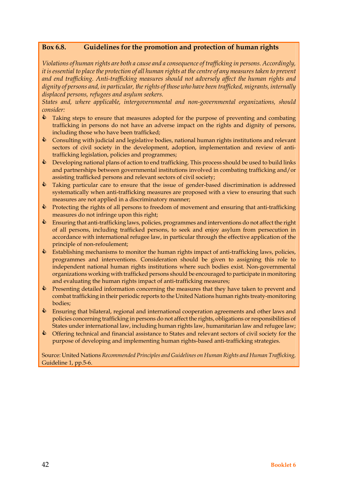#### **Box 6.8. Guidelines for the promotion and protection of human rights**

*Violations of human rights are both a cause and a consequence of trafficking in persons. Accordingly, it is essential to place the protection of all human rights at the centre of any measures taken to prevent and end trafficking. Anti-trafficking measures should not adversely affect the human rights and dignity of persons and, in particular, the rights of those who have been trafficked, migrants, internally displaced persons, refugees and asylum seekers.* 

*States and, where applicable, intergovernmental and non-governmental organizations, should consider:* 

- & Taking steps to ensure that measures adopted for the purpose of preventing and combating trafficking in persons do not have an adverse impact on the rights and dignity of persons, including those who have been trafficked;
- & Consulting with judicial and legislative bodies, national human rights institutions and relevant sectors of civil society in the development, adoption, implementation and review of antitrafficking legislation, policies and programmes;
- $\bullet$  Developing national plans of action to end trafficking. This process should be used to build links and partnerships between governmental institutions involved in combating trafficking and/or assisting trafficked persons and relevant sectors of civil society;
- & Taking particular care to ensure that the issue of gender-based discrimination is addressed systematically when anti-trafficking measures are proposed with a view to ensuring that such measures are not applied in a discriminatory manner;
- & Protecting the rights of all persons to freedom of movement and ensuring that anti-trafficking measures do not infringe upon this right;
- $\bullet$  Ensuring that anti-trafficking laws, policies, programmes and interventions do not affect the right of all persons, including trafficked persons, to seek and enjoy asylum from persecution in accordance with international refugee law, in particular through the effective application of the principle of non-refoulement;
- Stablishing mechanisms to monitor the human rights impact of anti-trafficking laws, policies, programmes and interventions. Consideration should be given to assigning this role to independent national human rights institutions where such bodies exist. Non-governmental organizations working with trafficked persons should be encouraged to participate in monitoring and evaluating the human rights impact of anti-trafficking measures;
- **S** Presenting detailed information concerning the measures that they have taken to prevent and combat trafficking in their periodic reports to the United Nations human rights treaty-monitoring bodies;
- & Ensuring that bilateral, regional and international cooperation agreements and other laws and policies concerning trafficking in persons do not affect the rights, obligations or responsibilities of States under international law, including human rights law, humanitarian law and refugee law;
- & Offering technical and financial assistance to States and relevant sectors of civil society for the purpose of developing and implementing human rights-based anti-trafficking strategies.

Source: United Nations *Recommended Principles and Guidelines on Human Rights and Human Trafficking,*  Guideline 1, pp.5-6.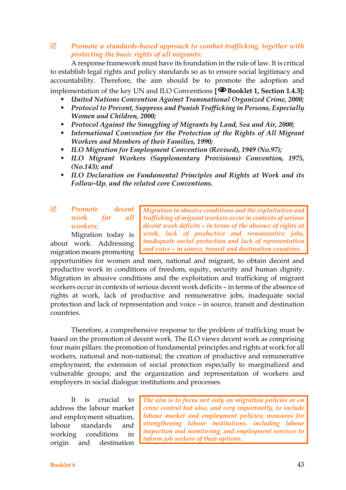# ! *Promote a standards-based approach to combat trafficking, together with protecting the basic rights of all migrants:*

A response framework must have its foundation in the rule of law. It is critical to establish legal rights and policy standards so as to ensure social legitimacy and accountability. Therefore, the aim should be to promote the adoption and implementation of the key UN and ILO Conventions **[@Booklet 1, Section 1.4.3]:** 

- " *United Nations Convention Against Transnational Organized Crime, 2000;*
- " *Protocol to Prevent, Suppress and Punish Trafficking in Persons, Especially Women and Children, 2000;*
- " *Protocol Against the Smuggling of Migrants by Land, Sea and Air, 2000;*
- " *International Convention for the Protection of the Rights of All Migrant Workers and Members of their Families, 1990;*
- " *ILO Migration for Employment Convention (Revised), 1949 (No.97);*
- " *ILO Migrant Workers (Supplementary Provisions) Convention, 1975, (No.143); and*
- " *ILO Declaration on Fundamental Principles and Rights at Work and its Follow-Up, and the related core Conventions.*
- ! *Promote decent work for all workers:*  Migration today is

*Migration in abusive conditions and the exploitation and trafficking of migrant workers occur in contexts of serious decent work deficits - in terms of the absence of rights at work, lack of productive and remunerative jobs, inadequate social protection and lack of representation*  and voice - in source, transit and destination countries.

about work. Addressing migration means promoting

opportunities for women and men, national and migrant, to obtain decent and productive work in conditions of freedom, equity, security and human dignity. Migration in abusive conditions and the exploitation and trafficking of migrant workers occur in contexts of serious decent work deficits – in terms of the absence of rights at work, lack of productive and remunerative jobs, inadequate social protection and lack of representation and voice – in source, transit and destination countries.

Therefore, a comprehensive response to the problem of trafficking must be based on the promotion of decent work. The ILO views decent work as comprising four main pillars: the promotion of fundamental principles and rights at work for all workers, national and non-national; the creation of productive and remunerative employment; the extension of social protection especially to marginalized and vulnerable groups; and the organization and representation of workers and employers in social dialogue institutions and processes.

It is crucial to address the labour market and employment situation, labour standards and working conditions in origin and destination

*The aim is to focus not only on migration policies or on crime control but also, and very importantly, to include labour market and employment policies; measures for strengthening labour institutions, including labour inspection and monitoring; and employment services to inform job seekers of their options.*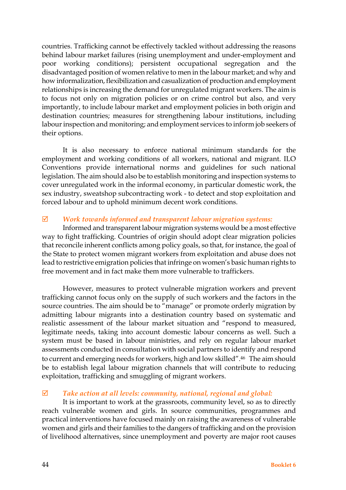countries. Trafficking cannot be effectively tackled without addressing the reasons behind labour market failures (rising unemployment and under-employment and poor working conditions); persistent occupational segregation and the disadvantaged position of women relative to men in the labour market; and why and how informalization, flexibilization and casualization of production and employment relationships is increasing the demand for unregulated migrant workers. The aim is to focus not only on migration policies or on crime control but also, and very importantly, to include labour market and employment policies in both origin and destination countries; measures for strengthening labour institutions, including labour inspection and monitoring; and employment services to inform job seekers of their options.

It is also necessary to enforce national minimum standards for the employment and working conditions of all workers, national and migrant. ILO Conventions provide international norms and guidelines for such national legislation. The aim should also be to establish monitoring and inspection systems to cover unregulated work in the informal economy, in particular domestic work, the sex industry, sweatshop subcontracting work - to detect and stop exploitation and forced labour and to uphold minimum decent work conditions.

### ! *Work towards informed and transparent labour migration systems:*

Informed and transparent labour migration systems would be a most effective way to fight trafficking. Countries of origin should adopt clear migration policies that reconcile inherent conflicts among policy goals, so that, for instance, the goal of the State to protect women migrant workers from exploitation and abuse does not lead to restrictive emigration policies that infringe on women's basic human rights to free movement and in fact make them more vulnerable to traffickers.

However, measures to protect vulnerable migration workers and prevent trafficking cannot focus only on the supply of such workers and the factors in the source countries. The aim should be to "manage" or promote orderly migration by admitting labour migrants into a destination country based on systematic and realistic assessment of the labour market situation and "respond to measured, legitimate needs, taking into account domestic labour concerns as well. Such a system must be based in labour ministries, and rely on regular labour market assessments conducted in consultation with social partners to identify and respond to current and emerging needs for workers, high and low skilled".<sup>46</sup> The aim should be to establish legal labour migration channels that will contribute to reducing exploitation, trafficking and smuggling of migrant workers.

### ! *Take action at all levels: community, national, regional and global:*

It is important to work at the grassroots, community level, so as to directly reach vulnerable women and girls. In source communities, programmes and practical interventions have focused mainly on raising the awareness of vulnerable women and girls and their families to the dangers of trafficking and on the provision of livelihood alternatives, since unemployment and poverty are major root causes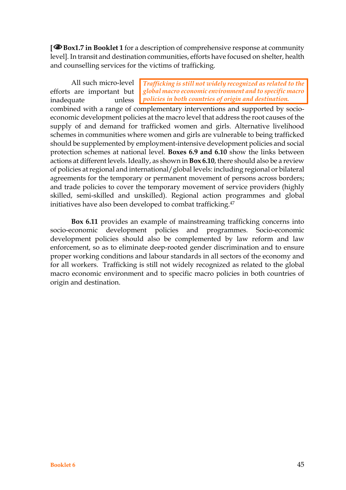**[**!**Box1.7 in Booklet 1** for a description of comprehensive response at community level]. In transit and destination communities, efforts have focused on shelter, health and counselling services for the victims of trafficking.

All such micro-level efforts are important but inadequate unless combined with a range of complementary interventions and supported by socioeconomic development policies at the macro level that address the root causes of the supply of and demand for trafficked women and girls. Alternative livelihood schemes in communities where women and girls are vulnerable to being trafficked should be supplemented by employment-intensive development policies and social protection schemes at national level. **Boxes 6.9 and 6.10** show the links between actions at different levels. Ideally, as shown in **Box 6.10**, there should also be a review of policies at regional and international/global levels: including regional or bilateral agreements for the temporary or permanent movement of persons across borders; and trade policies to cover the temporary movement of service providers (highly skilled, semi-skilled and unskilled). Regional action programmes and global initiatives have also been developed to combat trafficking.<sup>47</sup> *Trafficking is still not widely recognized as related to the global macro economic environment and to specific macro policies in both countries of origin and destination.* 

**Box 6.11** provides an example of mainstreaming trafficking concerns into socio-economic development policies and programmes. Socio-economic development policies should also be complemented by law reform and law enforcement, so as to eliminate deep-rooted gender discrimination and to ensure proper working conditions and labour standards in all sectors of the economy and for all workers. Trafficking is still not widely recognized as related to the global macro economic environment and to specific macro policies in both countries of origin and destination.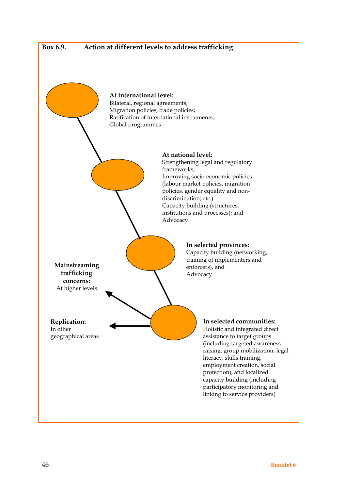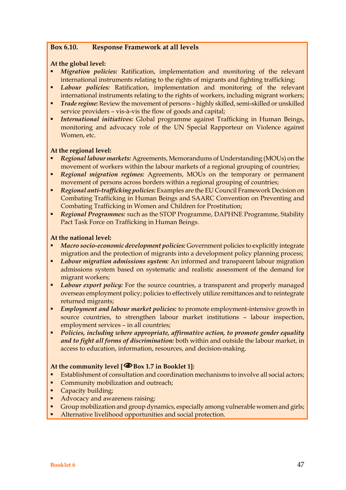#### **Box 6.10. Response Framework at all levels**

#### **At the global level:**

- Migration policies: Ratification, implementation and monitoring of the relevant international instruments relating to the rights of migrants and fighting trafficking;
- Labour policies: Ratification, implementation and monitoring of the relevant international instruments relating to the rights of workers, including migrant workers;
- Trade regime: Review the movement of persons highly skilled, semi-skilled or unskilled service providers – vis-à-vis the flow of goods and capital;
- *International initiatives:* Global programme against Trafficking in Human Beings, monitoring and advocacy role of the UN Special Rapporteur on Violence against Women, etc.

#### **At the regional level:**

- " *Regional labour markets:* Agreements, Memorandums of Understanding (MOUs) on the movement of workers within the labour markets of a regional grouping of countries;
- " *Regional migration regimes:* Agreements, MOUs on the temporary or permanent movement of persons across borders within a regional grouping of countries;
- " *Regional anti-trafficking policies:* Examples are the EU Council Framework Decision on Combating Trafficking in Human Beings and SAARC Convention on Preventing and Combating Trafficking in Women and Children for Prostitution;
- " *Regional Programmes:* such as the STOP Programme, DAPHNE Programme, Stability Pact Task Force on Trafficking in Human Beings.

#### **At the national level:**

- " *Macro socio-economic development policies:* Government policies to explicitly integrate migration and the protection of migrants into a development policy planning process;
- Labour *migration admissions system:* An informed and transparent labour migration admissions system based on systematic and realistic assessment of the demand for migrant workers;
- Labour export policy: For the source countries, a transparent and properly managed overseas employment policy; policies to effectively utilize remittances and to reintegrate returned migrants;
- " *Employment and labour market policies:* to promote employment-intensive growth in source countries, to strengthen labour market institutions - labour inspection, employment services - in all countries;
- " *Policies, including where appropriate, affirmative action, to promote gender equality and to fight all forms of discrimination:* both within and outside the labour market, in access to education, information, resources, and decision-making.

### At the community level [<sup>33</sup> Box 1.7 in Booklet 1]:

- Establishment of consultation and coordination mechanisms to involve all social actors;
- **Community mobilization and outreach;**
- Capacity building;
- Advocacy and awareness raising;
- " Group mobilization and group dynamics, especially among vulnerable women and girls;
- Alternative livelihood opportunities and social protection.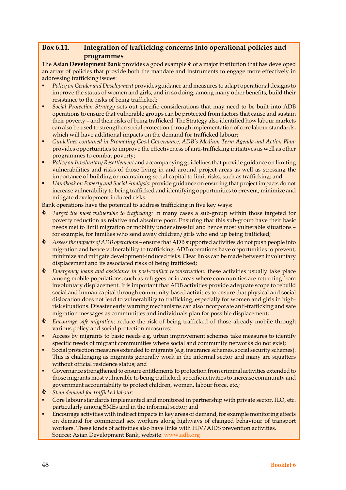### **Box 6.11. Integration of trafficking concerns into operational policies and programmes**

The **Asian Development Bank** provides a good example & of a major institution that has developed an array of policies that provide both the mandate and instruments to engage more effectively in addressing trafficking issues:

- " *Policy on Gender and Development* provides guidance and measures to adapt operational designs to improve the status of women and girls, and in so doing, among many other benefits, build their resistance to the risks of being trafficked;
- " *Social Protection Strategy* sets out specific considerations that may need to be built into ADB operations to ensure that vulnerable groups can be protected from factors that cause and sustain their poverty - and their risks of being trafficked. The Strategy also identified how labour markets can also be used to strengthen social protection through implementation of core labour standards, which will have additional impacts on the demand for trafficked labour;
- " *Guidelines contained in Promoting Good Governance, ADBís Medium Term Agenda and Action Plan:*  provides opportunities to improve the effectiveness of anti-trafficking initiatives as well as other programmes to combat poverty;
- " *Policy on Involuntary Resettlement* and accompanying guidelines that provide guidance on limiting vulnerabilities and risks of those living in and around project areas as well as stressing the importance of building or maintaining social capital to limit risks, such as trafficking; and
- " *Handbook on Poverty and Social Analysis:* provide guidance on ensuring that project impacts do not increase vulnerability to being trafficked and identifying opportunities to prevent, minimize and mitigate development induced risks.

Bank operations have the potential to address trafficking in five key ways:

- & *Target the most vulnerable to trafficking:* In many cases a sub-group within those targeted for poverty reduction as relative and absolute poor. Ensuring that this sub-group have their basic needs met to limit migration or mobility under stressful and hence most vulnerable situations for example, for families who send away children/girls who end up being trafficked;
- **&** *Assess the impacts of ADB operations* ensure that ADB supported activities do not push people into migration and hence vulnerability to trafficking. ADB operations have opportunities to prevent, minimize and mitigate development-induced risks. Clear links can be made between involuntary displacement and its associated risks of being trafficked;
- & *Emergency loans and assistance in post*-*conflict reconstruction:* these activities usually take place among mobile populations, such as refugees or in areas where communities are returning from involuntary displacement. It is important that ADB activities provide adequate scope to rebuild social and human capital through community-based activities to ensure that physical and social dislocation does not lead to vulnerability to trafficking, especially for women and girls in highrisk situations. Disaster early warning mechanisms can also incorporate anti-trafficking and safe migration messages as communities and individuals plan for possible displacement;
- & *Encourage safe migration*: reduce the risk of being trafficked of those already mobile through various policy and social protection measures:
- " Access by migrants to basic needs e.g. urban improvement schemes take measures to identify specific needs of migrant communities where social and community networks do not exist;
- Social protection measures extended to migrants (e.g. insurance schemes, social security schemes). This is challenging as migrants generally work in the informal sector and many are squatters without official residence status; and
- Governance strengthened to ensure entitlements to protection from criminal activities extended to those migrants most vulnerable to being trafficked; specific activities to increase community and government accountability to protect children, women, labour force, etc.;
- & *Stem demand for trafficked labour:*
- " Core labour standards implemented and monitored in partnership with private sector, ILO, etc. particularly among SMEs and in the informal sector; and
- " Encourage activities with indirect impacts in key areas of demand, for example monitoring effects on demand for commercial sex workers along highways of changed behaviour of transport workers. These kinds of activities also have links with HIV/AIDS prevention activities. Source: Asian Development Bank, website: www.adb.org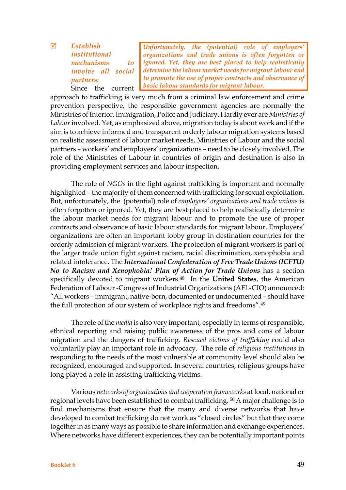! *Establish institutional mechanisms to involve all social partners:*  Since the current *Unfortunately, the (potential) role of employersí organizations and trade unions is often forgotten or ignored. Yet, they are best placed to help realistically determine the labour market needs for migrant labour and to promote the use of proper contracts and observance of basic labour standards for migrant labour.* 

approach to trafficking is very much from a criminal law enforcement and crime prevention perspective, the responsible government agencies are normally the Ministries of Interior, Immigration, Police and Judiciary. Hardly ever are *Ministries of Labour* involved. Yet, as emphasized above, migration today is about work and if the aim is to achieve informed and transparent orderly labour migration systems based on realistic assessment of labour market needs, Ministries of Labour and the social partners – workers' and employers' organizations – need to be closely involved. The role of the Ministries of Labour in countries of origin and destination is also in providing employment services and labour inspection.

The role of *NGOs* in the fight against trafficking is important and normally highlighted – the majority of them concerned with trafficking for sexual exploitation. But, unfortunately, the (potential) role of *employersí organizations and trade unions* is often forgotten or ignored. Yet, they are best placed to help realistically determine the labour market needs for migrant labour and to promote the use of proper contracts and observance of basic labour standards for migrant labour. Employers' organizations are often an important lobby group in destination countries for the orderly admission of migrant workers. The protection of migrant workers is part of the larger trade union fight against racism, racial discrimination, xenophobia and related intolerance. The *International Confederation of Free Trade Unions (ICFTU) No to Racism and Xenophobia! Plan of Action for Trade Unions* has a section specifically devoted to migrant workers.48 In the **United States**, the American Federation of Labour -Congress of Industrial Organizations (AFL-CIO) announced: "All workers – immigrant, native-born, documented or undocumented – should have the full protection of our system of workplace rights and freedoms". $49$ 

The role of the *media* is also very important, especially in terms of responsible, ethnical reporting and raising public awareness of the pros and cons of labour migration and the dangers of trafficking. *Rescued victims of trafficking* could also voluntarily play an important role in advocacy. The role of *religious institutions* in responding to the needs of the most vulnerable at community level should also be recognized, encouraged and supported. In several countries, religious groups have long played a role in assisting trafficking victims.

Various *networks of organizations and cooperation frameworks* at local, national or regional levels have been established to combat trafficking. 50 A major challenge is to find mechanisms that ensure that the many and diverse networks that have developed to combat trafficking do not work as "closed circles" but that they come together in as many ways as possible to share information and exchange experiences. Where networks have different experiences, they can be potentially important points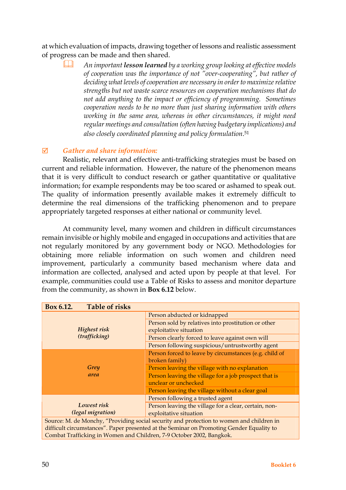at which evaluation of impacts, drawing together of lessons and realistic assessment of progress can be made and then shared.

( *An important lesson learned by a working group looking at effective models of cooperation was the importance of not îover-cooperatingî, but rather of deciding what levels of cooperation are necessary in order to maximize relative strengths but not waste scarce resources on cooperation mechanisms that do not add anything to the impact or efficiency of programming. Sometimes cooperation needs to be no more than just sharing information with others working in the same area, whereas in other circumstances, it might need regular meetings and consultation (often having budgetary implications) and also closely coordinated planning and policy formulation*.51

# ! *Gather and share information:*

Realistic, relevant and effective anti-trafficking strategies must be based on current and reliable information. However, the nature of the phenomenon means that it is very difficult to conduct research or gather quantitative or qualitative information; for example respondents may be too scared or ashamed to speak out. The quality of information presently available makes it extremely difficult to determine the real dimensions of the trafficking phenomenon and to prepare appropriately targeted responses at either national or community level.

At community level, many women and children in difficult circumstances remain invisible or highly mobile and engaged in occupations and activities that are not regularly monitored by any government body or NGO. Methodologies for obtaining more reliable information on such women and children need improvement, particularly a community based mechanism where data and information are collected, analysed and acted upon by people at that level. For example, communities could use a Table of Risks to assess and monitor departure from the community, as shown in **Box 6.12** below.

| Box 6.12.<br><b>Table of risks</b>                                                       |                                                        |  |
|------------------------------------------------------------------------------------------|--------------------------------------------------------|--|
|                                                                                          | Person abducted or kidnapped                           |  |
| Highest risk<br>(trafficking)                                                            | Person sold by relatives into prostitution or other    |  |
|                                                                                          | exploitative situation                                 |  |
|                                                                                          | Person clearly forced to leave against own will        |  |
|                                                                                          | Person following suspicious/untrustworthy agent        |  |
| Grey<br>area                                                                             | Person forced to leave by circumstances (e.g. child of |  |
|                                                                                          | broken family)                                         |  |
|                                                                                          | Person leaving the village with no explanation         |  |
|                                                                                          | Person leaving the village for a job prospect that is  |  |
|                                                                                          | unclear or unchecked                                   |  |
|                                                                                          | Person leaving the village without a clear goal        |  |
|                                                                                          | Person following a trusted agent                       |  |
| Lowest risk                                                                              | Person leaving the village for a clear, certain, non-  |  |
| (legal migration)                                                                        | exploitative situation                                 |  |
| Source: M. de Monchy, "Providing social security and protection to women and children in |                                                        |  |
| difficult circumstances". Paper presented at the Seminar on Promoting Gender Equality to |                                                        |  |
| Combat Trafficking in Women and Children, 7-9 October 2002, Bangkok.                     |                                                        |  |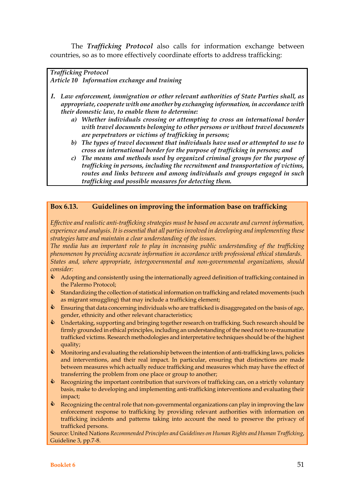The *Trafficking Protocol* also calls for information exchange between countries, so as to more effectively coordinate efforts to address trafficking:

#### *Trafficking Protocol Article 10 Information exchange and training*

- *1. Law enforcement, immigration or other relevant authorities of State Parties shall, as appropriate, cooperate with one another by exchanging information, in accordance with their domestic law, to enable them to determine:* 
	- *a) Whether individuals crossing or attempting to cross an international border with travel documents belonging to other persons or without travel documents are perpetrators or victims of trafficking in persons;*
	- *b) The types of travel document that individuals have used or attempted to use to cross an international border for the purpose of trafficking in persons; and*
	- *c) The means and methods used by organized criminal groups for the purpose of trafficking in persons, including the recruitment and transportation of victims, routes and links between and among individuals and groups engaged in such trafficking and possible measures for detecting them.*

### **Box 6.13. Guidelines on improving the information base on trafficking**

*Effective and realistic anti-trafficking strategies must be based on accurate and current information, experience and analysis. It is essential that all parties involved in developing and implementing these strategies have and maintain a clear understanding of the issues.* 

*The media has an important role to play in increasing public understanding of the trafficking phenomenon by providing accurate information in accordance with professional ethical standards. States and, where appropriate, intergovernmental and non-governmental organizations, should consider:* 

- $\bullet$  Adopting and consistently using the internationally agreed definition of trafficking contained in the Palermo Protocol;
- Standardizing the collection of statistical information on trafficking and related movements (such as migrant smuggling) that may include a trafficking element;
- $\bullet$  Ensuring that data concerning individuals who are trafficked is disaggregated on the basis of age, gender, ethnicity and other relevant characteristics;
- & Undertaking, supporting and bringing together research on trafficking. Such research should be firmly grounded in ethical principles, including an understanding of the need not to re-traumatize trafficked victims. Research methodologies and interpretative techniques should be of the highest quality;
- $\bullet$  Monitoring and evaluating the relationship between the intention of anti-trafficking laws, policies and interventions, and their real impact. In particular, ensuring that distinctions are made between measures which actually reduce trafficking and measures which may have the effect of transferring the problem from one place or group to another;
- $\bullet$  Recognizing the important contribution that survivors of trafficking can, on a strictly voluntary basis, make to developing and implementing anti-trafficking interventions and evaluating their impact;
- $\bullet$  Recognizing the central role that non-governmental organizations can play in improving the law enforcement response to trafficking by providing relevant authorities with information on trafficking incidents and patterns taking into account the need to preserve the privacy of trafficked persons.

Source: United Nations *Recommended Principles and Guidelines on Human Rights and Human Trafficking*, Guideline 3, pp.7-8.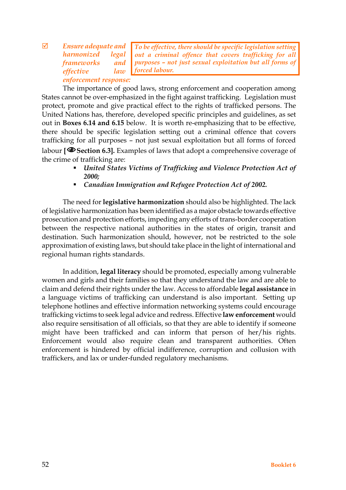$\nabla$  **Ensure adequate and** *harmonized legal frameworks and effective law* 

*To be effective, there should be specific legislation setting out a criminal offence that covers trafficking for all*  purposes - not just sexual exploitation but all forms of *forced labour.* 

### *enforcement response:*

 The importance of good laws, strong enforcement and cooperation among States cannot be over-emphasized in the fight against trafficking. Legislation must protect, promote and give practical effect to the rights of trafficked persons. The United Nations has, therefore, developed specific principles and guidelines, as set out in **Boxes 6.14 and 6.15** below. It is worth re-emphasizing that to be effective, there should be specific legislation setting out a criminal offence that covers trafficking for all purposes - not just sexual exploitation but all forms of forced labour **[<sup>** $\bullet$ **</sup> Section 6.3].** Examples of laws that adopt a comprehensive coverage of the crime of trafficking are:

- " *United States Victims of Trafficking and Violence Protection Act of 2000;*
- " *Canadian Immigration and Refugee Protection Act of 2002.*

The need for **legislative harmonization** should also be highlighted. The lack of legislative harmonization has been identified as a major obstacle towards effective prosecution and protection efforts, impeding any efforts of trans-border cooperation between the respective national authorities in the states of origin, transit and destination. Such harmonization should, however, not be restricted to the sole approximation of existing laws, but should take place in the light of international and regional human rights standards.

In addition, **legal literacy** should be promoted, especially among vulnerable women and girls and their families so that they understand the law and are able to claim and defend their rights under the law. Access to affordable **legal assistance** in a language victims of trafficking can understand is also important. Setting up telephone hotlines and effective information networking systems could encourage trafficking victims to seek legal advice and redress. Effective **law enforcement** would also require sensitisation of all officials, so that they are able to identify if someone might have been trafficked and can inform that person of her/his rights. Enforcement would also require clean and transparent authorities. Often enforcement is hindered by official indifference, corruption and collusion with traffickers, and lax or under-funded regulatory mechanisms.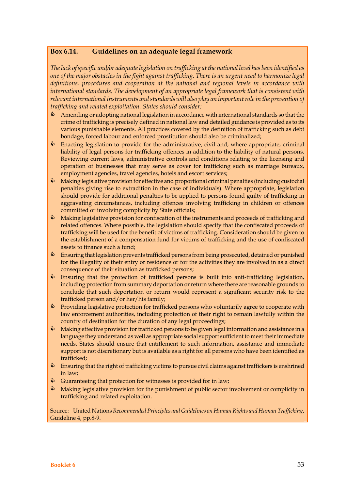#### **Box 6.14. Guidelines on an adequate legal framework**

*The lack of specific and/or adequate legislation on trafficking at the national level has been identified as one of the major obstacles in the fight against trafficking. There is an urgent need to harmonize legal definitions, procedures and cooperation at the national and regional levels in accordance with international standards. The development of an appropriate legal framework that is consistent with relevant international instruments and standards will also play an important role in the prevention of trafficking and related exploitation. States should consider:*

- Amending or adopting national legislation in accordance with international standards so that the crime of trafficking is precisely defined in national law and detailed guidance is provided as to its various punishable elements. All practices covered by the definition of trafficking such as debt bondage, forced labour and enforced prostitution should also be criminalized;
- & Enacting legislation to provide for the administrative, civil and, where appropriate, criminal liability of legal persons for trafficking offences in addition to the liability of natural persons. Reviewing current laws, administrative controls and conditions relating to the licensing and operation of businesses that may serve as cover for trafficking such as marriage bureaux, employment agencies, travel agencies, hotels and escort services;
- $\bullet$  Making legislative provision for effective and proportional criminal penalties (including custodial penalties giving rise to extradition in the case of individuals). Where appropriate, legislation should provide for additional penalties to be applied to persons found guilty of trafficking in aggravating circumstances, including offences involving trafficking in children or offences committed or involving complicity by State officials;
- & Making legislative provision for confiscation of the instruments and proceeds of trafficking and related offences. Where possible, the legislation should specify that the confiscated proceeds of trafficking will be used for the benefit of victims of trafficking. Consideration should be given to the establishment of a compensation fund for victims of trafficking and the use of confiscated assets to finance such a fund;
- **Ensuring that legislation prevents trafficked persons from being prosecuted, detained or punished** for the illegality of their entry or residence or for the activities they are involved in as a direct consequence of their situation as trafficked persons;
- & Ensuring that the protection of trafficked persons is built into anti-trafficking legislation, including protection from summary deportation or return where there are reasonable grounds to conclude that such deportation or return would represent a significant security risk to the trafficked person and/or her/his family;
- & Providing legislative protection for trafficked persons who voluntarily agree to cooperate with law enforcement authorities, including protection of their right to remain lawfully within the country of destination for the duration of any legal proceedings;
- $\bullet$  Making effective provision for trafficked persons to be given legal information and assistance in a language they understand as well as appropriate social support sufficient to meet their immediate needs. States should ensure that entitlement to such information, assistance and immediate support is not discretionary but is available as a right for all persons who have been identified as trafficked;
- $\bullet$  Ensuring that the right of trafficking victims to pursue civil claims against traffickers is enshrined in law;
- & Guaranteeing that protection for witnesses is provided for in law;
- $\bullet$  Making legislative provision for the punishment of public sector involvement or complicity in trafficking and related exploitation.

Source: United Nations *Recommended Principles and Guidelines on Human Rights and Human Trafficking*, Guideline 4, pp.8-9.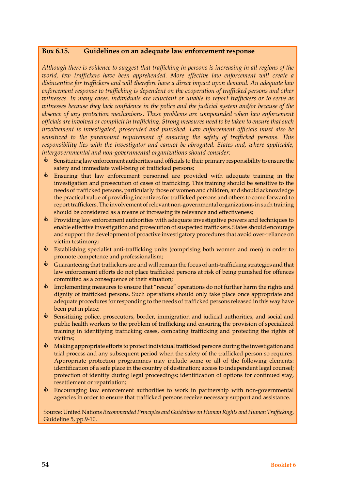#### **Box 6.15. Guidelines on an adequate law enforcement response**

*Although there is evidence to suggest that trafficking in persons is increasing in all regions of the world, few traffickers have been apprehended. More effective law enforcement will create a disincentive for traffickers and will therefore have a direct impact upon demand. An adequate law enforcement response to trafficking is dependent on the cooperation of trafficked persons and other witnesses. In many cases, individuals are reluctant or unable to report traffickers or to serve as witnesses because they lack confidence in the police and the judicial system and/or because of the absence of any protection mechanisms. These problems are compounded when law enforcement officials are involved or complicit in trafficking. Strong measures need to be taken to ensure that such involvement is investigated, prosecuted and punished. Law enforcement officials must also be sensitized to the paramount requirement of ensuring the safety of trafficked persons. This responsibility lies with the investigator and cannot be abrogated. States and, where applicable, intergovernmental and non-governmental organizations should consider:*

- Sensitizing law enforcement authorities and officials to their primary responsibility to ensure the safety and immediate well-being of trafficked persons;
- & Ensuring that law enforcement personnel are provided with adequate training in the investigation and prosecution of cases of trafficking. This training should be sensitive to the needs of trafficked persons, particularly those of women and children, and should acknowledge the practical value of providing incentives for trafficked persons and others to come forward to report traffickers. The involvement of relevant non-governmental organizations in such training should be considered as a means of increasing its relevance and effectiveness;
- & Providing law enforcement authorities with adequate investigative powers and techniques to enable effective investigation and prosecution of suspected traffickers. States should encourage and support the development of proactive investigatory procedures that avoid over-reliance on victim testimony;
- & Establishing specialist anti-trafficking units (comprising both women and men) in order to promote competence and professionalism;
- $\bullet$  Guaranteeing that traffickers are and will remain the focus of anti-trafficking strategies and that law enforcement efforts do not place trafficked persons at risk of being punished for offences committed as a consequence of their situation;
- $\bullet$  Implementing measures to ensure that "rescue" operations do not further harm the rights and dignity of trafficked persons. Such operations should only take place once appropriate and adequate procedures for responding to the needs of trafficked persons released in this way have been put in place;
- & Sensitizing police, prosecutors, border, immigration and judicial authorities, and social and public health workers to the problem of trafficking and ensuring the provision of specialized training in identifying trafficking cases, combating trafficking and protecting the rights of victims;
- & Making appropriate efforts to protect individual trafficked persons during the investigation and trial process and any subsequent period when the safety of the trafficked person so requires. Appropriate protection programmes may include some or all of the following elements: identification of a safe place in the country of destination; access to independent legal counsel; protection of identity during legal proceedings; identification of options for continued stay, resettlement or repatriation;
- & Encouraging law enforcement authorities to work in partnership with non-governmental agencies in order to ensure that trafficked persons receive necessary support and assistance.

Source: United Nations *Recommended Principles and Guidelines on Human Rights and Human Trafficking*, Guideline 5, pp.9-10.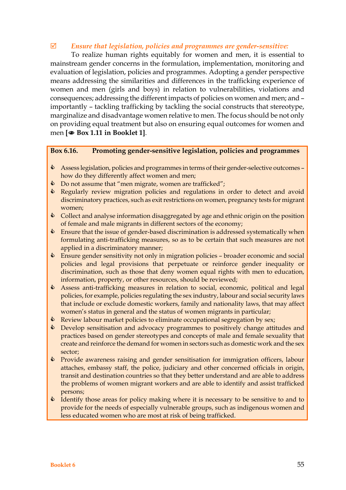# ! *Ensure that legislation, policies and programmes are gender-sensitive:*

To realize human rights equitably for women and men, it is essential to mainstream gender concerns in the formulation, implementation, monitoring and evaluation of legislation, policies and programmes. Adopting a gender perspective means addressing the similarities and differences in the trafficking experience of women and men (girls and boys) in relation to vulnerabilities, violations and consequences; addressing the different impacts of policies on women and men; and importantly – tackling trafficking by tackling the social constructs that stereotype, marginalize and disadvantage women relative to men. The focus should be not only on providing equal treatment but also on ensuring equal outcomes for women and men **[**! **Box 1.11 in Booklet 1]**.

#### **Box 6.16. Promoting gender-sensitive legislation, policies and programmes**

- $\bullet$  Assess legislation, policies and programmes in terms of their gender-selective outcomes how do they differently affect women and men;
- $\bullet$  Do not assume that "men migrate, women are trafficked";
- & Regularly review migration policies and regulations in order to detect and avoid discriminatory practices, such as exit restrictions on women, pregnancy tests for migrant women;
- $\bullet$  Collect and analyse information disaggregated by age and ethnic origin on the position of female and male migrants in different sectors of the economy;
- **Ensure that the issue of gender-based discrimination is addressed systematically when** formulating anti-trafficking measures, so as to be certain that such measures are not applied in a discriminatory manner;
- $\bullet$  Ensure gender sensitivity not only in migration policies broader economic and social policies and legal provisions that perpetuate or reinforce gender inequality or discrimination, such as those that deny women equal rights with men to education, information, property, or other resources, should be reviewed;
- & Assess anti-trafficking measures in relation to social, economic, political and legal policies, for example, policies regulating the sex industry, labour and social security laws that include or exclude domestic workers, family and nationality laws, that may affect women's status in general and the status of women migrants in particular;
- **EXECUTE:** Review labour market policies to eliminate occupational segregation by sex;
- & Develop sensitisation and advocacy programmes to positively change attitudes and practices based on gender stereotypes and concepts of male and female sexuality that create and reinforce the demand for women in sectors such as domestic work and the sex sector;
- & Provide awareness raising and gender sensitisation for immigration officers, labour attaches, embassy staff, the police, judiciary and other concerned officials in origin, transit and destination countries so that they better understand and are able to address the problems of women migrant workers and are able to identify and assist trafficked persons;
- & Identify those areas for policy making where it is necessary to be sensitive to and to provide for the needs of especially vulnerable groups, such as indigenous women and less educated women who are most at risk of being trafficked.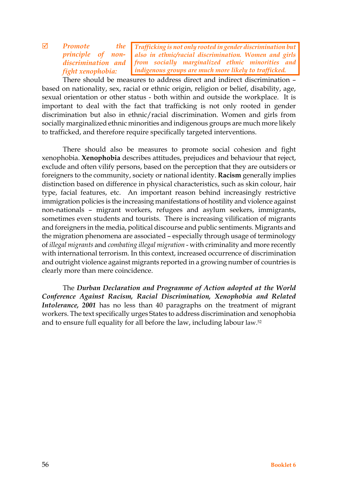! *Promote the principle of nondiscrimination and fight xenophobia: Trafficking is not only rooted in gender discrimination but also in ethnic/racial discrimination. Women and girls from socially marginalized ethnic minorities and indigenous groups are much more likely to trafficked.* 

There should be measures to address direct and indirect discrimination based on nationality, sex, racial or ethnic origin, religion or belief, disability, age, sexual orientation or other status - both within and outside the workplace. It is important to deal with the fact that trafficking is not only rooted in gender discrimination but also in ethnic/racial discrimination. Women and girls from socially marginalized ethnic minorities and indigenous groups are much more likely to trafficked, and therefore require specifically targeted interventions.

There should also be measures to promote social cohesion and fight xenophobia. **Xenophobia** describes attitudes, prejudices and behaviour that reject, exclude and often vilify persons, based on the perception that they are outsiders or foreigners to the community, society or national identity. **Racism** generally implies distinction based on difference in physical characteristics, such as skin colour, hair type, facial features, etc. An important reason behind increasingly restrictive immigration policies is the increasing manifestations of hostility and violence against non-nationals - migrant workers, refugees and asylum seekers, immigrants, sometimes even students and tourists. There is increasing vilification of migrants and foreigners in the media, political discourse and public sentiments. Migrants and the migration phenomena are associated – especially through usage of terminology of *illegal migrants* and *combating illegal migration* - with criminality and more recently with international terrorism. In this context, increased occurrence of discrimination and outright violence against migrants reported in a growing number of countries is clearly more than mere coincidence.

The *Durban Declaration and Programme of Action adopted at the World Conference Against Racism, Racial Discrimination, Xenophobia and Related Intolerance*, 2001 has no less than 40 paragraphs on the treatment of migrant workers. The text specifically urges States to address discrimination and xenophobia and to ensure full equality for all before the law, including labour law.52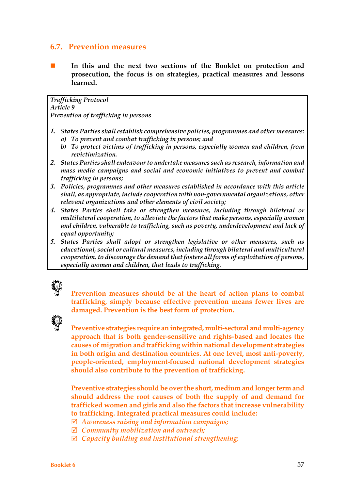# **6.7. Prevention measures**

! **In this and the next two sections of the Booklet on protection and prosecution, the focus is on strategies, practical measures and lessons learned.** 

#### *Trafficking Protocol Article 9 Prevention of trafficking in persons*

- *1. States Parties shall establish comprehensive policies, programmes and other measures: a) To prevent and combat trafficking in persons; and* 
	- *b) To protect victims of trafficking in persons, especially women and children, from revictimization.*
- *2. States Parties shall endeavour to undertake measures such as research, information and mass media campaigns and social and economic initiatives to prevent and combat trafficking in persons;*
- *3. Policies, programmes and other measures established in accordance with this article shall, as appropriate, include cooperation with non-governmental organizations, other relevant organizations and other elements of civil society;*
- *4. States Parties shall take or strengthen measures, including through bilateral or multilateral cooperation, to alleviate the factors that make persons, especially women and children, vulnerable to trafficking, such as poverty, underdevelopment and lack of equal opportunity;*
- *5. States Parties shall adopt or strengthen legislative or other measures, such as educational, social or cultural measures, including through bilateral and multicultural cooperation, to discourage the demand that fosters all forms of exploitation of persons, especially women and children, that leads to trafficking.*



**Prevention measures should be at the heart of action plans to combat trafficking, simply because effective prevention means fewer lives are damaged. Prevention is the best form of protection.** 



**Preventive strategies require an integrated, multi-sectoral and multi-agency approach that is both gender-sensitive and rights-based and locates the causes of migration and trafficking within national development strategies in both origin and destination countries. At one level, most anti-poverty, people-oriented, employment-focused national development strategies should also contribute to the prevention of trafficking.** 

**Preventive strategies should be over the short, medium and longer term and should address the root causes of both the supply of and demand for trafficked women and girls and also the factors that increase vulnerability to trafficking. Integrated practical measures could include:** 

- ! *Awareness raising and information campaigns;*
- ! *Community mobilization and outreach;*
- ! *Capacity building and institutional strengthening;*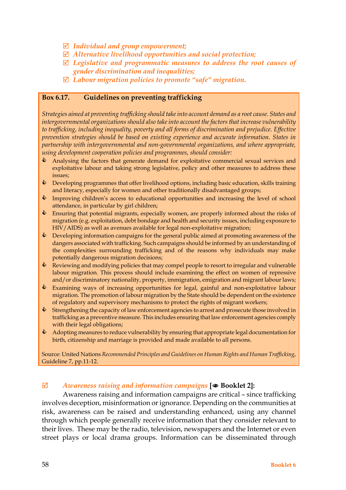- ! *Individual and group empowerment;*
- ! *Alternative livelihood opportunities and social protection;*
- ! *Legislative and programmatic measures to address the root causes of gender discrimination and inequalities;*
- ! *Labour migration policies to promote ìsafeî migration***.**

#### **Box 6.17. Guidelines on preventing trafficking**

*Strategies aimed at preventing trafficking should take into account demand as a root cause. States and intergovernmental organizations should also take into account the factors that increase vulnerability to trafficking, including inequality, poverty and all forms of discrimination and prejudice. Effective prevention strategies should be based on existing experience and accurate information. States in partnership with intergovernmental and non-governmental organizations, and where appropriate, using development cooperation policies and programmes, should consider:*

- & Analysing the factors that generate demand for exploitative commercial sexual services and exploitative labour and taking strong legislative, policy and other measures to address these issues;
- & Developing programmes that offer livelihood options, including basic education, skills training and literacy, especially for women and other traditionally disadvantaged groups;
- & Improving childrenís access to educational opportunities and increasing the level of school attendance, in particular by girl children;
- & Ensuring that potential migrants, especially women, are properly informed about the risks of migration (e.g. exploitation, debt bondage and health and security issues, including exposure to HIV/AIDS) as well as avenues available for legal non-exploitative migration;
- **EXECUTE:** Developing information campaigns for the general public aimed at promoting awareness of the dangers associated with trafficking. Such campaigns should be informed by an understanding of the complexities surrounding trafficking and of the reasons why individuals may make potentially dangerous migration decisions;
- & Reviewing and modifying policies that may compel people to resort to irregular and vulnerable labour migration. This process should include examining the effect on women of repressive and/or discriminatory nationality, property, immigration, emigration and migrant labour laws;
- & Examining ways of increasing opportunities for legal, gainful and non-exploitative labour migration. The promotion of labour migration by the State should be dependent on the existence of regulatory and supervisory mechanisms to protect the rights of migrant workers;
- Strengthening the capacity of law enforcement agencies to arrest and prosecute those involved in trafficking as a preventive measure. This includes ensuring that law enforcement agencies comply with their legal obligations;
- & Adopting measures to reduce vulnerability by ensuring that appropriate legal documentation for birth, citizenship and marriage is provided and made available to all persons.

Source: United Nations *Recommended Principles and Guidelines on Human Rights and Human Trafficking*, Guideline 7, pp.11-12.

# $\blacksquare$  *Awareness raising and information campaigns* **[** $\clubsuit$  Booklet 2]:

Awareness raising and information campaigns are critical – since trafficking involves deception, misinformation or ignorance. Depending on the communities at risk, awareness can be raised and understanding enhanced, using any channel through which people generally receive information that they consider relevant to their lives. These may be the radio, television, newspapers and the Internet or even street plays or local drama groups. Information can be disseminated through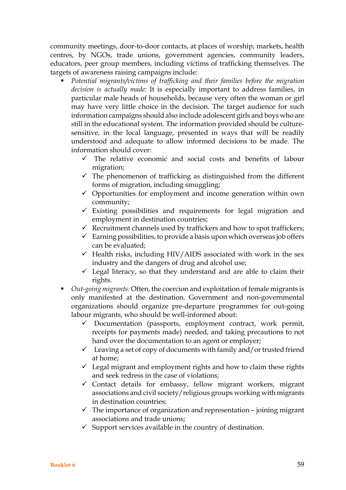community meetings, door-to-door contacts, at places of worship, markets, health centres, by NGOs, trade unions, government agencies, community leaders, educators, peer group members, including victims of trafficking themselves. The targets of awareness raising campaigns include:

- " *Potential migrants/victims of trafficking and their families before the migration decision is actually made:* It is especially important to address families, in particular male heads of households, because very often the woman or girl may have very little choice in the decision. The target audience for such information campaigns should also include adolescent girls and boys who are still in the educational system. The information provided should be culturesensitive, in the local language, presented in ways that will be readily understood and adequate to allow informed decisions to be made. The information should cover:
	- $\checkmark$  The relative economic and social costs and benefits of labour migration;
	- $\checkmark$  The phenomenon of trafficking as distinguished from the different forms of migration, including smuggling;
	- $\checkmark$  Opportunities for employment and income generation within own community;
	- $\checkmark$  Existing possibilities and requirements for legal migration and employment in destination countries;
	- $\checkmark$  Recruitment channels used by traffickers and how to spot traffickers;
	- $\checkmark$  Earning possibilities, to provide a basis upon which overseas job offers can be evaluated;
	- $\checkmark$  Health risks, including HIV/AIDS associated with work in the sex industry and the dangers of drug and alcohol use;
	- $\checkmark$  Legal literacy, so that they understand and are able to claim their rights.
- " *Out-going migrants:* Often, the coercion and exploitation of female migrants is only manifested at the destination. Government and non-governmental organizations should organize pre-departure programmes for out-going labour migrants, who should be well-informed about:
	- $\checkmark$  Documentation (passports, employment contract, work permit, receipts for payments made) needed, and taking precautions to not hand over the documentation to an agent or employer;
	- $\checkmark$  Leaving a set of copy of documents with family and/or trusted friend at home;
	- $\checkmark$  Legal migrant and employment rights and how to claim these rights and seek redress in the case of violations;
	- $\checkmark$  Contact details for embassy, fellow migrant workers, migrant associations and civil society/religious groups working with migrants in destination countries;
	- $\checkmark$  The importance of organization and representation joining migrant associations and trade unions;
	- $\checkmark$  Support services available in the country of destination.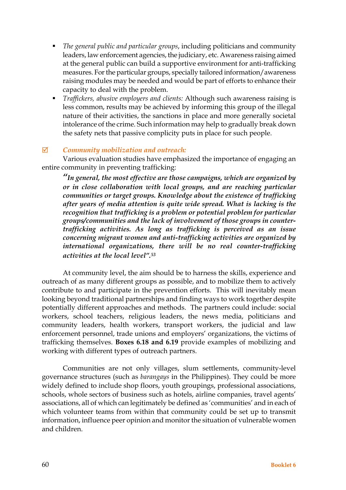- " *The general public and particular groups*, including politicians and community leaders, law enforcement agencies, the judiciary, etc. Awareness raising aimed at the general public can build a supportive environment for anti-trafficking measures. For the particular groups, specially tailored information/awareness raising modules may be needed and would be part of efforts to enhance their capacity to deal with the problem.
- " *Traffickers, abusive employers and clients:* Although such awareness raising is less common, results may be achieved by informing this group of the illegal nature of their activities, the sanctions in place and more generally societal intolerance of the crime. Such information may help to gradually break down the safety nets that passive complicity puts in place for such people.

## ! *Community mobilization and outreach:*

Various evaluation studies have emphasized the importance of engaging an entire community in preventing trafficking:

*ìIn general, the most effective are those campaigns, which are organized by or in close collaboration with local groups, and are reaching particular communities or target groups. Knowledge about the existence of trafficking after years of media attention is quite wide spread. What is lacking is the recognition that trafficking is a problem or potential problem for particular groups/communities and the lack of involvement of those groups in countertrafficking activities. As long as trafficking is perceived as an issue concerning migrant women and anti-trafficking activities are organized by international organizations, there will be no real counter-trafficking activities at the local level".*<sup>53</sup>

At community level, the aim should be to harness the skills, experience and outreach of as many different groups as possible, and to mobilize them to actively contribute to and participate in the prevention efforts. This will inevitably mean looking beyond traditional partnerships and finding ways to work together despite potentially different approaches and methods. The partners could include: social workers, school teachers, religious leaders, the news media, politicians and community leaders, health workers, transport workers, the judicial and law enforcement personnel, trade unions and employers' organizations, the victims of trafficking themselves. **Boxes 6.18 and 6.19** provide examples of mobilizing and working with different types of outreach partners.

Communities are not only villages, slum settlements, community-level governance structures (such as *barangays* in the Philippines). They could be more widely defined to include shop floors, youth groupings, professional associations, schools, whole sectors of business such as hotels, airline companies, travel agents' associations, all of which can legitimately be defined as 'communities' and in each of which volunteer teams from within that community could be set up to transmit information, influence peer opinion and monitor the situation of vulnerable women and children.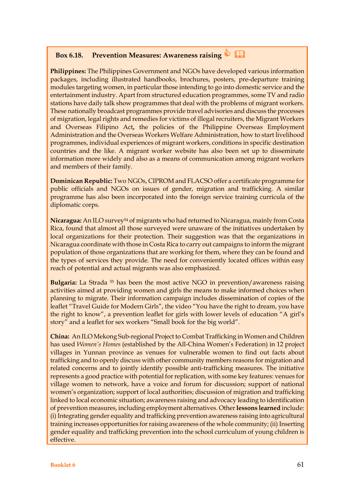# **Box 6.18.** Prevention Measures: Awareness raising **b**

**Philippines:** The Philippines Government and NGOs have developed various information packages, including illustrated handbooks, brochures, posters, pre-departure training modules targeting women, in particular those intending to go into domestic service and the entertainment industry. Apart from structured education programmes, some TV and radio stations have daily talk show programmes that deal with the problems of migrant workers. These nationally broadcast programmes provide travel advisories and discuss the processes of migration, legal rights and remedies for victims of illegal recruiters, the Migrant Workers and Overseas Filipino Act**,** the policies of the Philippine Overseas Employment Administration and the Overseas Workers Welfare Administration, how to start livelihood programmes, individual experiences of migrant workers, conditions in specific destination countries and the like. A migrant worker website has also been set up to disseminate information more widely and also as a means of communication among migrant workers and members of their family.

**Dominican Republic:** Two NGOs, CIPROM and FLACSO offer a certificate programme for public officials and NGOs on issues of gender, migration and trafficking. A similar programme has also been incorporated into the foreign service training curricula of the diplomatic corps.

**Nicaragua:** An ILO survey54 of migrants who had returned to Nicaragua, mainly from Costa Rica, found that almost all those surveyed were unaware of the initiatives undertaken by local organizations for their protection. Their suggestion was that the organizations in Nicaragua coordinate with those in Costa Rica to carry out campaigns to inform the migrant population of those organizations that are working for them, where they can be found and the types of services they provide. The need for conveniently located offices within easy reach of potential and actual migrants was also emphasized.

**Bulgaria:** La Strada 55 has been the most active NGO in prevention/awareness raising activities aimed at providing women and girls the means to make informed choices when planning to migrate. Their information campaign includes dissemination of copies of the leaflet "Travel Guide for Modern Girls", the video "You have the right to dream, you have the right to know", a prevention leaflet for girls with lower levels of education "A girl's story" and a leaflet for sex workers "Small book for the big world".

**China:** An ILO Mekong Sub-regional Project to Combat Trafficking in Women and Children has used *Womenís Homes* (established by the All-China Womenís Federation) in 12 project villages in Yunnan province as venues for vulnerable women to find out facts about trafficking and to openly discuss with other community members reasons for migration and related concerns and to jointly identify possible anti-trafficking measures. The initiative represents a good practice with potential for replication, with some key features: venues for village women to network, have a voice and forum for discussion; support of national women's organization; support of local authorities; discussion of migration and trafficking linked to local economic situation; awareness raising and advocacy leading to identification of prevention measures, including employment alternatives. Other **lessons learned** include: (i) Integrating gender equality and trafficking prevention awareness raising into agricultural training increases opportunities for raising awareness of the whole community; (ii) Inserting gender equality and trafficking prevention into the school curriculum of young children is effective.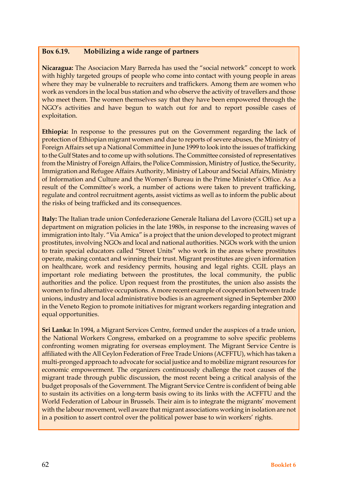## **Box 6.19. Mobilizing a wide range of partners**

**Nicaragua:** The Asociacion Mary Barreda has used the "social network" concept to work with highly targeted groups of people who come into contact with young people in areas where they may be vulnerable to recruiters and traffickers. Among them are women who work as vendors in the local bus station and who observe the activity of travellers and those who meet them. The women themselves say that they have been empowered through the NGO's activities and have begun to watch out for and to report possible cases of exploitation.

**Ethiopia:** In response to the pressures put on the Government regarding the lack of protection of Ethiopian migrant women and due to reports of severe abuses, the Ministry of Foreign Affairs set up a National Committee in June 1999 to look into the issues of trafficking to the Gulf States and to come up with solutions. The Committee consisted of representatives from the Ministry of Foreign Affairs, the Police Commission, Ministry of Justice, the Security, Immigration and Refugee Affairs Authority, Ministry of Labour and Social Affairs, Ministry of Information and Culture and the Women's Bureau in the Prime Minister's Office. As a result of the Committee's work, a number of actions were taken to prevent trafficking, regulate and control recruitment agents, assist victims as well as to inform the public about the risks of being trafficked and its consequences.

**Italy:** The Italian trade union Confederazione Generale Italiana del Lavoro (CGIL) set up a department on migration policies in the late 1980s, in response to the increasing waves of immigration into Italy. "Via Amica" is a project that the union developed to protect migrant prostitutes, involving NGOs and local and national authorities. NGOs work with the union to train special educators called "Street Units" who work in the areas where prostitutes operate, making contact and winning their trust. Migrant prostitutes are given information on healthcare, work and residency permits, housing and legal rights. CGIL plays an important role mediating between the prostitutes, the local community, the public authorities and the police. Upon request from the prostitutes, the union also assists the women to find alternative occupations. A more recent example of cooperation between trade unions, industry and local administrative bodies is an agreement signed in September 2000 in the Veneto Region to promote initiatives for migrant workers regarding integration and equal opportunities.

**Sri Lanka:** In 1994, a Migrant Services Centre, formed under the auspices of a trade union, the National Workers Congress, embarked on a programme to solve specific problems confronting women migrating for overseas employment. The Migrant Service Centre is affiliated with the All Ceylon Federation of Free Trade Unions (ACFFTU), which has taken a multi-pronged approach to advocate for social justice and to mobilize migrant resources for economic empowerment. The organizers continuously challenge the root causes of the migrant trade through public discussion, the most recent being a critical analysis of the budget proposals of the Government. The Migrant Service Centre is confident of being able to sustain its activities on a long-term basis owing to its links with the ACFFTU and the World Federation of Labour in Brussels. Their aim is to integrate the migrants' movement with the labour movement, well aware that migrant associations working in isolation are not in a position to assert control over the political power base to win workers' rights.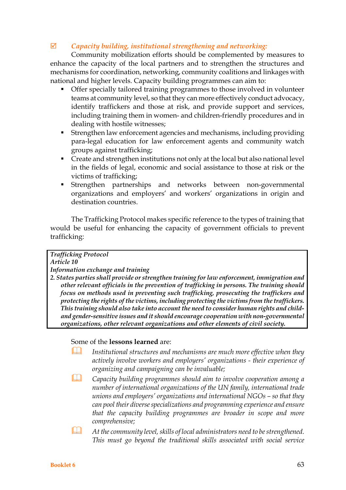# ! *Capacity building, institutional strengthening and networking:*

Community mobilization efforts should be complemented by measures to enhance the capacity of the local partners and to strengthen the structures and mechanisms for coordination, networking, community coalitions and linkages with national and higher levels. Capacity building programmes can aim to:

- Offer specially tailored training programmes to those involved in volunteer teams at community level, so that they can more effectively conduct advocacy, identify traffickers and those at risk, and provide support and services, including training them in women- and children-friendly procedures and in dealing with hostile witnesses;
- " Strengthen law enforcement agencies and mechanisms, including providing para-legal education for law enforcement agents and community watch groups against trafficking;
- " Create and strengthen institutions not only at the local but also national level in the fields of legal, economic and social assistance to those at risk or the victims of trafficking;
- " Strengthen partnerships and networks between non-governmental organizations and employers' and workers' organizations in origin and destination countries.

The Trafficking Protocol makes specific reference to the types of training that would be useful for enhancing the capacity of government officials to prevent trafficking:

# *Trafficking Protocol*

*Article 10* 

*Information exchange and training* 

*2. States parties shall provide or strengthen training for law enforcement, immigration and other relevant officials in the prevention of trafficking in persons. The training should focus on methods used in preventing such trafficking, prosecuting the traffickers and protecting the rights of the victims, including protecting the victims from the traffickers. This training should also take into account the need to consider human rights and childand gender-sensitive issues and it should encourage cooperation with non-governmental organizations, other relevant organizations and other elements of civil society.* 

# Some of the **lessons learned** are:

- *Institutional structures and mechanisms are much more effective when they actively involve workers and employersí organizations - their experience of organizing and campaigning can be invaluable;*
- ( *Capacity building programmes should aim to involve cooperation among a number of international organizations of the UN family, international trade unions and employers' organizations and international NGOs – so that they can pool their diverse specializations and programming experience and ensure that the capacity building programmes are broader in scope and more comprehensive;*
- ( *At the community level, skills of local administrators need to be strengthened. This must go beyond the traditional skills associated with social service*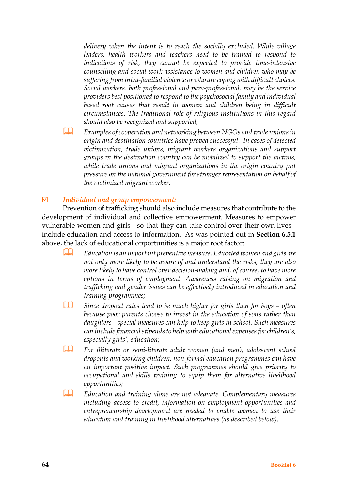*delivery when the intent is to reach the socially excluded. While village leaders, health workers and teachers need to be trained to respond to indications of risk, they cannot be expected to provide time-intensive counselling and social work assistance to women and children who may be suffering from intra-familial violence or who are coping with difficult choices. Social workers, both professional and para-professional, may be the service providers best positioned to respond to the psychosocial family and individual based root causes that result in women and children being in difficult circumstances. The traditional role of religious institutions in this regard should also be recognized and supported;* 

**Examples of cooperation and networking between NGOs and trade unions in** *origin and destination countries have proved successful. In cases of detected victimization, trade unions, migrant workers organizations and support groups in the destination country can be mobilized to support the victims, while trade unions and migrant organizations in the origin country put pressure on the national government for stronger representation on behalf of the victimized migrant worker.* 

## ! *Individual and group empowerment:*

Prevention of trafficking should also include measures that contribute to the development of individual and collective empowerment. Measures to empower vulnerable women and girls - so that they can take control over their own lives include education and access to information. As was pointed out in **Section 6.5.1** above, the lack of educational opportunities is a major root factor:

- **Example 20** Education is an important preventive measure. Educated women and girls are *not only more likely to be aware of and understand the risks, they are also more likely to have control over decision-making and, of course, to have more options in terms of employment. Awareness raising on migration and trafficking and gender issues can be effectively introduced in education and training programmes;*
- **(a)** Since dropout rates tend to be much higher for girls than for boys often *because poor parents choose to invest in the education of sons rather than daughters - special measures can help to keep girls in school. Such measures can include financial stipends to help with educational expenses for childrenís, especially girlsí, education*;
- *For illiterate or semi-literate adult women (and men), adolescent school dropouts and working children, non-formal education programmes can have an important positive impact. Such programmes should give priority to occupational and skills training to equip them for alternative livelihood opportunities;*
- **Education and training alone are not adequate. Complementary measures** *including access to credit, information on employment opportunities and entrepreneurship development are needed to enable women to use their education and training in livelihood alternatives (as described below).*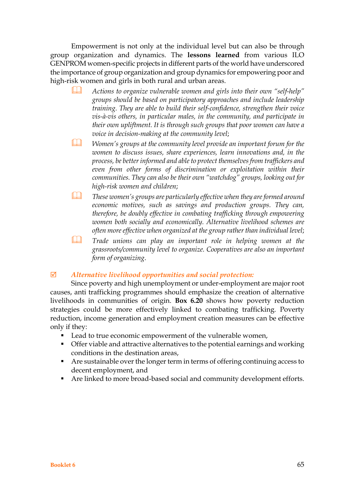Empowerment is not only at the individual level but can also be through group organization and dynamics. The **lessons learned** from various ILO GENPROM women-specific projects in different parts of the world have underscored the importance of group organization and group dynamics for empowering poor and high-risk women and girls in both rural and urban areas.

- **Actions to organize vulnerable women and girls into their own "self-help"** *groups should be based on participatory approaches and include leadership training. They are able to build their self-confidence, strengthen their voice vis-‡-vis others, in particular males, in the community, and participate in their own upliftment. It is through such groups that poor women can have a voice in decision-making at the community level*;
- *Momen's groups at the community level provide an important forum for the women to discuss issues, share experiences, learn innovations and, in the process, be better informed and able to protect themselves from traffickers and even from other forms of discrimination or exploitation within their communities. They can also be their own "watchdog" groups, looking out for high-risk women and children*;
- *Call These women's groups are particularly effective when they are formed around economic motives, such as savings and production groups. They can, therefore, be doubly effective in combating trafficking through empowering women both socially and economically. Alternative livelihood schemes are often more effective when organized at the group rather than individual level*;
- *La* Trade unions can play an important role in helping women at the *grassroots/community level to organize. Cooperatives are also an important form of organizing*.

### ! *Alternative livelihood opportunities and social protection:*

Since poverty and high unemployment or under-employment are major root causes, anti trafficking programmes should emphasize the creation of alternative livelihoods in communities of origin. **Box 6.20** shows how poverty reduction strategies could be more effectively linked to combating trafficking. Poverty reduction, income generation and employment creation measures can be effective only if they:

- Lead to true economic empowerment of the vulnerable women,
- " Offer viable and attractive alternatives to the potential earnings and working conditions in the destination areas,
- " Are sustainable over the longer term in terms of offering continuing access to decent employment, and
- " Are linked to more broad-based social and community development efforts.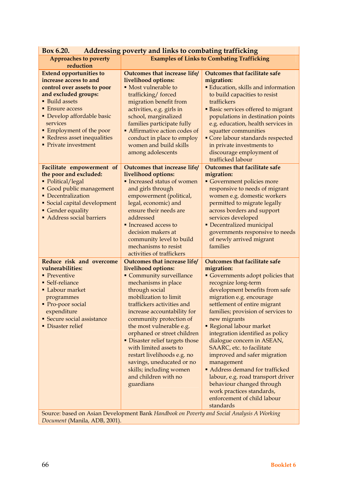| <b>Approaches to poverty</b><br>reduction                                                                                                                                                                                                                                             | <b>Examples of Links to Combating Trafficking</b>                                                                                                                                                                                                                                                                                                                                                                                                                                           |                                                                                                                                                                                                                                                                                                                                                                                                                                                                                                                                                                                                                        |
|---------------------------------------------------------------------------------------------------------------------------------------------------------------------------------------------------------------------------------------------------------------------------------------|---------------------------------------------------------------------------------------------------------------------------------------------------------------------------------------------------------------------------------------------------------------------------------------------------------------------------------------------------------------------------------------------------------------------------------------------------------------------------------------------|------------------------------------------------------------------------------------------------------------------------------------------------------------------------------------------------------------------------------------------------------------------------------------------------------------------------------------------------------------------------------------------------------------------------------------------------------------------------------------------------------------------------------------------------------------------------------------------------------------------------|
| <b>Extend opportunities to</b><br>increase access to and<br>control over assets to poor<br>and excluded groups:<br><b>Build assets</b><br>• Ensure access<br>• Develop affordable basic<br>services<br>■ Employment of the poor<br>Redress asset inequalities<br>• Private investment | Outcomes that increase life/<br>livelihood options:<br>• Most vulnerable to<br>trafficking/forced<br>migration benefit from<br>activities, e.g. girls in<br>school, marginalized<br>families participate fully<br>• Affirmative action codes of<br>conduct in place to employ<br>women and build skills<br>among adolescents                                                                                                                                                                | <b>Outcomes that facilitate safe</b><br>migration:<br><b>Education, skills and information</b><br>to build capacities to resist<br>traffickers<br><b>Basic services offered to migrant</b><br>populations in destination points<br>e.g. education, health services in<br>squatter communities<br>Core labour standards respected<br>in private investments to<br>discourage employment of<br>trafficked labour                                                                                                                                                                                                         |
| Facilitate empowerment of<br>the poor and excluded:<br>• Political/legal<br>Good public management<br>• Decentralization<br>Social capital development<br>• Gender equality<br>• Address social barriers                                                                              | Outcomes that increase life/<br>livelihood options:<br>Increased status of women<br>and girls through<br>empowerment (political,<br>legal, economic) and<br>ensure their needs are<br>addressed<br>Increased access to<br>decision makers at<br>community level to build<br>mechanisms to resist<br>activities of traffickers                                                                                                                                                               | Outcomes that facilitate safe<br>migration:<br>Government policies more<br>responsive to needs of migrant<br>women e.g. domestic workers<br>permitted to migrate legally<br>across borders and support<br>services developed<br>• Decentralized municipal<br>governments responsive to needs<br>of newly arrived migrant<br>families                                                                                                                                                                                                                                                                                   |
| Reduce risk and overcome<br>vulnerabilities:<br>• Preventive<br>• Self-reliance<br>• Labour market<br>programmes<br>• Pro-poor social<br>expenditure<br>Secure social assistance<br>п<br>• Disaster relief                                                                            | Outcomes that increase life/<br>livelihood options:<br>Community surveillance<br>mechanisms in place<br>through social<br>mobilization to limit<br>traffickers activities and<br>increase accountability for<br>community protection of<br>the most vulnerable e.g.<br>orphaned or street children<br>· Disaster relief targets those<br>with limited assets to<br>restart livelihoods e.g. no<br>savings, uneducated or no<br>skills; including women<br>and children with no<br>guardians | <b>Outcomes that facilitate safe</b><br>migration:<br>Governments adopt policies that<br>recognize long-term<br>development benefits from safe<br>migration e.g. encourage<br>settlement of entire migrant<br>families; provision of services to<br>new migrants<br>Regional labour market<br>integration identified as policy<br>dialogue concern in ASEAN,<br>SAARC, etc. to facilitate<br>improved and safer migration<br>management<br>• Address demand for trafficked<br>labour, e.g. road transport driver<br>behaviour changed through<br>work practices standards,<br>enforcement of child labour<br>standards |

# **Box 6.20. Addressing poverty and links to combating trafficking**

Source: based on Asian Development Bank *Handbook on Poverty and Social Analysis A Working Document* (Manila, ADB, 2001).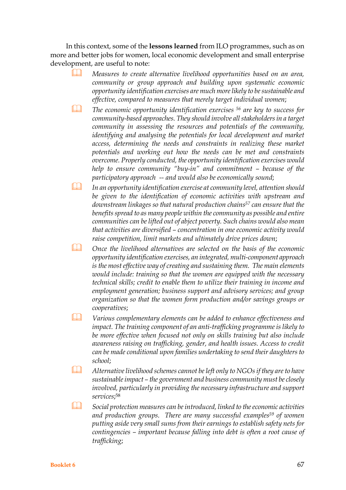In this context, some of the **lessons learned** from ILO programmes, such as on more and better jobs for women, local economic development and small enterprise development, are useful to note:

- *Measures to create alternative livelihood opportunities based on an area, community or group approach and building upon systematic economic opportunity identification exercises are much more likely to be sustainable and effective, compared to measures that merely target individual women*;
- *Fig. The economic opportunity identification exercises 56 are key to success for community-based approaches. They should involve all stakeholders in a target community in assessing the resources and potentials of the community, identifying and analysing the potentials for local development and market access, determining the needs and constraints in realizing these market potentials and working out how the needs can be met and constraints overcome. Properly conducted, the opportunity identification exercises would help to ensure community "buy-in" and commitment – because of the participatory approach -- and would also be economically sound*;
- ( *In an opportunity identification exercise at community level, attention should be given to the identification of economic activities with upstream and downstream linkages so that natural production chains57 can ensure that the benefits spread to as many people within the community as possible and entire communities can be lifted out of abject poverty. Such chains would also mean that activities are diversified – concentration in one economic activity would raise competition, limit markets and ultimately drive prices down*;
- *Calce 11 Once the livelihood alternatives are selected on the basis of the economic opportunity identification exercises, an integrated, multi-component approach is the most effective way of creating and sustaining them. The main elements would include: training so that the women are equipped with the necessary technical skills; credit to enable them to utilize their training in income and employment generation; business support and advisory services; and group organization so that the women form production and/or savings groups or cooperatives*;
- ( *Various complementary elements can be added to enhance effectiveness and impact. The training component of an anti-trafficking programme is likely to be more effective when focused not only on skills training but also include awareness raising on trafficking, gender, and health issues. Access to credit can be made conditional upon families undertaking to send their daughters to school*;
- ( *Alternative livelihood schemes cannot be left only to NGOs if they are to have sustainable impact – the government and business community must be closely involved, particularly in providing the necessary infrastructure and support services*;58
- ( *Social protection measures can be introduced, linked to the economic activities and production groups. There are many successful examples59 of women putting aside very small sums from their earnings to establish safety nets for contingencies – important because falling into debt is often a root cause of trafficking*;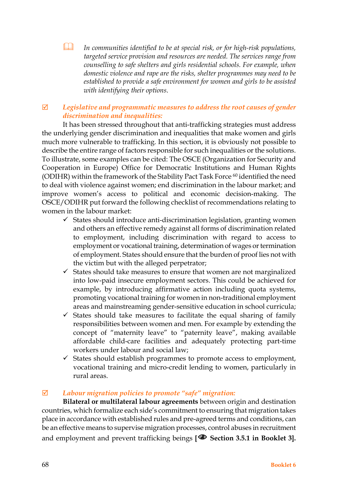*In communities identified to be at special risk, or for high-risk populations, targeted service provision and resources are needed. The services range from counselling to safe shelters and girls residential schools. For example, when domestic violence and rape are the risks, shelter programmes may need to be established to provide a safe environment for women and girls to be assisted with identifying their options*.

# ! *Legislative and programmatic measures to address the root causes of gender discrimination and inequalities:*

It has been stressed throughout that anti-trafficking strategies must address the underlying gender discrimination and inequalities that make women and girls much more vulnerable to trafficking. In this section, it is obviously not possible to describe the entire range of factors responsible for such inequalities or the solutions. To illustrate, some examples can be cited: The OSCE (Organization for Security and Cooperation in Europe) Office for Democratic Institutions and Human Rights (ODIHR) within the framework of the Stability Pact Task Force 60 identified the need to deal with violence against women; end discrimination in the labour market; and improve women's access to political and economic decision-making. The OSCE/ODIHR put forward the following checklist of recommendations relating to women in the labour market:

- $\checkmark$  States should introduce anti-discrimination legislation, granting women and others an effective remedy against all forms of discrimination related to employment, including discrimination with regard to access to employment or vocational training, determination of wages or termination of employment. States should ensure that the burden of proof lies not with the victim but with the alleged perpetrator;
- $\checkmark$  States should take measures to ensure that women are not marginalized into low-paid insecure employment sectors. This could be achieved for example, by introducing affirmative action including quota systems, promoting vocational training for women in non-traditional employment areas and mainstreaming gender-sensitive education in school curricula;
- $\checkmark$  States should take measures to facilitate the equal sharing of family responsibilities between women and men. For example by extending the concept of "maternity leave" to "paternity leave", making available affordable child-care facilities and adequately protecting part-time workers under labour and social law;
- $\checkmark$  States should establish programmes to promote access to employment, vocational training and micro-credit lending to women, particularly in rural areas.

# $\mathbb{Z}$  *Labour migration policies to promote "safe" migration:*

**Bilateral or multilateral labour agreements** between origin and destination countries, which formalize each side's commitment to ensuring that migration takes place in accordance with established rules and pre-agreed terms and conditions, can be an effective means to supervise migration processes, control abuses in recruitment and employment and prevent trafficking beings **[** $\bullet$  **Section 3.5.1 in Booklet 3].**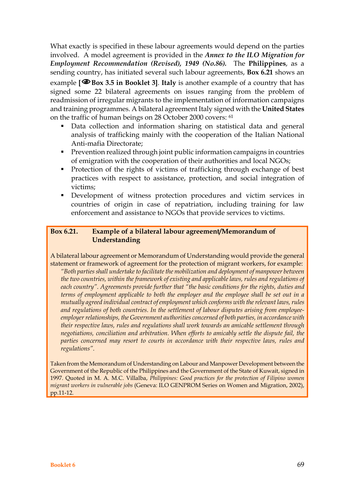What exactly is specified in these labour agreements would depend on the parties involved. A model agreement is provided in the *Annex to the ILO Migration for Employment Recommendation (Revised), 1949 (No.86).* The **Philippines**, as a sending country, has initiated several such labour agreements, **Box 6.21** shows an

example **[** $\bullet$ **Box 3.5 in Booklet 3]. Italy** is another example of a country that has signed some 22 bilateral agreements on issues ranging from the problem of readmission of irregular migrants to the implementation of information campaigns and training programmes. A bilateral agreement Italy signed with the **United States** on the traffic of human beings on 28 October 2000 covers: 61

- " Data collection and information sharing on statistical data and general analysis of trafficking mainly with the cooperation of the Italian National Anti-mafia Directorate;
- " Prevention realized through joint public information campaigns in countries of emigration with the cooperation of their authorities and local NGOs;
- " Protection of the rights of victims of trafficking through exchange of best practices with respect to assistance, protection, and social integration of victims;
- " Development of witness protection procedures and victim services in countries of origin in case of repatriation, including training for law enforcement and assistance to NGOs that provide services to victims.

# **Box 6.21. Example of a bilateral labour agreement/Memorandum of Understanding**

A bilateral labour agreement or Memorandum of Understanding would provide the general statement or framework of agreement for the protection of migrant workers, for example:

*ìBoth parties shall undertake to facilitate the mobilization and deployment of manpower between the two countries, within the framework of existing and applicable laws, rules and regulations of each country". Agreements provide further that "the basic conditions for the rights, duties and terms of employment applicable to both the employer and the employee shall be set out in a mutually agreed individual contract of employment which conforms with the relevant laws, rules and regulations of both countries. In the settlement of labour disputes arising from employeeemployer relationships, the Government authorities concerned of both parties, in accordance with their respective laws, rules and regulations shall work towards an amicable settlement through negotiations, conciliation and arbitration. When efforts to amicably settle the dispute fail, the parties concerned may resort to courts in accordance with their respective laws, rules and regulations".* 

Taken from the Memorandum of Understanding on Labour and Manpower Development between the Government of the Republic of the Philippines and the Government of the State of Kuwait, signed in 1997. Quoted in M. A. M.C. Villalba, *Philippines: Good practices for the protection of Filipino women migrant workers in vulnerable jobs* (Geneva: ILO GENPROM Series on Women and Migration, 2002), pp.11-12.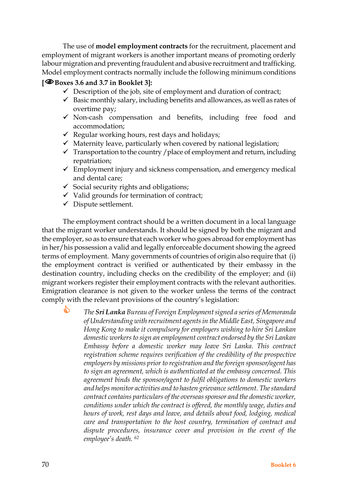The use of **model employment contracts** for the recruitment, placement and employment of migrant workers is another important means of promoting orderly labour migration and preventing fraudulent and abusive recruitment and trafficking. Model employment contracts normally include the following minimum conditions

# **[**!**Boxes 3.6 and 3.7 in Booklet 3]:**

- $\checkmark$  Description of the job, site of employment and duration of contract;
- $\checkmark$  Basic monthly salary, including benefits and allowances, as well as rates of overtime pay;
- $\checkmark$  Non-cash compensation and benefits, including free food and accommodation;
- $\checkmark$  Regular working hours, rest days and holidays;
- $\checkmark$  Maternity leave, particularly when covered by national legislation;
- $\checkmark$  Transportation to the country / place of employment and return, including repatriation;
- $\checkmark$  Employment injury and sickness compensation, and emergency medical and dental care;
- $\checkmark$  Social security rights and obligations;
- $\checkmark$  Valid grounds for termination of contract;
- $\checkmark$  Dispute settlement.

The employment contract should be a written document in a local language that the migrant worker understands. It should be signed by both the migrant and the employer, so as to ensure that each worker who goes abroad for employment has in her/his possession a valid and legally enforceable document showing the agreed terms of employment. Many governments of countries of origin also require that (i) the employment contract is verified or authenticated by their embassy in the destination country, including checks on the credibility of the employer; and (ii) migrant workers register their employment contracts with the relevant authorities. Emigration clearance is not given to the worker unless the terms of the contract comply with the relevant provisions of the country's legislation:

& *The Sri Lanka Bureau of Foreign Employment signed a series of Memoranda of Understanding with recruitment agents in the Middle East, Singapore and Hong Kong to make it compulsory for employers wishing to hire Sri Lankan domestic workers to sign an employment contract endorsed by the Sri Lankan Embassy before a domestic worker may leave Sri Lanka. This contract registration scheme requires verification of the credibility of the prospective employers by missions prior to registration and the foreign sponsor/agent has to sign an agreement, which is authenticated at the embassy concerned. This agreement binds the sponsor/agent to fulfil obligations to domestic workers and helps monitor activities and to hasten grievance settlement. The standard contract contains particulars of the overseas sponsor and the domestic worker, conditions under which the contract is offered, the monthly wage, duties and hours of work, rest days and leave, and details about food, lodging, medical care and transportation to the host country, termination of contract and dispute procedures, insurance cover and provision in the event of the employeeís death. 62*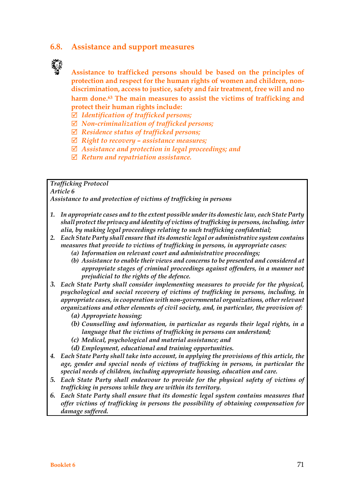# **6.8. Assistance and support measures**



**Assistance to trafficked persons should be based on the principles of protection and respect for the human rights of women and children, nondiscrimination, access to justice, safety and fair treatment, free will and no harm done.63 The main measures to assist the victims of trafficking and protect their human rights include:**

- ! *Identification of trafficked persons;*
- ! *Non-criminalization of trafficked persons;*
- ! *Residence status of trafficked persons;*
- $✓$  *Right to recovery assistance measures;*
- ! *Assistance and protection in legal proceedings; and*
- ! *Return and repatriation assistance.*

#### *Trafficking Protocol*

*Article 6* 

*Assistance to and protection of victims of trafficking in persons* 

- *1. In appropriate cases and to the extent possible under its domestic law, each State Party shall protect the privacy and identity of victims of trafficking in persons, including, inter alia, by making legal proceedings relating to such trafficking confidential;*
- *2. Each State Party shall ensure that its domestic legal or administrative system contains measures that provide to victims of trafficking in persons, in appropriate cases:* 
	- *(a) Information on relevant court and administrative proceedings;*
	- *(b) Assistance to enable their views and concerns to be presented and considered at appropriate stages of criminal proceedings against offenders, in a manner not prejudicial to the rights of the defence.*
- *3. Each State Party shall consider implementing measures to provide for the physical, psychological and social recovery of victims of trafficking in persons, including, in appropriate cases, in cooperation with non-governmental organizations, other relevant organizations and other elements of civil society, and, in particular, the provision of:*
	- *(a) Appropriate housing;*
	- *(b) Counselling and information, in particular as regards their legal rights, in a language that the victims of trafficking in persons can understand;*
	- *(c) Medical, psychological and material assistance; and*
	- *(d) Employment, educational and training opportunities.*
- *4. Each State Party shall take into account, in applying the provisions of this article, the age, gender and special needs of victims of trafficking in persons, in particular the special needs of children, including appropriate housing, education and care.*
- *5. Each State Party shall endeavour to provide for the physical safety of victims of trafficking in persons while they are within its territory.*
- *6. Each State Party shall ensure that its domestic legal system contains measures that offer victims of trafficking in persons the possibility of obtaining compensation for damage suffered.*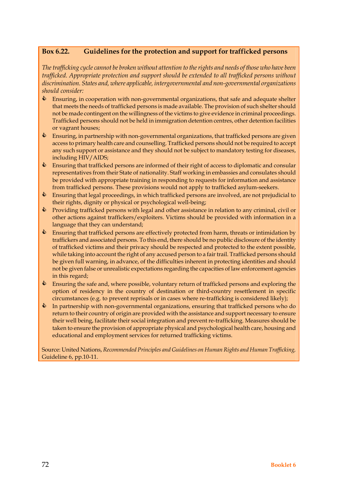## **Box 6.22. Guidelines for the protection and support for trafficked persons**

*The trafficking cycle cannot be broken without attention to the rights and needs of those who have been trafficked. Appropriate protection and support should be extended to all trafficked persons without discrimination. States and, where applicable, intergovernmental and non-governmental organizations should consider:*

- $\bullet$  Ensuring, in cooperation with non-governmental organizations, that safe and adequate shelter that meets the needs of trafficked persons is made available. The provision of such shelter should not be made contingent on the willingness of the victims to give evidence in criminal proceedings. Trafficked persons should not be held in immigration detention centres, other detention facilities or vagrant houses;
- & Ensuring, in partnership with non-governmental organizations, that trafficked persons are given access to primary health care and counselling. Trafficked persons should not be required to accept any such support or assistance and they should not be subject to mandatory testing for diseases, including HIV/AIDS;
- & Ensuring that trafficked persons are informed of their right of access to diplomatic and consular representatives from their State of nationality. Staff working in embassies and consulates should be provided with appropriate training in responding to requests for information and assistance from trafficked persons. These provisions would not apply to trafficked asylum-seekers.
- & Ensuring that legal proceedings, in which trafficked persons are involved, are not prejudicial to their rights, dignity or physical or psychological well-being;
- & Providing trafficked persons with legal and other assistance in relation to any criminal, civil or other actions against traffickers/exploiters. Victims should be provided with information in a language that they can understand;
- & Ensuring that trafficked persons are effectively protected from harm, threats or intimidation by traffickers and associated persons. To this end, there should be no public disclosure of the identity of trafficked victims and their privacy should be respected and protected to the extent possible, while taking into account the right of any accused person to a fair trail. Trafficked persons should be given full warning, in advance, of the difficulties inherent in protecting identities and should not be given false or unrealistic expectations regarding the capacities of law enforcement agencies in this regard;
- & Ensuring the safe and, where possible, voluntary return of trafficked persons and exploring the option of residency in the country of destination or third-country resettlement in specific circumstances (e.g. to prevent reprisals or in cases where re-trafficking is considered likely);
- & In partnership with non-governmental organizations, ensuring that trafficked persons who do return to their country of origin are provided with the assistance and support necessary to ensure their well being, facilitate their social integration and prevent re-trafficking. Measures should be taken to ensure the provision of appropriate physical and psychological health care, housing and educational and employment services for returned trafficking victims.

Source: United Nations, *Recommended Principles and Guidelines on Human Rights and Human Trafficking,*  Guideline 6, pp.10-11.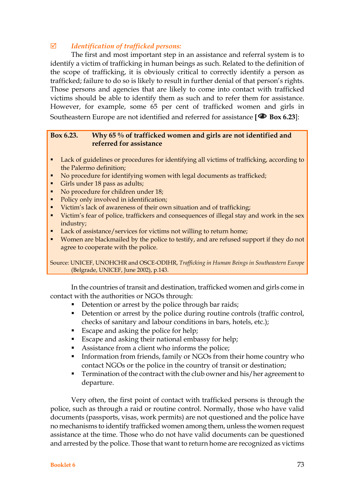# ! *Identification of trafficked persons:*

The first and most important step in an assistance and referral system is to identify a victim of trafficking in human beings as such. Related to the definition of the scope of trafficking, it is obviously critical to correctly identify a person as trafficked; failure to do so is likely to result in further denial of that person's rights. Those persons and agencies that are likely to come into contact with trafficked victims should be able to identify them as such and to refer them for assistance. However, for example, some 65 per cent of trafficked women and girls in Southeastern Europe are not identified and referred for assistance **[** $\bullet$  **Box 6.23**]:

## **Box 6.23. Why 65 % of trafficked women and girls are not identified and referred for assistance**

- Lack of guidelines or procedures for identifying all victims of trafficking, according to the Palermo definition;
- No procedure for identifying women with legal documents as trafficked;
- Girls under 18 pass as adults;
- No procedure for children under 18;
- Policy only involved in identification;
- " Victim's lack of awareness of their own situation and of trafficking;
- " Victim's fear of police, traffickers and consequences of illegal stay and work in the sex industry;
- Lack of assistance/services for victims not willing to return home;
- Women are blackmailed by the police to testify, and are refused support if they do not agree to cooperate with the police.

Source: UNICEF, UNOHCHR and OSCE-ODIHR, *Trafficking in Human Beings in Southeastern Europe* (Belgrade, UNICEF, June 2002), p.143.

In the countries of transit and destination, trafficked women and girls come in contact with the authorities or NGOs through:

- Detention or arrest by the police through bar raids;
- Detention or arrest by the police during routine controls (traffic control, checks of sanitary and labour conditions in bars, hotels, etc.);
- " Escape and asking the police for help;
- **Example 1** Escape and asking their national embassy for help;
- **Assistance from a client who informs the police;**
- " Information from friends, family or NGOs from their home country who contact NGOs or the police in the country of transit or destination;
- " Termination of the contract with the club owner and his/her agreement to departure.

Very often, the first point of contact with trafficked persons is through the police, such as through a raid or routine control. Normally, those who have valid documents (passports, visas, work permits) are not questioned and the police have no mechanisms to identify trafficked women among them, unless the women request assistance at the time. Those who do not have valid documents can be questioned and arrested by the police. Those that want to return home are recognized as victims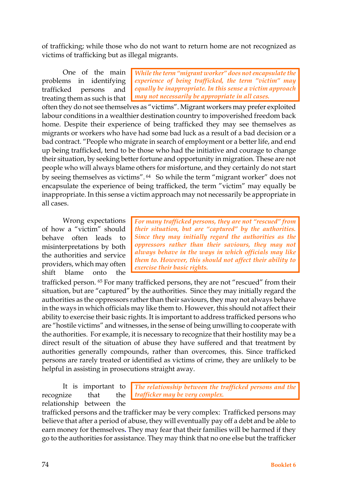of trafficking; while those who do not want to return home are not recognized as victims of trafficking but as illegal migrants.

One of the main problems in identifying trafficked persons and treating them as such is that

*While the term "migrant worker" does not encapsulate the experience of being trafficked, the term "victim" may equally be inappropriate. In this sense a victim approach may not necessarily be appropriate in all cases.* 

often they do not see themselves as "victims". Migrant workers may prefer exploited labour conditions in a wealthier destination country to impoverished freedom back home. Despite their experience of being trafficked they may see themselves as migrants or workers who have had some bad luck as a result of a bad decision or a bad contract. "People who migrate in search of employment or a better life, and end up being trafficked, tend to be those who had the initiative and courage to change their situation, by seeking better fortune and opportunity in migration. These are not people who will always blame others for misfortune, and they certainly do not start by seeing themselves as victims". <sup>64</sup> So while the term "migrant worker" does not encapsulate the experience of being trafficked, the term "victim" may equally be inappropriate. In this sense a victim approach may not necessarily be appropriate in all cases.

Wrong expectations of how a "victim" should behave often leads to misinterpretations by both the authorities and service providers, which may often shift blame onto the

For many trafficked persons, they are not "rescued" from *their situation, but are "captured" by the authorities. Since they may initially regard the authorities as the oppressors rather than their saviours, they may not always behave in the ways in which officials may like them to. However, this should not affect their ability to exercise their basic rights.* 

trafficked person. <sup>65</sup> For many trafficked persons, they are not "rescued" from their situation, but are "captured" by the authorities. Since they may initially regard the authorities as the oppressors rather than their saviours, they may not always behave in the ways in which officials may like them to. However, this should not affect their ability to exercise their basic rights. It is important to address trafficked persons who are "hostile victims" and witnesses, in the sense of being unwilling to cooperate with the authorities. For example, it is necessary to recognize that their hostility may be a direct result of the situation of abuse they have suffered and that treatment by authorities generally compounds, rather than overcomes, this. Since trafficked persons are rarely treated or identified as victims of crime, they are unlikely to be helpful in assisting in prosecutions straight away.

It is important to recognize that the relationship between the

*The relationship between the trafficked persons and the trafficker may be very complex.* 

trafficked persons and the trafficker may be very complex: Trafficked persons may believe that after a period of abuse, they will eventually pay off a debt and be able to earn money for themselves**.** They may fear that their families will be harmed if they go to the authorities for assistance. They may think that no one else but the trafficker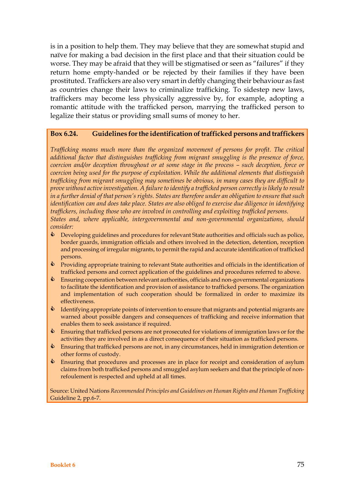is in a position to help them. They may believe that they are somewhat stupid and naïve for making a bad decision in the first place and that their situation could be worse. They may be afraid that they will be stigmatised or seen as "failures" if they return home empty-handed or be rejected by their families if they have been prostituted. Traffickers are also very smart in deftly changing their behaviour as fast as countries change their laws to criminalize trafficking. To sidestep new laws, traffickers may become less physically aggressive by, for example, adopting a romantic attitude with the trafficked person, marrying the trafficked person to legalize their status or providing small sums of money to her.

#### **Box 6.24. Guidelines for the identification of trafficked persons and traffickers**

*Trafficking means much more than the organized movement of persons for profit. The critical additional factor that distinguishes trafficking from migrant smuggling is the presence of force, coercion and/or deception throughout or at some stage in the process – such deception, force or coercion being used for the purpose of exploitation. While the additional elements that distinguish trafficking from migrant smuggling may sometimes be obvious, in many cases they are difficult to prove without active investigation. A failure to identify a trafficked person correctly is likely to result in a further denial of that personís rights. States are therefore under an obligation to ensure that such identification can and does take place. States are also obliged to exercise due diligence in identifying traffickers, including those who are involved in controlling and exploiting trafficked persons. States and, where applicable, intergovernmental and non-governmental organizations, should consider:* 

- Developing guidelines and procedures for relevant State authorities and officials such as police, border guards, immigration officials and others involved in the detection, detention, reception and processing of irregular migrants, to permit the rapid and accurate identification of trafficked persons.
- & Providing appropriate training to relevant State authorities and officials in the identification of trafficked persons and correct application of the guidelines and procedures referred to above.
- **Ensuring cooperation between relevant authorities, officials and non-governmental organizations** to facilitate the identification and provision of assistance to trafficked persons. The organization and implementation of such cooperation should be formalized in order to maximize its effectiveness.
- & Identifying appropriate points of intervention to ensure that migrants and potential migrants are warned about possible dangers and consequences of trafficking and receive information that enables them to seek assistance if required.
- **S** Ensuring that trafficked persons are not prosecuted for violations of immigration laws or for the activities they are involved in as a direct consequence of their situation as trafficked persons.
- & Ensuring that trafficked persons are not, in any circumstances, held in immigration detention or other forms of custody.
- **Ensuring that procedures and processes are in place for receipt and consideration of asylum** claims from both trafficked persons and smuggled asylum seekers and that the principle of nonrefoulement is respected and upheld at all times.

Source: United Nations *Recommended Principles and Guidelines on Human Rights and Human Trafficking* Guideline 2, pp.6-7.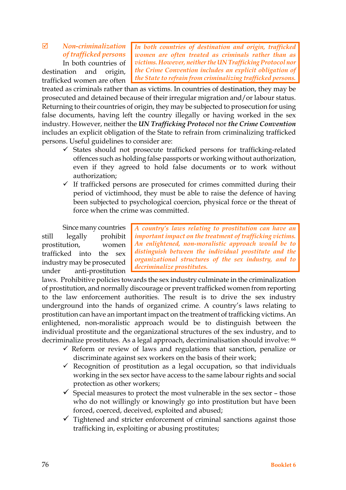! *Non-criminalization of trafficked persons* In both countries of destination and origin, trafficked women are often *In both countries of destination and origin, trafficked women are often treated as criminals rather than as victims. However, neither the UN Trafficking Protocol nor the Crime Convention includes an explicit obligation of the State to refrain from criminalizing trafficked persons.*

treated as criminals rather than as victims. In countries of destination, they may be prosecuted and detained because of their irregular migration and/or labour status. Returning to their countries of origin, they may be subjected to prosecution for using false documents, having left the country illegally or having worked in the sex industry. However, neither the *UN Trafficking Protocol* nor *the Crime Convention* includes an explicit obligation of the State to refrain from criminalizing trafficked persons. Useful guidelines to consider are:

- $\checkmark$  States should not prosecute trafficked persons for trafficking-related offences such as holding false passports or working without authorization, even if they agreed to hold false documents or to work without authorization;
- $\checkmark$  If trafficked persons are prosecuted for crimes committed during their period of victimhood, they must be able to raise the defence of having been subjected to psychological coercion, physical force or the threat of force when the crime was committed.

Since many countries still legally prohibit prostitution, women trafficked into the sex industry may be prosecuted under anti-prostitution

*A countryís laws relating to prostitution can have an important impact on the treatment of trafficking victims. An enlightened, non-moralistic approach would be to distinguish between the individual prostitute and the organizational structures of the sex industry, and to decriminalize prostitutes.* 

laws. Prohibitive policies towards the sex industry culminate in the criminalization of prostitution, and normally discourage or prevent trafficked women from reporting to the law enforcement authorities. The result is to drive the sex industry underground into the hands of organized crime. A country's laws relating to prostitution can have an important impact on the treatment of trafficking victims. An enlightened, non-moralistic approach would be to distinguish between the individual prostitute and the organizational structures of the sex industry, and to decriminalize prostitutes. As a legal approach, decriminalisation should involve: 66

- $\checkmark$  Reform or review of laws and regulations that sanction, penalize or discriminate against sex workers on the basis of their work;
- $\checkmark$  Recognition of prostitution as a legal occupation, so that individuals working in the sex sector have access to the same labour rights and social protection as other workers;
- $\checkmark$  Special measures to protect the most vulnerable in the sex sector those who do not willingly or knowingly go into prostitution but have been forced, coerced, deceived, exploited and abused;
- $\checkmark$  Tightened and stricter enforcement of criminal sanctions against those trafficking in, exploiting or abusing prostitutes;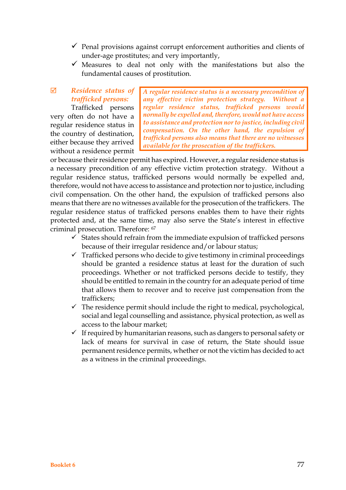- $\checkmark$  Penal provisions against corrupt enforcement authorities and clients of under-age prostitutes; and very importantly,
- $\checkmark$  Measures to deal not only with the manifestations but also the fundamental causes of prostitution.

# $\n *Residence status of*\n$ *trafficked persons:*

Trafficked persons very often do not have a regular residence status in the country of destination, either because they arrived without a residence permit *A regular residence status is a necessary precondition of any effective victim protection strategy. Without a regular residence status, trafficked persons would normally be expelled and, therefore, would not have access to assistance and protection nor to justice, including civil compensation. On the other hand, the expulsion of trafficked persons also means that there are no witnesses available for the prosecution of the traffickers.* 

or because their residence permit has expired. However, a regular residence status is a necessary precondition of any effective victim protection strategy. Without a regular residence status, trafficked persons would normally be expelled and, therefore, would not have access to assistance and protection nor to justice, including civil compensation. On the other hand, the expulsion of trafficked persons also means that there are no witnesses available for the prosecution of the traffickers. The regular residence status of trafficked persons enables them to have their rights protected and, at the same time, may also serve the State's interest in effective criminal prosecution. Therefore: 67

- $\checkmark$  States should refrain from the immediate expulsion of trafficked persons because of their irregular residence and/or labour status;
- $\checkmark$  Trafficked persons who decide to give testimony in criminal proceedings should be granted a residence status at least for the duration of such proceedings. Whether or not trafficked persons decide to testify, they should be entitled to remain in the country for an adequate period of time that allows them to recover and to receive just compensation from the traffickers;
- $\checkmark$  The residence permit should include the right to medical, psychological, social and legal counselling and assistance, physical protection, as well as access to the labour market;
- $\checkmark$  If required by humanitarian reasons, such as dangers to personal safety or lack of means for survival in case of return, the State should issue permanent residence permits, whether or not the victim has decided to act as a witness in the criminal proceedings.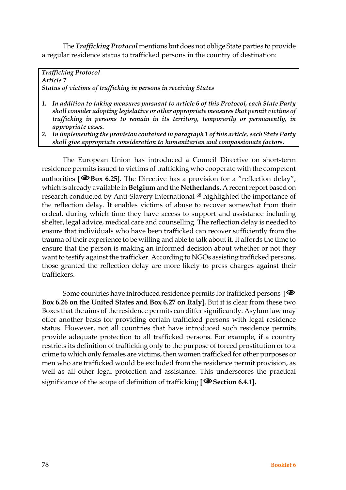The *Trafficking Protocol* mentions but does not oblige State parties to provide a regular residence status to trafficked persons in the country of destination:

# *Trafficking Protocol Article 7 Status of victims of trafficking in persons in receiving States*

- *1. In addition to taking measures pursuant to article 6 of this Protocol, each State Party shall consider adopting legislative or other appropriate measures that permit victims of trafficking in persons to remain in its territory, temporarily or permanently, in appropriate cases.*
- *2. In implementing the provision contained in paragraph 1 of this article, each State Party shall give appropriate consideration to humanitarian and compassionate factors.*

The European Union has introduced a Council Directive on short-term residence permits issued to victims of trafficking who cooperate with the competent authorities  $[\mathbf{\mathcal{D}Box 6.25]}$ . The Directive has a provision for a "reflection delay", which is already available in **Belgium** and the **Netherlands**. A recent report based on research conducted by Anti-Slavery International 68 highlighted the importance of the reflection delay. It enables victims of abuse to recover somewhat from their ordeal, during which time they have access to support and assistance including shelter, legal advice, medical care and counselling. The reflection delay is needed to ensure that individuals who have been trafficked can recover sufficiently from the trauma of their experience to be willing and able to talk about it. It affords the time to ensure that the person is making an informed decision about whether or not they want to testify against the trafficker. According to NGOs assisting trafficked persons, those granted the reflection delay are more likely to press charges against their traffickers.

Some countries have introduced residence permits for trafficked persons **[**! **Box 6.26 on the United States and Box 6.27 on Italy].** But it is clear from these two Boxes that the aims of the residence permits can differ significantly. Asylum law may offer another basis for providing certain trafficked persons with legal residence status. However, not all countries that have introduced such residence permits provide adequate protection to all trafficked persons. For example, if a country restricts its definition of trafficking only to the purpose of forced prostitution or to a crime to which only females are victims, then women trafficked for other purposes or men who are trafficked would be excluded from the residence permit provision, as well as all other legal protection and assistance. This underscores the practical significance of the scope of definition of trafficking **[** $\bullet$  **Section 6.4.1].**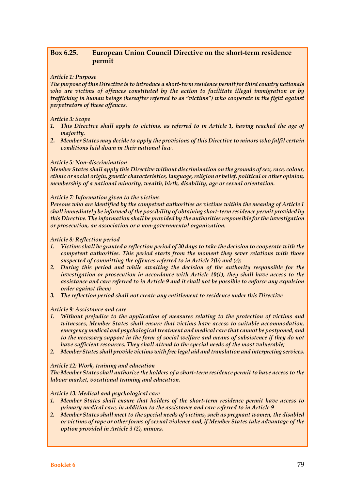# **Box 6.25. European Union Council Directive on the short-term residence permit**

#### *Article 1: Purpose*

*The purpose of this Directive is to introduce a short-term residence permit for third country nationals who are victims of offences constituted by the action to facilitate illegal immigration or by trafficking in human beings (hereafter referred to as "victims") who cooperate in the fight against perpetrators of these offences.* 

#### *Article 3: Scope*

- *1. This Directive shall apply to victims, as referred to in Article 1, having reached the age of majority.*
- *2. Member States may decide to apply the provisions of this Directive to minors who fulfil certain conditions laid down in their national law.*

#### *Article 5: Non-discrimination*

*Member States shall apply this Directive without discrimination on the grounds of sex, race, colour, ethnic or social origin, genetic characteristics, language, religion or belief, political or other opinion, membership of a national minority, wealth, birth, disability, age or sexual orientation.* 

#### *Article 7: Information given to the victims*

*Persons who are identified by the competent authorities as victims within the meaning of Article 1 shall immediately be informed of the possibility of obtaining short-term residence permit provided by this Directive. The information shall be provided by the authorities responsible for the investigation or prosecution, an association or a non-governmental organization.* 

#### *Article 8: Reflection period*

- *1. Victims shall be granted a reflection period of 30 days to take the decision to cooperate with the competent authorities. This period starts from the moment they sever relations with those suspected of committing the offences referred to in Article 2(b) and (c);*
- *2. During this period and while awaiting the decision of the authority responsible for the investigation or prosecution in accordance with Article 10(1), they shall have access to the assistance and care referred to in Article 9 and it shall not be possible to enforce any expulsion order against them;*
- *3. The reflection period shall not create any entitlement to residence under this Directive*

#### *Article 9: Assistance and care*

- *1. Without prejudice to the application of measures relating to the protection of victims and witnesses, Member States shall ensure that victims have access to suitable accommodation, emergency medical and psychological treatment and medical care that cannot be postponed, and to the necessary support in the form of social welfare and means of subsistence if they do not have sufficient resources. They shall attend to the special needs of the most vulnerable;*
- *2. Member States shall provide victims with free legal aid and translation and interpreting services.*

#### *Article 12: Work, training and education*

*The Member States shall authorize the holders of a short-term residence permit to have access to the labour market, vocational training and education.* 

#### *Article 13: Medical and psychological care*

- *1. Member States shall ensure that holders of the short-term residence permit have access to primary medical care, in addition to the assistance and care referred to in Article 9*
- *2. Member States shall meet to the special needs of victims, such as pregnant women, the disabled or victims of rape or other forms of sexual violence and, if Member States take advantage of the option provided in Article 3 (2), minors.*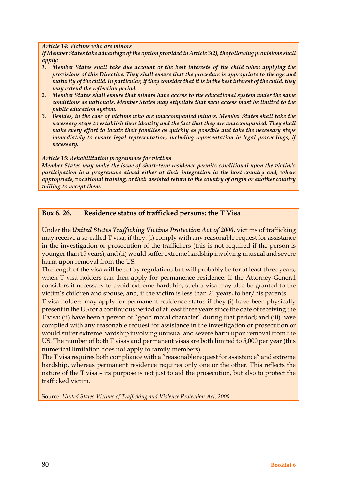#### *Article 14: Victims who are minors*

*If Member States take advantage of the option provided in Article 3(2), the following provisions shall apply:* 

- *1. Member States shall take due account of the best interests of the child when applying the provisions of this Directive. They shall ensure that the procedure is appropriate to the age and maturity of the child. In particular, if they consider that it is in the best interest of the child, they may extend the reflection period.*
- *2. Member States shall ensure that minors have access to the educational system under the same conditions as nationals. Member States may stipulate that such access must be limited to the public education system.*
- *3. Besides, in the case of victims who are unaccompanied minors, Member States shall take the necessary steps to establish their identity and the fact that they are unaccompanied. They shall make every effort to locate their families as quickly as possible and take the necessary steps immediately to ensure legal representation, including representation in legal proceedings, if necessary.*

#### *Article 15: Rehabilitation programmes for victims*

*Member States may make the issue of short-term residence permits conditional upon the victimís participation in a programme aimed either at their integration in the host country and, where appropriate, vocational training, or their assisted return to the country of origin or another country willing to accept them.* 

### **Box 6. 26. Residence status of trafficked persons: the T Visa**

Under the *United States Trafficking Victims Protection Act of 2000*, victims of trafficking may receive a so-called T visa, if they: (i) comply with any reasonable request for assistance in the investigation or prosecution of the traffickers (this is not required if the person is younger than 15 years); and (ii) would suffer extreme hardship involving unusual and severe harm upon removal from the US.

The length of the visa will be set by regulations but will probably be for at least three years, when T visa holders can then apply for permanence residence. If the Attorney-General considers it necessary to avoid extreme hardship, such a visa may also be granted to the victimís children and spouse, and, if the victim is less than 21 years, to her/his parents.

T visa holders may apply for permanent residence status if they (i) have been physically present in the US for a continuous period of at least three years since the date of receiving the T visa; (ii) have been a person of "good moral character" during that period; and (iii) have complied with any reasonable request for assistance in the investigation or prosecution or would suffer extreme hardship involving unusual and severe harm upon removal from the US. The number of both T visas and permanent visas are both limited to 5,000 per year (this numerical limitation does not apply to family members).

The T visa requires both compliance with a "reasonable request for assistance" and extreme hardship, whereas permanent residence requires only one or the other. This reflects the nature of the  $T$  visa  $-$  its purpose is not just to aid the prosecution, but also to protect the trafficked victim.

Source: *United States Victims of Trafficking and Violence Protection Act, 2000.*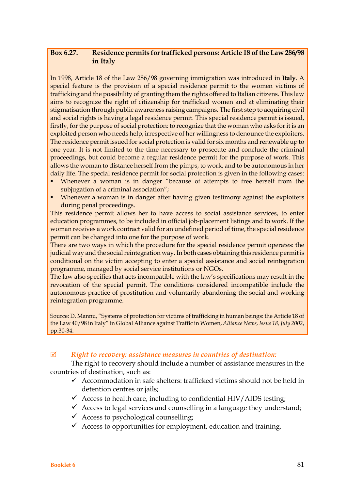# **Box 6.27. Residence permits for trafficked persons: Article 18 of the Law 286/98 in Italy**

In 1998, Article 18 of the Law 286/98 governing immigration was introduced in **Italy**. A special feature is the provision of a special residence permit to the women victims of trafficking and the possibility of granting them the rights offered to Italian citizens. This law aims to recognize the right of citizenship for trafficked women and at eliminating their stigmatisation through public awareness raising campaigns. The first step to acquiring civil and social rights is having a legal residence permit. This special residence permit is issued, firstly, for the purpose of social protection: to recognize that the woman who asks for it is an exploited person who needs help, irrespective of her willingness to denounce the exploiters. The residence permit issued for social protection is valid for six months and renewable up to one year. It is not limited to the time necessary to prosecute and conclude the criminal proceedings, but could become a regular residence permit for the purpose of work. This allows the woman to distance herself from the pimps, to work, and to be autonomous in her daily life. The special residence permit for social protection is given in the following cases:

- Whenever a woman is in danger "because of attempts to free herself from the subjugation of a criminal association";
- Whenever a woman is in danger after having given testimony against the exploiters during penal proceedings.

This residence permit allows her to have access to social assistance services, to enter education programmes, to be included in official job-placement listings and to work. If the woman receives a work contract valid for an undefined period of time, the special residence permit can be changed into one for the purpose of work.

There are two ways in which the procedure for the special residence permit operates: the judicial way and the social reintegration way. In both cases obtaining this residence permit is conditional on the victim accepting to enter a special assistance and social reintegration programme, managed by social service institutions or NGOs.

The law also specifies that acts incompatible with the law's specifications may result in the revocation of the special permit. The conditions considered incompatible include the autonomous practice of prostitution and voluntarily abandoning the social and working reintegration programme.

Source: D. Mannu, "Systems of protection for victims of trafficking in human beings: the Article 18 of the Law 40/98 in Italyî in Global Alliance against Traffic in Women, *Alliance News, Issue 18, July 2002*, pp.30-34.

# ! *Right to recovery: assistance measures in countries of destination:*

The right to recovery should include a number of assistance measures in the countries of destination, such as:

- $\checkmark$  Accommodation in safe shelters: trafficked victims should not be held in detention centres or jails;
- $\checkmark$  Access to health care, including to confidential HIV/AIDS testing;
- $\checkmark$  Access to legal services and counselling in a language they understand;
- $\checkmark$  Access to psychological counselling;
- $\checkmark$  Access to opportunities for employment, education and training.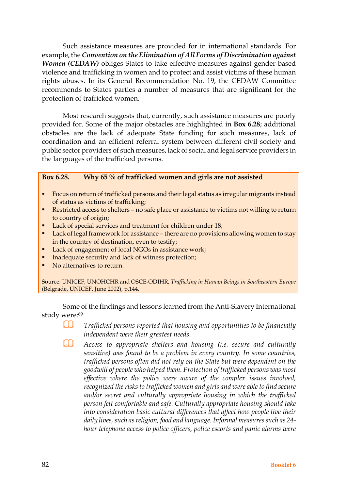Such assistance measures are provided for in international standards. For example, the *Convention on the Elimination of All Forms of Discrimination against Women (CEDAW)* obliges States to take effective measures against gender-based violence and trafficking in women and to protect and assist victims of these human rights abuses. In its General Recommendation No. 19, the CEDAW Committee recommends to States parties a number of measures that are significant for the protection of trafficked women.

Most research suggests that, currently, such assistance measures are poorly provided for. Some of the major obstacles are highlighted in **Box 6.28**; additional obstacles are the lack of adequate State funding for such measures, lack of coordination and an efficient referral system between different civil society and public sector providers of such measures, lack of social and legal service providers in the languages of the trafficked persons.

#### **Box 6.28. Why 65 % of trafficked women and girls are not assisted**

- " Focus on return of trafficked persons and their legal status as irregular migrants instead of status as victims of trafficking;
- Restricted access to shelters no safe place or assistance to victims not willing to return to country of origin;
- Lack of special services and treatment for children under 18;
- Lack of legal framework for assistance there are no provisions allowing women to stay in the country of destination, even to testify;
- Lack of engagement of local NGOs in assistance work;
- Inadequate security and lack of witness protection;
- No alternatives to return.

Source: UNICEF, UNOHCHR and OSCE-ODIHR, *Trafficking in Human Beings in Southeastern Europe* (Belgrade, UNICEF, June 2002), p.144.

Some of the findings and lessons learned from the Anti-Slavery International study were:<sup>69</sup>

- *LA Trafficked persons reported that housing and opportunities to be financially independent were their greatest needs*.
- **Access to appropriate shelters and housing (i.e. secure and culturally** *sensitive) was found to be a problem in every country. In some countries, trafficked persons often did not rely on the State but were dependent on the goodwill of people who helped them. Protection of trafficked persons was most effective where the police were aware of the complex issues involved, recognized the risks to trafficked women and girls and were able to find secure and/or secret and culturally appropriate housing in which the trafficked person felt comfortable and safe. Culturally appropriate housing should take into consideration basic cultural differences that affect how people live their daily lives, such as religion, food and language. Informal measures such as 24 hour telephone access to police officers, police escorts and panic alarms were*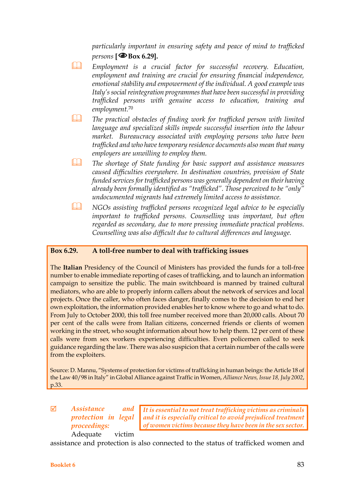*particularly important in ensuring safety and peace of mind to trafficked persons* **[**!**Box 6.29].** 

- **Employment** is a crucial factor for successful recovery. Education, *employment and training are crucial for ensuring financial independence, emotional stability and empowerment of the individual. A good example was Italyís social reintegration programmes that have been successful in providing trafficked persons with genuine access to education, training and employment.*<sup>70</sup>
- *Fig. The practical obstacles of finding work for trafficked person with limited language and specialized skills impede successful insertion into the labour market. Bureaucracy associated with employing persons who have been trafficked and who have temporary residence documents also mean that many employers are unwilling to employ them.*
- *Fig. The shortage of State funding for basic support and assistance measures caused difficulties everywhere. In destination countries, provision of State funded services for trafficked persons was generally dependent on their having*  already been formally identified as "trafficked". Those perceived to be "only" *undocumented migrants had extremely limited access to assistance.*
- *II NGOs assisting trafficked persons recognized legal advice to be especially important to trafficked persons. Counselling was important, but often regarded as secondary, due to more pressing immediate practical problems. Counselling was also difficult due to cultural differences and language.*

# **Box 6.29. A toll-free number to deal with trafficking issues**

The **Italian** Presidency of the Council of Ministers has provided the funds for a toll-free number to enable immediate reporting of cases of trafficking, and to launch an information campaign to sensitize the public. The main switchboard is manned by trained cultural mediators, who are able to properly inform callers about the network of services and local projects. Once the caller, who often faces danger, finally comes to the decision to end her own exploitation, the information provided enables her to know where to go and what to do. From July to October 2000, this toll free number received more than 20,000 calls. About 70 per cent of the calls were from Italian citizens, concerned friends or clients of women working in the street, who sought information about how to help them. 12 per cent of these calls were from sex workers experiencing difficulties. Even policemen called to seek guidance regarding the law. There was also suspicion that a certain number of the calls were from the exploiters.

Source: D. Mannu, "Systems of protection for victims of trafficking in human beings: the Article 18 of the Law 40/98 in Italy" in Global Alliance against Traffic in Women, Alliance News, Issue 18, July 2002, p.33.

! *Assistance and protection in legal proceedings:* Adequate victim

*It is essential to not treat trafficking victims as criminals and it is especially critical to avoid prejudiced treatment of women victims because they have been in the sex sector.*

assistance and protection is also connected to the status of trafficked women and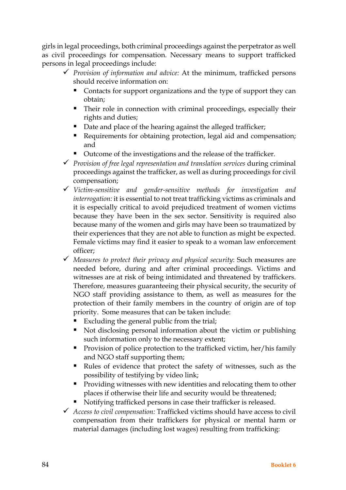girls in legal proceedings, both criminal proceedings against the perpetrator as well as civil proceedings for compensation. Necessary means to support trafficked persons in legal proceedings include:

- % *Provision of information and advice:* At the minimum, trafficked persons should receive information on:
	- Contacts for support organizations and the type of support they can obtain;
	- " Their role in connection with criminal proceedings, especially their rights and duties;
	- Date and place of the hearing against the alleged trafficker;
	- Requirements for obtaining protection, legal aid and compensation; and
	- " Outcome of the investigations and the release of the trafficker.
- % *Provision of free legal representation and translation services* during criminal proceedings against the trafficker, as well as during proceedings for civil compensation;
- % *Victim-sensitive and gender-sensitive methods for investigation and interrogation:* it is essential to not treat trafficking victims as criminals and it is especially critical to avoid prejudiced treatment of women victims because they have been in the sex sector. Sensitivity is required also because many of the women and girls may have been so traumatized by their experiences that they are not able to function as might be expected. Female victims may find it easier to speak to a woman law enforcement officer;
- $\checkmark$  Measures to protect their privacy and physical security: Such measures are needed before, during and after criminal proceedings. Victims and witnesses are at risk of being intimidated and threatened by traffickers. Therefore, measures guaranteeing their physical security, the security of NGO staff providing assistance to them, as well as measures for the protection of their family members in the country of origin are of top priority. Some measures that can be taken include:
	- Excluding the general public from the trial;
	- " Not disclosing personal information about the victim or publishing such information only to the necessary extent;
	- " Provision of police protection to the trafficked victim, her/his family and NGO staff supporting them;
	- " Rules of evidence that protect the safety of witnesses, such as the possibility of testifying by video link;
	- " Providing witnesses with new identities and relocating them to other places if otherwise their life and security would be threatened;
	- " Notifying trafficked persons in case their trafficker is released.
- % *Access to civil compensation:* Trafficked victims should have access to civil compensation from their traffickers for physical or mental harm or material damages (including lost wages) resulting from trafficking: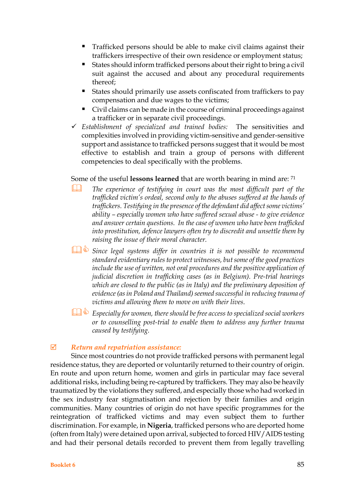- " Trafficked persons should be able to make civil claims against their traffickers irrespective of their own residence or employment status;
- States should inform trafficked persons about their right to bring a civil suit against the accused and about any procedural requirements thereof;
- States should primarily use assets confiscated from traffickers to pay compensation and due wages to the victims;
- " Civil claims can be made in the course of criminal proceedings against a trafficker or in separate civil proceedings.
- % *Establishment of specialized and trained bodies:* The sensitivities and complexities involved in providing victim-sensitive and gender-sensitive support and assistance to trafficked persons suggest that it would be most effective to establish and train a group of persons with different competencies to deal specifically with the problems.

#### Some of the useful **lessons learned** that are worth bearing in mind are: 71

- *Call The experience of testifying in court was the most difficult part of the trafficked victimís ordeal, second only to the abuses suffered at the hands of traffickers. Testifying in the presence of the defendant did affect some victimsí ability – especially women who have suffered sexual abuse - to give evidence and answer certain questions. In the case of women who have been trafficked into prostitution, defence lawyers often try to discredit and unsettle them by raising the issue of their moral character.*
- **(A)** Since legal systems differ in countries it is not possible to recommend *standard evidentiary rules to protect witnesses, but some of the good practices include the use of written, not oral procedures and the positive application of judicial discretion in trafficking cases (as in Belgium). Pre-trial hearings which are closed to the public (as in Italy) and the preliminary deposition of evidence (as in Poland and Thailand) seemed successful in reducing trauma of victims and allowing them to move on with their lives*.
- **Expecially for women, there should be free access to specialized social workers** *or to counselling post-trial to enable them to address any further trauma caused by testifying.*

### ! *Return and repatriation assistance:*

Since most countries do not provide trafficked persons with permanent legal residence status, they are deported or voluntarily returned to their country of origin. En route and upon return home, women and girls in particular may face several additional risks, including being re-captured by traffickers. They may also be heavily traumatized by the violations they suffered, and especially those who had worked in the sex industry fear stigmatisation and rejection by their families and origin communities. Many countries of origin do not have specific programmes for the reintegration of trafficked victims and may even subject them to further discrimination. For example, in **Nigeria**, trafficked persons who are deported home (often from Italy) were detained upon arrival, subjected to forced HIV/AIDS testing and had their personal details recorded to prevent them from legally travelling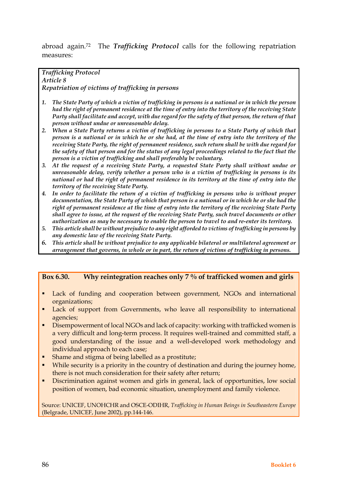abroad again.72 The *Trafficking Protocol* calls for the following repatriation measures:

# *Trafficking Protocol Article 8 Repatriation of victims of trafficking in persons*

- *1. The State Party of which a victim of trafficking in persons is a national or in which the person had the right of permanent residence at the time of entry into the territory of the receiving State Party shall facilitate and accept, with due regard for the safety of that person, the return of that person without undue or unreasonable delay.*
- *2. When a State Party returns a victim of trafficking in persons to a State Party of which that person is a national or in which he or she had, at the time of entry into the territory of the receiving State Party, the right of permanent residence, such return shall be with due regard for the safety of that person and for the status of any legal proceedings related to the fact that the person is a victim of trafficking and shall preferably be voluntary.*
- *3. At the request of a receiving State Party, a requested State Party shall without undue or unreasonable delay, verify whether a person who is a victim of trafficking in persons is its national or had the right of permanent residence in its territory at the time of entry into the territory of the receiving State Party.*
- *4. In order to facilitate the return of a victim of trafficking in persons who is without proper documentation, the State Party of which that person is a national or in which he or she had the right of permanent residence at the time of entry into the territory of the receiving State Party shall agree to issue, at the request of the receiving State Party, such travel documents or other authorization as may be necessary to enable the person to travel to and re-enter its territory.*
- *5. This article shall be without prejudice to any right afforded to victims of trafficking in persons by any domestic law of the receiving State Party.*
- *6. This article shall be without prejudice to any applicable bilateral or multilateral agreement or arrangement that governs, in whole or in part, the return of victims of trafficking in persons.*

# **Box 6.30. Why reintegration reaches only 7 % of trafficked women and girls**

- **•** Lack of funding and cooperation between government, NGOs and international organizations;
- Lack of support from Governments, who leave all responsibility to international agencies;
- Disempowerment of local NGOs and lack of capacity: working with trafficked women is a very difficult and long-term process. It requires well-trained and committed staff, a good understanding of the issue and a well-developed work methodology and individual approach to each case;
- Shame and stigma of being labelled as a prostitute;
- While security is a priority in the country of destination and during the journey home, there is not much consideration for their safety after return;
- Discrimination against women and girls in general, lack of opportunities, low social position of women, bad economic situation, unemployment and family violence.

Source: UNICEF, UNOHCHR and OSCE-ODIHR, *Trafficking in Human Beings in Southeastern Europe* (Belgrade, UNICEF, June 2002), pp.144-146.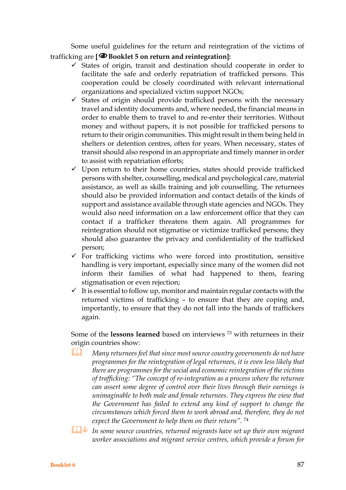Some useful guidelines for the return and reintegration of the victims of trafficking are **[**!**Booklet 5 on return and reintegration]:**

- $\checkmark$  States of origin, transit and destination should cooperate in order to facilitate the safe and orderly repatriation of trafficked persons. This cooperation could be closely coordinated with relevant international organizations and specialized victim support NGOs;
- $\checkmark$  States of origin should provide trafficked persons with the necessary travel and identity documents and, where needed, the financial means in order to enable them to travel to and re-enter their territories. Without money and without papers, it is not possible for trafficked persons to return to their origin communities. This might result in them being held in shelters or detention centres, often for years. When necessary, states of transit should also respond in an appropriate and timely manner in order to assist with repatriation efforts;
- $\checkmark$  Upon return to their home countries, states should provide trafficked persons with shelter, counselling, medical and psychological care, material assistance, as well as skills training and job counselling. The returnees should also be provided information and contact details of the kinds of support and assistance available through state agencies and NGOs. They would also need information on a law enforcement office that they can contact if a trafficker threatens them again. All programmes for reintegration should not stigmatise or victimize trafficked persons; they should also guarantee the privacy and confidentiality of the trafficked person;
- $\checkmark$  For trafficking victims who were forced into prostitution, sensitive handling is very important, especially since many of the women did not inform their families of what had happened to them, fearing stigmatisation or even rejection;
- $\checkmark$  It is essential to follow up, monitor and maintain regular contacts with the returned victims of trafficking - to ensure that they are coping and, importantly, to ensure that they do not fall into the hands of traffickers again.

Some of the **lessons learned** based on interviews 73 with returnees in their origin countries show:

- *Many returnees feel that since most source country governments do not have programmes for the reintegration of legal returnees, it is even less likely that there are programmes for the social and economic reintegration of the victims*  of trafficking: "The concept of re-integration as a process where the returnee *can assert some degree of control over their lives through their earnings is unimaginable to both male and female returnees. They express the view that the Government has failed to extend any kind of support to change the circumstances which forced them to work abroad and, therefore, they do not expect the Government to help them on their returnî.* <sup>74</sup>
- (& *In some source countries, returned migrants have set up their own migrant worker associations and migrant service centres, which provide a forum for*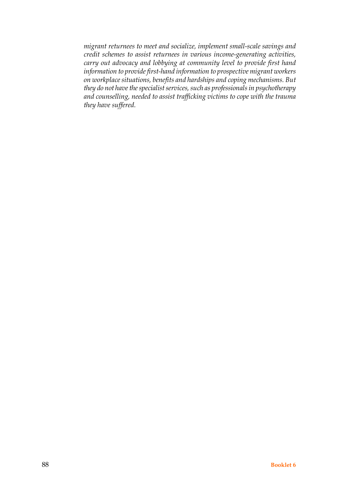*migrant returnees to meet and socialize, implement small-scale savings and credit schemes to assist returnees in various income-generating activities, carry out advocacy and lobbying at community level to provide first hand information to provide first-hand information to prospective migrant workers on workplace situations, benefits and hardships and coping mechanisms. But they do not have the specialist services, such as professionals in psychotherapy and counselling, needed to assist trafficking victims to cope with the trauma they have suffered.*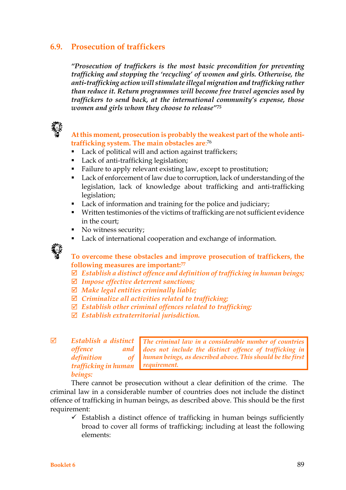# **6.9. Prosecution of traffickers**

*ìProsecution of traffickers is the most basic precondition for preventing trafficking and stopping the ërecyclingí of women and girls. Otherwise, the anti-trafficking action will stimulate illegal migration and trafficking rather than reduce it. Return programmes will become free travel agencies used by traffickers to send back, at the international communityís expense, those*  women and girls whom they choose to release<sup>"75</sup>



**At this moment, prosecution is probably the weakest part of the whole antitrafficking system. The main obstacles are**:76

- Lack of political will and action against traffickers;
- " Lack of anti-trafficking legislation;
- " Failure to apply relevant existing law, except to prostitution;
- " Lack of enforcement of law due to corruption, lack of understanding of the legislation, lack of knowledge about trafficking and anti-trafficking legislation;
- " Lack of information and training for the police and judiciary;
- " Written testimonies of the victims of trafficking are not sufficient evidence in the court;
- No witness security;
- Lack of international cooperation and exchange of information.



**To overcome these obstacles and improve prosecution of traffickers, the following measures are important:77**

\$ *Establish a distinct offence and definition of trafficking in human beings;* 

- \$ *Impose effective deterrent sanctions;*
- \$ *Make legal entities criminally liable;*
- \$ *Criminalize all activities related to trafficking;*
- ! *Establish other criminal offences related to trafficking;*
- ! *Establish extraterritorial jurisdiction.*

*offence and definition of trafficking in human beings:*

! *Establish a distinct The criminal law in a considerable number of countries does not include the distinct offence of trafficking in human beings, as described above. This should be the first requirement.* 

There cannot be prosecution without a clear definition of the crime. The criminal law in a considerable number of countries does not include the distinct offence of trafficking in human beings, as described above. This should be the first requirement:

 $\checkmark$  Establish a distinct offence of trafficking in human beings sufficiently broad to cover all forms of trafficking; including at least the following elements: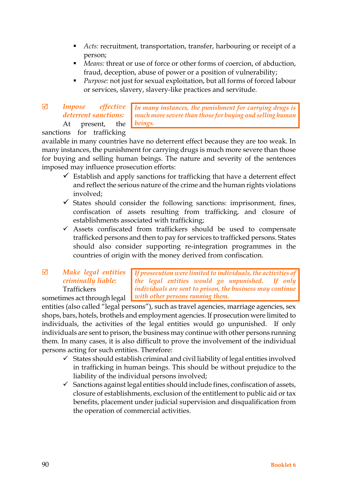- " *Acts:* recruitment, transportation, transfer, harbouring or receipt of a person;
- " *Means:* threat or use of force or other forms of coercion, of abduction, fraud, deception, abuse of power or a position of vulnerability;
- Purpose: not just for sexual exploitation, but all forms of forced labour or services, slavery, slavery-like practices and servitude.

#### ! *Impose effective deterrent sanctions:* At present, the *In many instances, the punishment for carrying drugs is much more severe than those for buying and selling human beings.*

sanctions for trafficking

available in many countries have no deterrent effect because they are too weak. In many instances, the punishment for carrying drugs is much more severe than those for buying and selling human beings. The nature and severity of the sentences imposed may influence prosecution efforts:

- $\checkmark$  Establish and apply sanctions for trafficking that have a deterrent effect and reflect the serious nature of the crime and the human rights violations involved;
- $\checkmark$  States should consider the following sanctions: imprisonment, fines, confiscation of assets resulting from trafficking, and closure of establishments associated with trafficking;
- $\checkmark$  Assets confiscated from traffickers should be used to compensate trafficked persons and then to pay for services to trafficked persons. States should also consider supporting re-integration programmes in the countries of origin with the money derived from confiscation.

# ! *Make legal entities criminally liable:* Traffickers

sometimes act through legal

*If prosecution were limited to individuals, the activities of the legal entities would go unpunished. If only individuals are sent to prison, the business may continue with other persons running them.* 

entities (also called "legal persons"), such as travel agencies, marriage agencies, sex shops, bars, hotels, brothels and employment agencies. If prosecution were limited to individuals, the activities of the legal entities would go unpunished. If only individuals are sent to prison, the business may continue with other persons running them. In many cases, it is also difficult to prove the involvement of the individual persons acting for such entities. Therefore:

- $\checkmark$  States should establish criminal and civil liability of legal entities involved in trafficking in human beings. This should be without prejudice to the liability of the individual persons involved;
- $\checkmark$  Sanctions against legal entities should include fines, confiscation of assets, closure of establishments, exclusion of the entitlement to public aid or tax benefits, placement under judicial supervision and disqualification from the operation of commercial activities.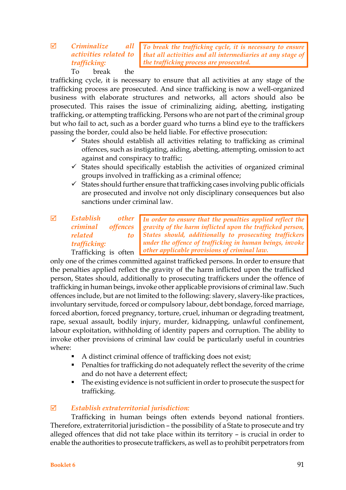#### ! *Criminalize all activities related to trafficking: To break the trafficking cycle, it is necessary to ensure that all activities and all intermediaries at any stage of the trafficking process are prosecuted.*

## To break the

trafficking cycle, it is necessary to ensure that all activities at any stage of the trafficking process are prosecuted. And since trafficking is now a well-organized business with elaborate structures and networks, all actors should also be prosecuted. This raises the issue of criminalizing aiding, abetting, instigating trafficking, or attempting trafficking. Persons who are not part of the criminal group but who fail to act, such as a border guard who turns a blind eye to the traffickers passing the border, could also be held liable. For effective prosecution:

- $\checkmark$  States should establish all activities relating to trafficking as criminal offences, such as instigating, aiding, abetting, attempting, omission to act against and conspiracy to traffic;
- $\checkmark$  States should specifically establish the activities of organized criminal groups involved in trafficking as a criminal offence;
- $\checkmark$  States should further ensure that trafficking cases involving public officials are prosecuted and involve not only disciplinary consequences but also sanctions under criminal law.
- ! *Establish other criminal offences related to trafficking:* Trafficking is often

*In order to ensure that the penalties applied reflect the gravity of the harm inflicted upon the trafficked person, States should, additionally to prosecuting traffickers under the offence of trafficking in human beings, invoke other applicable provisions of criminal law.* 

only one of the crimes committed against trafficked persons. In order to ensure that the penalties applied reflect the gravity of the harm inflicted upon the trafficked person, States should, additionally to prosecuting traffickers under the offence of trafficking in human beings, invoke other applicable provisions of criminal law. Such offences include, but are not limited to the following: slavery, slavery-like practices, involuntary servitude, forced or compulsory labour, debt bondage, forced marriage, forced abortion, forced pregnancy, torture, cruel, inhuman or degrading treatment, rape, sexual assault, bodily injury, murder, kidnapping, unlawful confinement, labour exploitation, withholding of identity papers and corruption. The ability to invoke other provisions of criminal law could be particularly useful in countries where:

- A distinct criminal offence of trafficking does not exist;
- " Penalties for trafficking do not adequately reflect the severity of the crime and do not have a deterrent effect;
- " The existing evidence is not sufficient in order to prosecute the suspect for trafficking.

# ! *Establish extraterritorial jurisdiction:*

Trafficking in human beings often extends beyond national frontiers. Therefore, extraterritorial jurisdiction – the possibility of a State to prosecute and try alleged offences that did not take place within its territory  $-$  is crucial in order to enable the authorities to prosecute traffickers, as well as to prohibit perpetrators from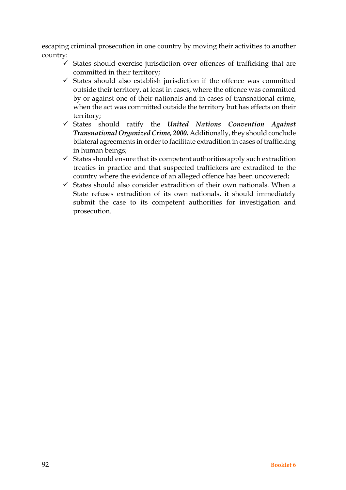escaping criminal prosecution in one country by moving their activities to another country:

- $\checkmark$  States should exercise jurisdiction over offences of trafficking that are committed in their territory;
- $\checkmark$  States should also establish jurisdiction if the offence was committed outside their territory, at least in cases, where the offence was committed by or against one of their nationals and in cases of transnational crime, when the act was committed outside the territory but has effects on their territory;
- % States should ratify the *United Nations Convention Against Transnational Organized Crime, 2000.* Additionally, they should conclude bilateral agreements in order to facilitate extradition in cases of trafficking in human beings;
- $\checkmark$  States should ensure that its competent authorities apply such extradition treaties in practice and that suspected traffickers are extradited to the country where the evidence of an alleged offence has been uncovered;
- $\checkmark$  States should also consider extradition of their own nationals. When a State refuses extradition of its own nationals, it should immediately submit the case to its competent authorities for investigation and prosecution.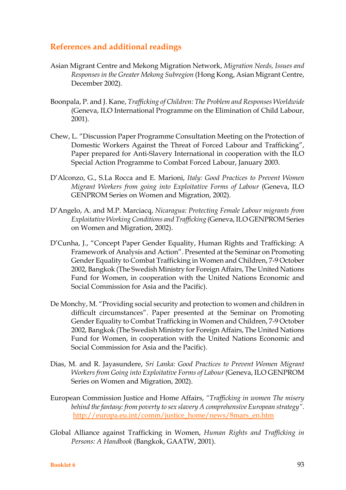# **References and additional readings**

- Asian Migrant Centre and Mekong Migration Network, *Migration Needs, Issues and Responses in the Greater Mekong Subregion* (Hong Kong, Asian Migrant Centre, December 2002).
- Boonpala, P. and J. Kane, *Trafficking of Children: The Problem and Responses Worldwide*  (Geneva, ILO International Programme on the Elimination of Child Labour, 2001).
- Chew, L. "Discussion Paper Programme Consultation Meeting on the Protection of Domestic Workers Against the Threat of Forced Labour and Trafficking", Paper prepared for Anti-Slavery International in cooperation with the ILO Special Action Programme to Combat Forced Labour, January 2003.
- DíAlconzo, G., S.La Rocca and E. Marioni, *Italy: Good Practices to Prevent Women Migrant Workers from going into Exploitative Forms of Labour* (Geneva, ILO GENPROM Series on Women and Migration, 2002).
- DíAngelo, A. and M.P. Marciacq, *Nicaragua: Protecting Female Labour migrants from Exploitative Working Conditions and Trafficking* (Geneva, ILO GENPROM Series on Women and Migration, 2002).
- D'Cunha, J., "Concept Paper Gender Equality, Human Rights and Trafficking: A Framework of Analysis and Action". Presented at the Seminar on Promoting Gender Equality to Combat Trafficking in Women and Children, 7-9 October 2002, Bangkok (The Swedish Ministry for Foreign Affairs, The United Nations Fund for Women, in cooperation with the United Nations Economic and Social Commission for Asia and the Pacific).
- De Monchy, M. "Providing social security and protection to women and children in difficult circumstances". Paper presented at the Seminar on Promoting Gender Equality to Combat Trafficking in Women and Children, 7-9 October 2002, Bangkok (The Swedish Ministry for Foreign Affairs, The United Nations Fund for Women, in cooperation with the United Nations Economic and Social Commission for Asia and the Pacific).
- Dias, M. and R. Jayasundere, *Sri Lanka: Good Practices to Prevent Women Migrant Workers from Going into Exploitative Forms of Labour* (Geneva, ILO GENPROM Series on Women and Migration, 2002).
- European Commission Justice and Home Affairs, "Trafficking in women The misery behind the fantasy: from poverty to sex slavery A comprehensive European strategy". http://europa.eu.int/comm/justice\_home/news/8mars\_en.htm
- Global Alliance against Trafficking in Women, *Human Rights and Trafficking in Persons: A Handbook* (Bangkok, GAATW, 2001).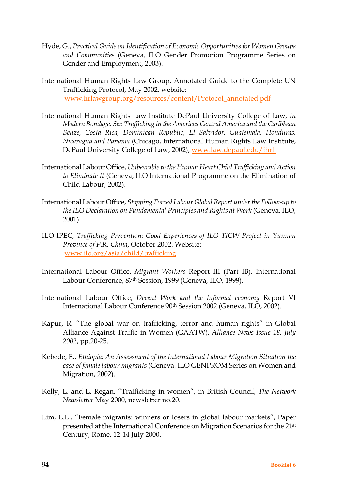- Hyde, G., *Practical Guide on Identification of Economic Opportunities for Women Groups and Communities* (Geneva, ILO Gender Promotion Programme Series on Gender and Employment, 2003).
- International Human Rights Law Group, Annotated Guide to the Complete UN Trafficking Protocol, May 2002, website: www.hrlawgroup.org/resources/content/Protocol\_annotated.pdf
- International Human Rights Law Institute DePaul University College of Law*, In Modern Bondage: Sex Trafficking in the Americas Central America and the Caribbean Belize, Costa Rica, Dominican Republic, El Salvador, Guatemala, Honduras, Nicaragua and Panama* (Chicago, International Human Rights Law Institute, DePaul University College of Law, 2002), www.law.depaul.edu/ihrli
- International Labour Office, *Unbearable to the Human Heart Child Trafficking and Action to Eliminate It* (Geneva, ILO International Programme on the Elimination of Child Labour, 2002).
- International Labour Office, *Stopping Forced Labour Global Report under the Follow-up to the ILO Declaration on Fundamental Principles and Rights at Work* (Geneva, ILO, 2001).
- ILO IPEC, *Trafficking Prevention: Good Experiences of ILO TICW Project in Yunnan Province of P.R. China*, October 2002. Website: www.ilo.org/asia/child/trafficking
- International Labour Office, *Migrant Workers* Report III (Part IB), International Labour Conference, 87th Session, 1999 (Geneva, ILO, 1999).
- International Labour Office, *Decent Work and the Informal economy* Report VI International Labour Conference 90th Session 2002 (Geneva, ILO, 2002).
- Kapur, R. "The global war on trafficking, terror and human rights" in Global Alliance Against Traffic in Women (GAATW), *Alliance News Issue 18, July 2002*, pp.20-25.
- Kebede, E., *Ethiopia: An Assessment of the International Labour Migration Situation the case of female labour migrants* (Geneva, ILO GENPROM Series on Women and Migration, 2002).
- Kelly, L. and L. Regan, "Trafficking in women", in British Council, *The Network Newsletter* May 2000, newsletter no.20.
- Lim, L.L., "Female migrants: winners or losers in global labour markets", Paper presented at the International Conference on Migration Scenarios for the 21st Century, Rome, 12-14 July 2000.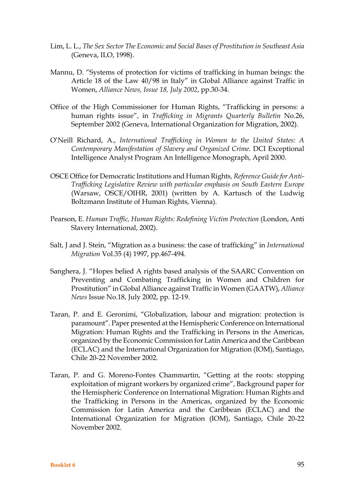- Lim, L. L., *The Sex Sector The Economic and Social Bases of Prostitution in Southeast Asia* (Geneva, ILO, 1998).
- Mannu, D. "Systems of protection for victims of trafficking in human beings: the Article 18 of the Law 40/98 in Italy" in Global Alliance against Traffic in Women, *Alliance News, Issue 18, July 2002*, pp.30-34.
- Office of the High Commissioner for Human Rights, "Trafficking in persons: a human rights issue", in *Trafficking in Migrants Quarterly Bulletin* No.26, September 2002 (Geneva, International Organization for Migration, 2002).
- OíNeill Richard, A., *International Trafficking in Women to the United States: A Contemporary Manifestation of Slavery and Organized Crime.* DCI Exceptional Intelligence Analyst Program An Intelligence Monograph, April 2000.
- OSCE Office for Democratic Institutions and Human Rights*, Reference Guide for Anti-Trafficking Legislative Review with particular emphasis on South Eastern Europe* (Warsaw, OSCE/OIHR, 2001) (written by A. Kartusch of the Ludwig Boltzmann Institute of Human Rights, Vienna).
- Pearson, E. *Human Traffic, Human Rights: Redefining Victim Protection* (London, Anti Slavery International, 2002).
- Salt, J and J. Stein, "Migration as a business: the case of trafficking" in *International Migration* Vol.35 (4) 1997, pp.467-494.
- Sanghera, J. "Hopes belied A rights based analysis of the SAARC Convention on Preventing and Combating Trafficking in Women and Children for Prostitution<sup>"</sup> in Global Alliance against Traffic in Women (GAATW), Alliance *News* Issue No.18, July 2002, pp. 12-19.
- Taran, P. and E. Geronimi, "Globalization, labour and migration: protection is paramount". Paper presented at the Hemispheric Conference on International Migration: Human Rights and the Trafficking in Persons in the Americas, organized by the Economic Commission for Latin America and the Caribbean (ECLAC) and the International Organization for Migration (IOM), Santiago, Chile 20-22 November 2002.
- Taran, P. and G. Moreno-Fontes Chammartin, "Getting at the roots: stopping exploitation of migrant workers by organized crime", Background paper for the Hemispheric Conference on International Migration: Human Rights and the Trafficking in Persons in the Americas, organized by the Economic Commission for Latin America and the Caribbean (ECLAC) and the International Organization for Migration (IOM), Santiago, Chile 20-22 November 2002.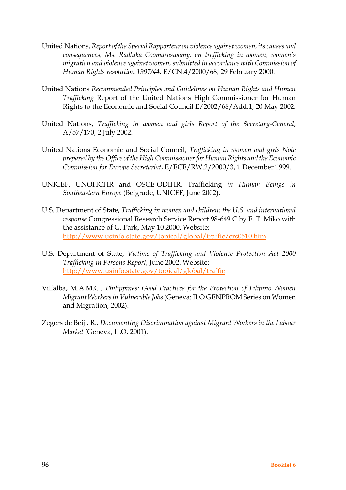- United Nations, *Report of the Special Rapporteur on violence against women, its causes and consequences, Ms. Radhika Coomaraswamy, on trafficking in women, womenís migration and violence against women, submitted in accordance with Commission of Human Rights resolution 1997/44.* E/CN.4/2000/68, 29 February 2000.
- United Nations *Recommended Principles and Guidelines on Human Rights and Human Trafficking* Report of the United Nations High Commissioner for Human Rights to the Economic and Social Council E/2002/68/Add.1, 20 May 2002.
- United Nations, *Trafficking in women and girls Report of the Secretary-General*, A/57/170, 2 July 2002.
- United Nations Economic and Social Council, *Trafficking in women and girls Note prepared by the Office of the High Commissioner for Human Rights and the Economic Commission for Europe Secretariat*, E/ECE/RW.2/2000/3, 1 December 1999.
- UNICEF, UNOHCHR and OSCE-ODIHR, Trafficking *in Human Beings in Southeastern Europe* (Belgrade, UNICEF, June 2002).
- U.S. Department of State, *Trafficking in women and children: the U.S. and international response* Congressional Research Service Report 98-649 C by F. T. Miko with the assistance of G. Park, May 10 2000. Website: http://www.usinfo.state.gov/topical/global/traffic/crs0510.htm
- U.S. Department of State, *Victims of Trafficking and Violence Protection Act 2000 Trafficking in Persons Report,* June 2002. Website: http://www.usinfo.state.gov/topical/global/traffic
- Villalba, M.A.M.C., *Philippines: Good Practices for the Protection of Filipino Women Migrant Workers in Vulnerable Jobs* (Geneva: ILO GENPROM Series on Women and Migration, 2002).
- Zegers de Beijl*,* R.*, Documenting Discrimination against Migrant Workers in the Labour Market* (Geneva, ILO, 2001).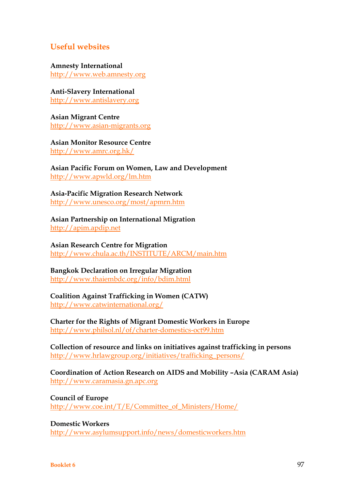# **Useful websites**

**Amnesty International**  http://www.web.amnesty.org

**Anti-Slavery International**  http://www.antislavery.org

**Asian Migrant Centre**  http://www.asian-migrants.org

**Asian Monitor Resource Centre**  http://www.amrc.org.hk/

**Asian Pacific Forum on Women, Law and Development**  http://www.apwld.org/lm.htm

**Asia-Pacific Migration Research Network** http://www.unesco.org/most/apmrn.htm

**Asian Partnership on International Migration**  http://apim.apdip.net

**Asian Research Centre for Migration**  http://www.chula.ac.th/INSTITUTE/ARCM/main.htm

**Bangkok Declaration on Irregular Migration** http://www.thaiembdc.org/info/bdim.html

**Coalition Against Trafficking in Women (CATW)**  http://www.catwinternational.org/

**Charter for the Rights of Migrant Domestic Workers in Europe**  http://www.philsol.nl/of/charter-domestics-oct99.htm

**Collection of resource and links on initiatives against trafficking in persons**  http://www.hrlawgroup.org/initiatives/trafficking\_persons/

Coordination of Action Research on AIDS and Mobility -Asia (CARAM Asia) http://www.caramasia.gn.apc.org

**Council of Europe**  http://www.coe.int/T/E/Committee\_of\_Ministers/Home/

**Domestic Workers**  http://www.asylumsupport.info/news/domesticworkers.htm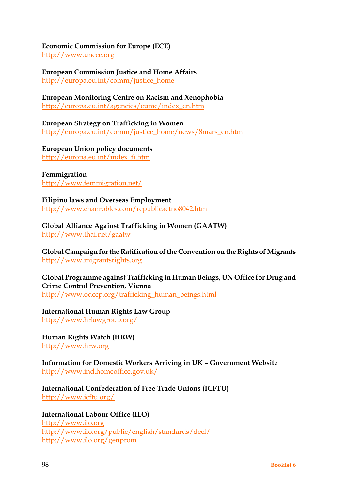# **Economic Commission for Europe (ECE)**

http://www.unece.org

**European Commission Justice and Home Affairs**  http://europa.eu.int/comm/justice\_home

**European Monitoring Centre on Racism and Xenophobia**  http://europa.eu.int/agencies/eumc/index\_en.htm

**European Strategy on Trafficking in Women**  http://europa.eu.int/comm/justice\_home/news/8mars\_en.htm

**European Union policy documents**  http://europa.eu.int/index\_fi.htm

**Femmigration**  http://www.femmigration.net/

**Filipino laws and Overseas Employment**  http://www.chanrobles.com/republicactno8042.htm

**Global Alliance Against Trafficking in Women (GAATW)**  http://www.thai.net/gaatw

**Global Campaign for the Ratification of the Convention on the Rights of Migrants**  http://www.migrantsrights.org

**Global Programme against Trafficking in Human Beings, UN Office for Drug and Crime Control Prevention, Vienna**  http://www.odccp.org/trafficking\_human\_beings.html

# **International Human Rights Law Group**

http://www.hrlawgroup.org/

**Human Rights Watch (HRW)**  http://www.hrw.org

**Information for Domestic Workers Arriving in UK - Government Website** http://www.ind.homeoffice.gov.uk/

**International Confederation of Free Trade Unions (ICFTU)**  http://www.icftu.org/

**International Labour Office (ILO)**  http://www.ilo.org http://www.ilo.org/public/english/standards/decl/ http://www.ilo.org/genprom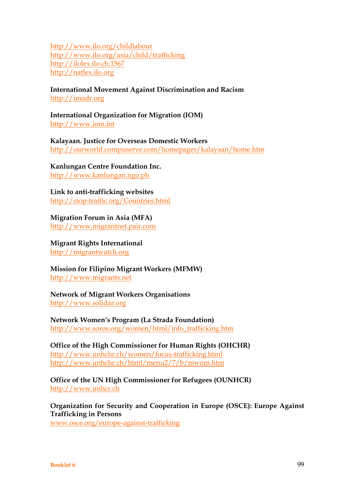http://www.ilo.org/childlabour http://www.ilo.org/asia/child/trafficking http://ilolex.ilo.ch:1567 http://natlex.ilo.org

**International Movement Against Discrimination and Racism**  http://imadr.org

**International Organization for Migration (IOM)**  http://www.iom.int

**Kalayaan. Justice for Overseas Domestic Workers**  http://ourworld.compuserve.com/homepages/kalayaan/home.htm

**Kanlungan Centre Foundation Inc.** 

http://www.kanlungan.ngo.ph

**Link to anti-trafficking websites**  http://stop-traffic.org/Countries.html

**Migration Forum in Asia (MFA)** 

http://www.migrantnet.pair.com

**Migrant Rights International**  http://migrantwatch.org

**Mission for Filipino Migrant Workers (MFMW)**  http://www.migrants.net

**Network of Migrant Workers Organisations**  http://www.solidar.org

**Network Womenís Program (La Strada Foundation)**  http://www.soros.org/women/html/info\_trafficking.htm

**Office of the High Commissioner for Human Rights (OHCHR)**  http://www.unhchr.ch/women/focus-trafficking.html http://www.unhchr.ch/html/menu2/7/b/mwom.htm

**Office of the UN High Commissioner for Refugees (OUNHCR)** http://www.unhcr.ch

**Organization for Security and Cooperation in Europe (OSCE): Europe Against Trafficking in Persons**

www.osce.org/europe-against-trafficking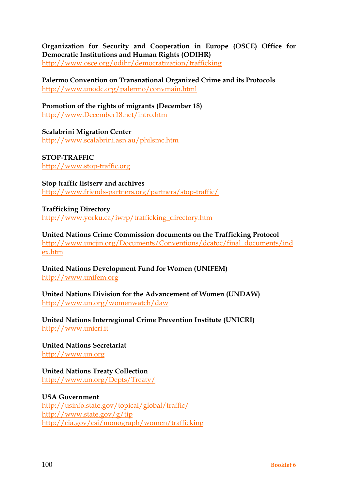**Organization for Security and Cooperation in Europe (OSCE) Office for Democratic Institutions and Human Rights (ODIHR)**  http://www.osce.org/odihr/democratization/trafficking

**Palermo Convention on Transnational Organized Crime and its Protocols**  http://www.unodc.org/palermo/convmain.html

**Promotion of the rights of migrants (December 18)**  http://www.December18.net/intro.htm

**Scalabrini Migration Center**  http://www.scalabrini.asn.au/philsmc.htm

**STOP-TRAFFIC** http://www.stop-traffic.org

**Stop traffic listserv and archives**  http://www.friends-partners.org/partners/stop-traffic/

**Trafficking Directory**  http://www.yorku.ca/iwrp/trafficking\_directory.htm

**United Nations Crime Commission documents on the Trafficking Protocol**  http://www.uncjin.org/Documents/Conventions/dcatoc/final\_documents/ind ex.htm

**United Nations Development Fund for Women (UNIFEM)**  http://www.unifem.org

**United Nations Division for the Advancement of Women (UNDAW)**  http://www.un.org/womenwatch/daw

**United Nations Interregional Crime Prevention Institute (UNICRI)**  http://www.unicri.it

**United Nations Secretariat**  http://www.un.org

**United Nations Treaty Collection**  http://www.un.org/Depts/Treaty/

# **USA Government**

http://usinfo.state.gov/topical/global/traffic/ http://www.state.gov/g/tip http://cia.gov/csi/monograph/women/trafficking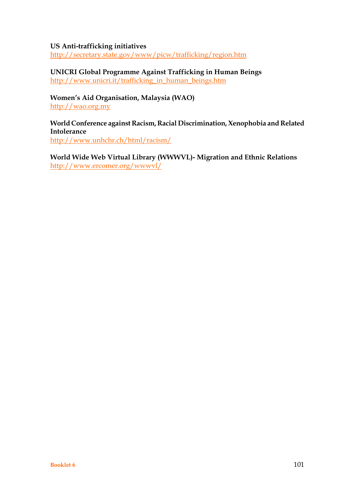# **US Anti-trafficking initiatives**

http://secretary.state.gov/www/picw/trafficking/region.htm

# **UNICRI Global Programme Against Trafficking in Human Beings**  http://www.unicri.it/trafficking\_in\_human\_beings.htm

## **Womenís Aid Organisation, Malaysia (WAO)**  http://wao.org.my

**World Conference against Racism, Racial Discrimination, Xenophobia and Related Intolerance**  http://www.unhchr.ch/html/racism/

**World Wide Web Virtual Library (WWWVL)- Migration and Ethnic Relations**  http://www.ercomer.org/wwwvl/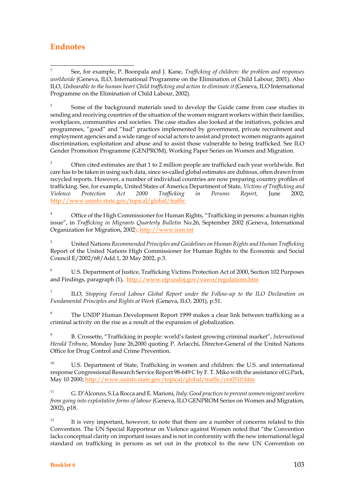## **Endnotes**

l <sup>1</sup> See, for example, P. Boonpala and J. Kane, *Trafficking of children: the problem and responses worldwide* (Geneva, ILO, International Programme on the Elimination of Child Labour, 2001). Also ILO, *Unbearable to the human heart Child trafficking and action to eliminate it* (Geneva, ILO International Programme on the Elimination of Child Labour, 2002).

2 Some of the background materials used to develop the Guide came from case studies in sending and receiving countries of the situation of the women migrant workers within their families, workplaces, communities and societies. The case studies also looked at the initiatives, policies and programmes, "good" and "bad" practices implemented by government, private recruitment and employment agencies and a wide range of social actors to assist and protect women migrants against discrimination, exploitation and abuse and to assist those vulnerable to being trafficked. See ILO Gender Promotion Programme (GENPROM), Working Paper Series on Women and Migration.

3 Often cited estimates are that 1 to 2 million people are trafficked each year worldwide. But care has to be taken in using such data, since so-called global estimates are dubious, often drawn from recycled reports. However, a number of individual countries are now preparing country profiles of trafficking. See, for example, United States of America Department of State, *Victims of Trafficking and Violence Protection Act 2000 Trafficking in Persons Report,* June 2002; http://www.usinfo.state.gov/topical/global/traffic

4 Office of the High Commissioner for Human Rights, "Trafficking in persons: a human rights issue", in *Trafficking in Migrants Quarterly Bulletin* No.26, September 2002 (Geneva, International Organization for Migration, 2002); http://www.iom.int

5 United Nations *Recommended Principles and Guidelines on Human Rights and Human Trafficking* Report of the United Nations High Commissioner for Human Rights to the Economic and Social Council E/2002/68/Add.1, 20 May 2002, p.3.

6 U.S. Department of Justice, Trafficking Victims Protection Act of 2000, Section 102 Purposes and Findings, paragraph (1), http://www.ojp.usdoj.gov/vawo/regulations.htm

7 ILO, *Stopping Forced Labour Global Report under the Follow-up to the ILO Declaration on Fundamental Principles and Rights at Work* (Geneva, ILO, 2001), p.51.

8 The UNDP Human Development Report 1999 makes a clear link between trafficking as a criminal activity on the rise as a result of the expansion of globalization.

9 B. Crossette, "Trafficking in people: world's fastest growing criminal market", *International Herald Tribune*, Monday June 26,2000 quoting P. Arlacchi, Director-General of the United Nations Office for Drug Control and Crime Prevention.

<sup>10</sup> U.S. Department of State, Trafficking in women and children: the U.S. and international response Congressional Research Service Report 98-649 C by F. T. Miko with the assistance of G.Park, May 10 2000; http://www.usinfo.state.gov/topical/global/traffic/crs0510.htm

 $11$ 11 G. DíAlconzo, S.La Rocca and E. Marioni, *Italy: Good practices to prevent women migrant workers from going into exploitative forms of labour* (Geneva, ILO GENPROM Series on Women and Migration, 2002), p18.

 $12$  It is very important, however, to note that there are a number of concerns related to this Convention. The UN Special Rapporteur on Violence against Women noted that "the Convention lacks conceptual clarity on important issues and is not in conformity with the new international legal standard on trafficking in persons as set out in the protocol to the new UN Convention on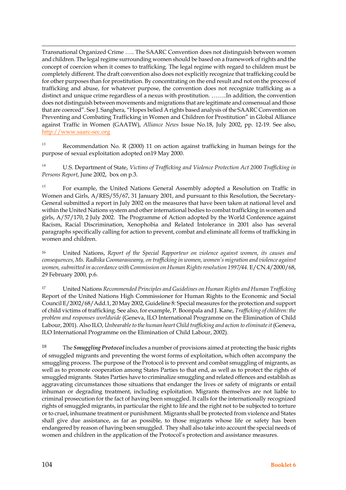$\overline{a}$ Transnational Organized Crime ..... The SAARC Convention does not distinguish between women and children. The legal regime surrounding women should be based on a framework of rights and the concept of coercion when it comes to trafficking. The legal regime with regard to children must be completely different. The draft convention also does not explicitly recognize that trafficking could be for other purposes than for prostitution. By concentrating on the end result and not on the process of trafficking and abuse, for whatever purpose, the convention does not recognize trafficking as a distinct and unique crime regardless of a nexus with prostitution. ........In addition, the convention does not distinguish between movements and migrations that are legitimate and consensual and those that are coerced". See J. Sanghera, "Hopes belied A rights based analysis of the SAARC Convention on Preventing and Combating Trafficking in Women and Children for Prostitution" in Global Alliance against Traffic in Women (GAATW), *Alliance News* Issue No.18, July 2002, pp. 12-19. See also, http://www.saarc-sec.org

<sup>13</sup> Recommendation No. R (2000) 11 on action against trafficking in human beings for the purpose of sexual exploitation adopted on19 May 2000.

14 U.S. Department of State, *Victims of Trafficking and Violence Protection Act 2000 Trafficking in Persons Report*, June 2002, box on p.3.

<sup>15</sup> For example, the United Nations General Assembly adopted a Resolution on Traffic in Women and Girls, A/RES/55/67, 31 January 2001, and pursuant to this Resolution, the Secretary-General submitted a report in July 2002 on the measures that have been taken at national level and within the United Nations system and other international bodies to combat trafficking in women and girls, A/57/170, 2 July 2002. The Programme of Action adopted by the World Conference against Racism, Racial Discrimination, Xenophobia and Related Intolerance in 2001 also has several paragraphs specifically calling for action to prevent, combat and eliminate all forms of trafficking in women and children.

16 United Nations, *Report of the Special Rapporteur on violence against women, its causes and consequences, Ms. Radhika Coomaraswamy, on trafficking in women, womenís migration and violence against women, submitted in accordance with Commission on Human Rights resolution 1997/44.* E/CN.4/2000/68, 29 February 2000, p.6.

17 United Nations *Recommended Principles and Guidelines on Human Rights and Human Trafficking* Report of the United Nations High Commissioner for Human Rights to the Economic and Social Council E/2002/68/Add.1, 20 May 2002, Guideline 8: Special measures for the protection and support of child victims of trafficking. See also, for example, P. Boonpala and J. Kane, *Trafficking of children: the problem and responses worldwide* (Geneva, ILO International Programme on the Elimination of Child Labour, 2001). Also ILO, *Unbearable to the human heart Child trafficking and action to eliminate it* (Geneva, ILO International Programme on the Elimination of Child Labour, 2002).

18 The *Smuggling Protocol* includes a number of provisions aimed at protecting the basic rights of smuggled migrants and preventing the worst forms of exploitation, which often accompany the smuggling process. The purpose of the Protocol is to prevent and combat smuggling of migrants, as well as to promote cooperation among States Parties to that end, as well as to protect the rights of smuggled migrants. States Parties have to criminalize smuggling and related offences and establish as aggravating circumstances those situations that endanger the lives or safety of migrants or entail inhuman or degrading treatment, including exploitation. Migrants themselves are not liable to criminal prosecution for the fact of having been smuggled. It calls for the internationally recognized rights of smuggled migrants, in particular the right to life and the right not to be subjected to torture or to cruel, inhumane treatment or punishment. Migrants shall be protected from violence and States shall give due assistance, as far as possible, to those migrants whose life or safety has been endangered by reason of having been smuggled. They shall also take into account the special needs of women and children in the application of the Protocol's protection and assistance measures.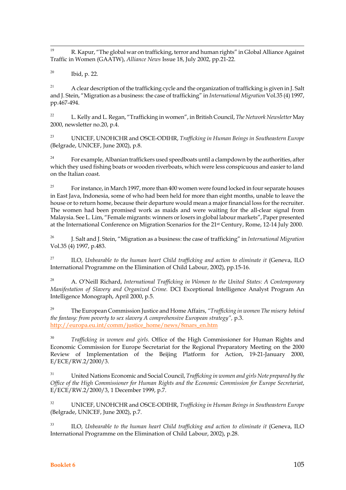<sup>19</sup> R. Kapur, "The global war on trafficking, terror and human rights" in Global Alliance Against Traffic in Women (GAATW), *Alliance News* Issue 18, July 2002, pp.21-22.

 $^{20}$  Ibid, p. 22.

<sup>21</sup> A clear description of the trafficking cycle and the organization of trafficking is given in J. Salt and J. Stein, "Migration as a business: the case of trafficking" in *International Migration* Vol.35 (4) 1997, pp.467-494.

<sup>22</sup> L. Kelly and L. Regan, "Trafficking in women", in British Council, *The Network Newsletter* May 2000, newsletter no.20, p.4.

23 UNICEF, UNOHCHR and OSCE-ODIHR, *Trafficking in Human Beings in Southeastern Europe* (Belgrade, UNICEF, June 2002), p.8.

<sup>24</sup> For example, Albanian traffickers used speedboats until a clampdown by the authorities, after which they used fishing boats or wooden riverboats, which were less conspicuous and easier to land on the Italian coast.

<sup>25</sup> For instance, in March 1997, more than 400 women were found locked in four separate houses in East Java, Indonesia, some of who had been held for more than eight months, unable to leave the house or to return home, because their departure would mean a major financial loss for the recruiter. The women had been promised work as maids and were waiting for the all-clear signal from Malaysia. See L. Lim, "Female migrants: winners or losers in global labour markets", Paper presented at the International Conference on Migration Scenarios for the 21st Century, Rome, 12-14 July 2000.

<sup>26</sup> J. Salt and J. Stein, "Migration as a business: the case of trafficking" in *International Migration* Vol.35 (4) 1997, p.483.

<sup>27</sup> ILO, *Unbearable to the human heart Child trafficking and action to eliminate it (Geneva, ILO* International Programme on the Elimination of Child Labour, 2002), pp.15-16.

28 A. OíNeill Richard, *International Trafficking in Women to the United States: A Contemporary Manifestation of Slavery and Organized Crime.* DCI Exceptional Intelligence Analyst Program An Intelligence Monograph, April 2000, p.5.

29 The European Commission Justice and Home Affairs, *ìTrafficking in women The misery behind the fantasy: from poverty to sex slavery A comprehensive European strategyî,* p.3. http://europa.eu.int/comm/justice\_home/news/8mars\_en.htm

<sup>30</sup> *Trafficking in women and girls.* Office of the High Commissioner for Human Rights and Economic Commission for Europe Secretariat for the Regional Preparatory Meeting on the 2000 Review of Implementation of the Beijing Platform for Action, 19-21-January 2000, E/ECE/RW.2/2000/3.

31 United Nations Economic and Social Council, *Trafficking in women and girls Note prepared by the Office of the High Commissioner for Human Rights and the Economic Commission for Europe Secretariat*, E/ECE/RW.2/2000/3, 1 December 1999, p.7.

<sup>32</sup> UNICEF, UNOHCHR and OSCE-ODIHR, *Trafficking in Human Beings in Southeastern Europe* (Belgrade, UNICEF, June 2002), p.7.

33 ILO, *Unbearable to the human heart Child trafficking and action to eliminate it* (Geneva, ILO International Programme on the Elimination of Child Labour, 2002), p.28.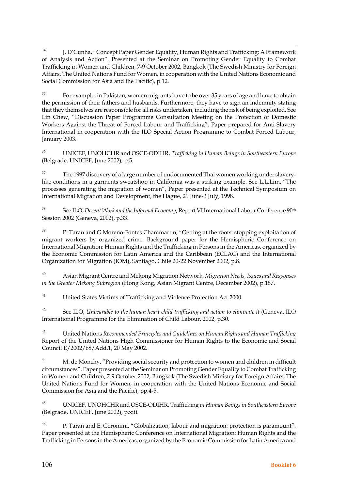$34$  J. D'Cunha, "Concept Paper Gender Equality, Human Rights and Trafficking: A Framework of Analysis and Action". Presented at the Seminar on Promoting Gender Equality to Combat Trafficking in Women and Children, 7-9 October 2002, Bangkok (The Swedish Ministry for Foreign Affairs, The United Nations Fund for Women, in cooperation with the United Nations Economic and Social Commission for Asia and the Pacific), p.12.

<sup>35</sup> For example, in Pakistan, women migrants have to be over 35 years of age and have to obtain the permission of their fathers and husbands. Furthermore, they have to sign an indemnity stating that they themselves are responsible for all risks undertaken, including the risk of being exploited. See Lin Chew, "Discussion Paper Programme Consultation Meeting on the Protection of Domestic Workers Against the Threat of Forced Labour and Trafficking", Paper prepared for Anti-Slavery International in cooperation with the ILO Special Action Programme to Combat Forced Labour, January 2003.

36 UNICEF, UNOHCHR and OSCE-ODIHR, *Trafficking in Human Beings in Southeastern Europe* (Belgrade, UNICEF, June 2002), p.5.

<sup>37</sup> The 1997 discovery of a large number of undocumented Thai women working under slaverylike conditions in a garments sweatshop in California was a striking example. See L.L.Lim, "The processes generating the migration of women", Paper presented at the Technical Symposium on International Migration and Development, the Hague, 29 June-3 July, 1998.

38 See ILO, *Decent Work and the Informal Economy*, Report VI International Labour Conference 90th Session 2002 (Geneva, 2002), p.33.

<sup>39</sup> P. Taran and G.Moreno-Fontes Chammartin, "Getting at the roots: stopping exploitation of migrant workers by organized crime. Background paper for the Hemispheric Conference on International Migration: Human Rights and the Trafficking in Persons in the Americas, organized by the Economic Commission for Latin America and the Caribbean (ECLAC) and the International Organization for Migration (IOM), Santiago, Chile 20-22 November 2002, p.8.

40 Asian Migrant Centre and Mekong Migration Network, *Migration Needs, Issues and Responses in the Greater Mekong Subregion* (Hong Kong, Asian Migrant Centre, December 2002), p.187.

41 United States Victims of Trafficking and Violence Protection Act 2000.

<sup>42</sup> See ILO, *Unbearable to the human heart child trafficking and action to eliminate it (Geneva, ILO* International Programme for the Elimination of Child Labour, 2002, p.30.

43 United Nations *Recommended Principles and Guidelines on Human Rights and Human Trafficking* Report of the United Nations High Commissioner for Human Rights to the Economic and Social Council E/2002/68/Add.1, 20 May 2002.

<sup>44</sup> M. de Monchy, "Providing social security and protection to women and children in difficult circumstancesî. Paper presented at the Seminar on Promoting Gender Equality to Combat Trafficking in Women and Children, 7-9 October 2002, Bangkok (The Swedish Ministry for Foreign Affairs, The United Nations Fund for Women, in cooperation with the United Nations Economic and Social Commission for Asia and the Pacific), pp.4-5.

45 UNICEF, UNOHCHR and OSCE-ODIHR, Trafficking *in Human Beings in Southeastern Europe* (Belgrade, UNICEF, June 2002), p.xiii.

P. Taran and E. Geronimi, "Globalization, labour and migration: protection is paramount". Paper presented at the Hemispheric Conference on International Migration: Human Rights and the Trafficking in Persons in the Americas, organized by the Economic Commission for Latin America and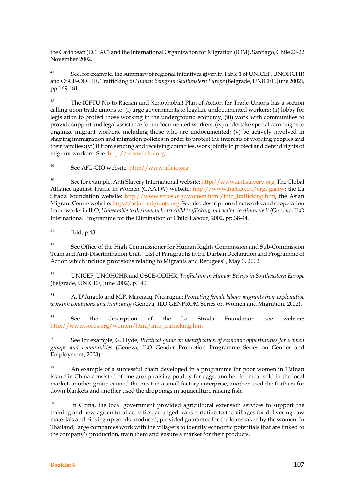l the Caribbean (ECLAC) and the International Organization for Migration (IOM), Santiago, Chile 20-22 November 2002.

See, for example, the summary of regional initiatives given in Table 1 of UNICEF, UNOHCHR and OSCE-ODIHR, Trafficking *in Human Beings in Southeastern Europe* (Belgrade, UNICEF, June 2002), pp.169-181.

<sup>48</sup> The ICFTU No to Racism and Xenophobia! Plan of Action for Trade Unions has a section calling upon trade unions to: (i) urge governments to legalize undocumented workers; (ii) lobby for legislation to protect those working in the underground economy; (iii) work with communities to provide support and legal assistance for undocumented workers; (iv) undertake special campaigns to organize migrant workers, including those who are undocumented; (v) be actively involved in shaping immigration and migration policies in order to protect the interests of working peoples and their families; (vi) if from sending and receiving countries, work jointly to protect and defend rights of migrant workers. See: http://www.icftu.org

49 See AFL-CIO website: http://www.aflcio.org

See for example, Anti Slavery International website: http://www.antislavery.org; The Global Alliance against Traffic in Women (GAATW) website: http://www.inet.co.th./org/gaatw; the La Strada Foundation website: http://www.soros.org/women.html/info\_trafficking.htm; the Asian Migrant Centre website: http://asian-migrants.org. See also description of networks and cooperation frameworks in ILO, *Unbearable to the human heart child trafficking and action to eliminate it* (Geneva, ILO International Programme for the Elimination of Child Labour, 2002, pp.38-44.

 $151$  Ibid, p.43.

<sup>52</sup> See Office of the High Commissioner for Human Rights Commission and Sub-Commission Team and Anti-Discrimination Unit, "List of Paragraphs in the Durban Declaration and Programme of Action which include provisions relating to Migrants and Refugees", May 3, 2002.

53 UNICEF, UNOHCHR and OSCE-ODIHR, *Trafficking in Human Beings in Southeastern Europe* (Belgrade, UNICEF, June 2002), p.140.

54 A. DíAngelo and M.P. Marciacq, Nicaragua: *Protecting female labour migrants from exploitative working conditions and trafficking* (Geneva, ILO GENPROM Series on Women and Migration, 2002).

<sup>55</sup> See the description of the La Strada Foundation see website: http://www.soros.org/women/html/info\_trafficking.htm

56 See for example, G. Hyde, *Practical guide on identification of economic opportunities for women groups and communities* (Geneva, ILO Gender Promotion Programme Series on Gender and Employment, 2003).

<sup>57</sup> An example of a successful chain developed in a programme for poor women in Hainan island in China consisted of one group raising poultry for eggs, another for meat sold in the local market, another group canned the meat in a small factory enterprise, another used the feathers for down blankets and another used the droppings in aquaculture raising fish.

<sup>58</sup> In China, the local government provided agricultural extension services to support the training and new agricultural activities, arranged transportation to the villages for delivering raw materials and picking up goods produced, provided guarantee for the loans taken by the women. In Thailand, large companies work with the villagers to identify economic potentials that are linked to the company's production, train them and ensure a market for their products.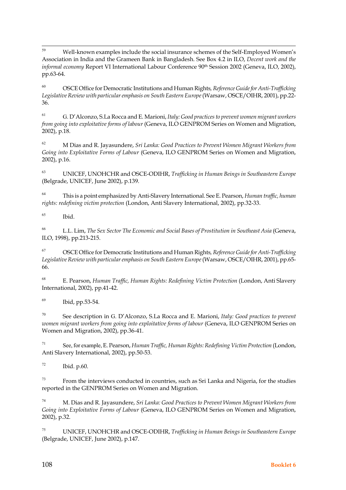<sup>59</sup> Well-known examples include the social insurance schemes of the Self-Employed Women's Association in India and the Grameen Bank in Bangladesh. See Box 4.2 in ILO, *Decent work and the informal economy* Report VI International Labour Conference 90<sup>th</sup> Session 2002 (Geneva, ILO, 2002), pp.63-64.

60 60 OSCE Office for Democratic Institutions and Human Rights*, Reference Guide for Anti-Trafficking Legislative Review with particular emphasis on South Eastern Europe* (Warsaw, OSCE/OIHR, 2001), pp.22- 36.

61 G. DíAlconzo, S.La Rocca and E. Marioni, *Italy: Good practices to prevent women migrant workers from going into exploitative forms of labour* (Geneva, ILO GENPROM Series on Women and Migration, 2002), p.18.

62 M Dias and R. Jayasundere, *Sri Lanka: Good Practices to Prevent Women Migrant Workers from Going into Exploitative Forms of Labour* (Geneva, ILO GENPROM Series on Women and Migration, 2002), p.16.

63 UNICEF, UNOHCHR and OSCE-ODIHR, *Trafficking in Human Beings in Southeastern Europe* (Belgrade, UNICEF, June 2002), p.139.

64 This is a point emphasized by Anti-Slavery International. See E. Pearson, *Human traffic, human rights: redefining victim protection* (London, Anti Slavery International, 2002), pp.32-33.

 $^{65}$  Ibid.

66 L.L. Lim, *The Sex Sector The Economic and Social Bases of Prostitution in Southeast Asia* (Geneva, ILO, 1998), pp.213-215.

67 OSCE Office for Democratic Institutions and Human Rights*, Reference Guide for Anti-Trafficking Legislative Review with particular emphasis on South Eastern Europe* (Warsaw, OSCE/OIHR, 2001), pp.65- 66.

68 E. Pearson, *Human Traffic, Human Rights: Redefining Victim Protection* (London, Anti Slavery International, 2002), pp.41-42.

69 Ibid, pp.53-54.

70 See description in G. DíAlconzo, S.La Rocca and E. Marioni, *Italy: Good practices to prevent women migrant workers from going into exploitative forms of labour* (Geneva, ILO GENPROM Series on Women and Migration, 2002), pp.36-41.

71 See, for example, E. Pearson, *Human Traffic, Human Rights: Redefining Victim Protection* (London, Anti Slavery International, 2002), pp.50-53.

72 Ibid. p.60.

 $73$  From the interviews conducted in countries, such as Sri Lanka and Nigeria, for the studies reported in the GENPROM Series on Women and Migration.

74 M. Dias and R. Jayasundere, *Sri Lanka: Good Practices to Prevent Women Migrant Workers from Going into Exploitative Forms of Labour* (Geneva, ILO GENPROM Series on Women and Migration, 2002), p.32.

75 UNICEF, UNOHCHR and OSCE-ODIHR, *Trafficking in Human Beings in Southeastern Europe* (Belgrade, UNICEF, June 2002), p.147.